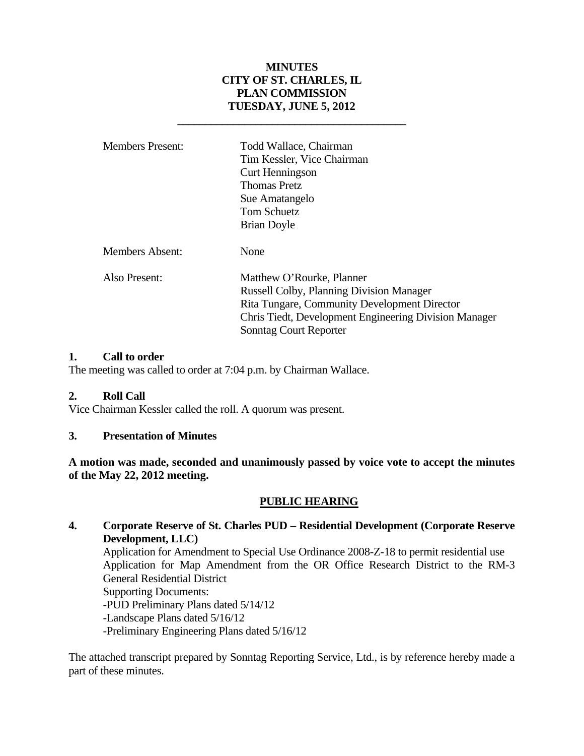# **MINUTES CITY OF ST. CHARLES, IL PLAN COMMISSION TUESDAY, JUNE 5, 2012**

 **\_\_\_\_\_\_\_\_\_\_\_\_\_\_\_\_\_\_\_\_\_\_\_\_\_\_\_\_\_\_\_\_\_\_\_\_\_\_\_\_\_** 

| <b>Members Present:</b> | Todd Wallace, Chairman<br>Tim Kessler, Vice Chairman<br>Curt Henningson<br><b>Thomas Pretz</b><br>Sue Amatangelo<br><b>Tom Schuetz</b><br><b>Brian Doyle</b>                                                           |
|-------------------------|------------------------------------------------------------------------------------------------------------------------------------------------------------------------------------------------------------------------|
| Members Absent:         | None                                                                                                                                                                                                                   |
| Also Present:           | Matthew O'Rourke, Planner<br><b>Russell Colby, Planning Division Manager</b><br><b>Rita Tungare, Community Development Director</b><br>Chris Tiedt, Development Engineering Division Manager<br>Sonntag Court Reporter |

#### **1. Call to order**

The meeting was called to order at 7:04 p.m. by Chairman Wallace.

#### **2. Roll Call**

Vice Chairman Kessler called the roll. A quorum was present.

#### **3. Presentation of Minutes**

**A motion was made, seconded and unanimously passed by voice vote to accept the minutes of the May 22, 2012 meeting.** 

#### **PUBLIC HEARING**

# **4. Corporate Reserve of St. Charles PUD – Residential Development (Corporate Reserve Development, LLC)**

Application for Amendment to Special Use Ordinance 2008-Z-18 to permit residential use Application for Map Amendment from the OR Office Research District to the RM-3 General Residential District Supporting Documents: -PUD Preliminary Plans dated 5/14/12

-Landscape Plans dated 5/16/12

-Preliminary Engineering Plans dated 5/16/12

The attached transcript prepared by Sonntag Reporting Service, Ltd., is by reference hereby made a part of these minutes.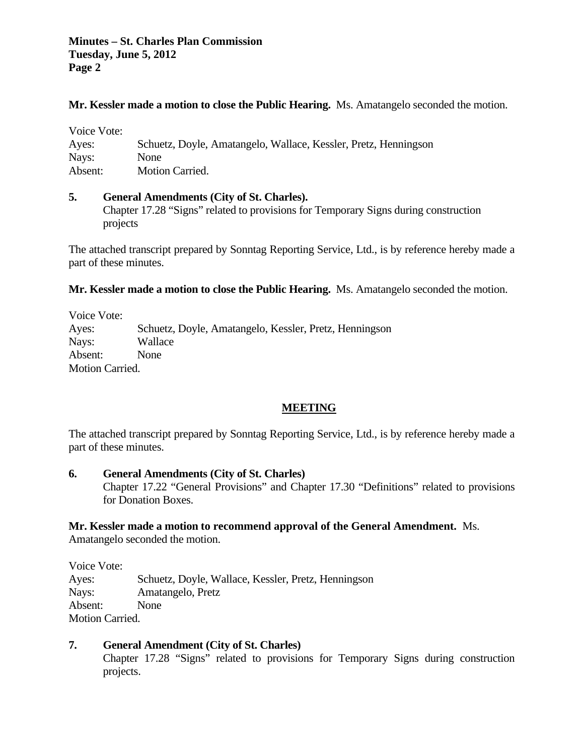**Minutes – St. Charles Plan Commission Tuesday, June 5, 2012 Page 2**

#### **Mr. Kessler made a motion to close the Public Hearing.** Ms. Amatangelo seconded the motion.

| Voice Vote: |                                                                 |
|-------------|-----------------------------------------------------------------|
| Ayes:       | Schuetz, Doyle, Amatangelo, Wallace, Kessler, Pretz, Henningson |
| Nays:       | <b>None</b>                                                     |
| Absent:     | <b>Motion Carried.</b>                                          |

#### **5. General Amendments (City of St. Charles).**

Chapter 17.28 "Signs" related to provisions for Temporary Signs during construction projects

The attached transcript prepared by Sonntag Reporting Service, Ltd., is by reference hereby made a part of these minutes.

**Mr. Kessler made a motion to close the Public Hearing.** Ms. Amatangelo seconded the motion.

Voice Vote: Ayes: Schuetz, Doyle, Amatangelo, Kessler, Pretz, Henningson Nays: Wallace Absent: None Motion Carried.

#### **MEETING**

The attached transcript prepared by Sonntag Reporting Service, Ltd., is by reference hereby made a part of these minutes.

#### **6. General Amendments (City of St. Charles)**

Chapter 17.22 "General Provisions" and Chapter 17.30 "Definitions" related to provisions for Donation Boxes.

#### **Mr. Kessler made a motion to recommend approval of the General Amendment.** Ms.

Amatangelo seconded the motion.

Voice Vote: Ayes: Schuetz, Doyle, Wallace, Kessler, Pretz, Henningson Nays: Amatangelo, Pretz Absent: None Motion Carried.

## **7. General Amendment (City of St. Charles)**

Chapter 17.28 "Signs" related to provisions for Temporary Signs during construction projects.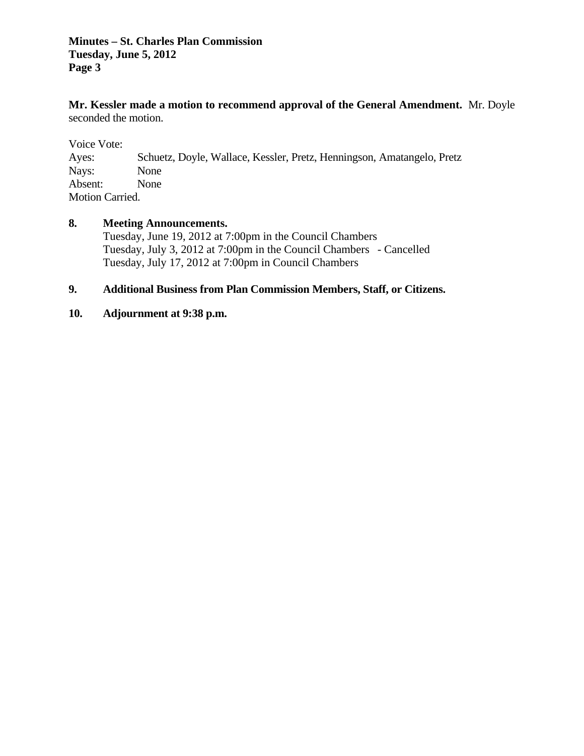## **Minutes – St. Charles Plan Commission Tuesday, June 5, 2012 Page 3**

**Mr. Kessler made a motion to recommend approval of the General Amendment.** Mr. Doyle seconded the motion.

Voice Vote: Ayes: Schuetz, Doyle, Wallace, Kessler, Pretz, Henningson, Amatangelo, Pretz Nays: None Absent: None Motion Carried.

### **8. Meeting Announcements.**

 Tuesday, June 19, 2012 at 7:00pm in the Council Chambers Tuesday, July 3, 2012 at 7:00pm in the Council Chambers - Cancelled Tuesday, July 17, 2012 at 7:00pm in Council Chambers

# **9. Additional Business from Plan Commission Members, Staff, or Citizens.**

### **10. Adjournment at 9:38 p.m.**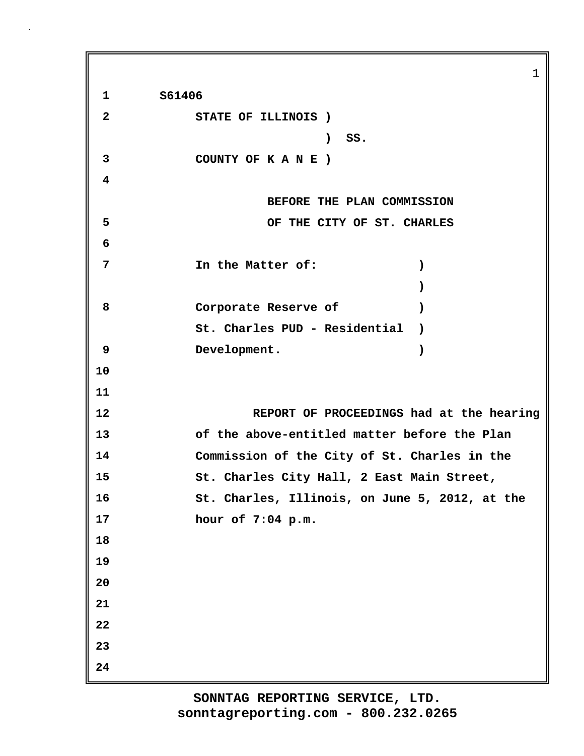1 **1 S61406 2 STATE OF ILLINOIS ) ) SS. 3 COUNTY OF K A N E ) 4 BEFORE THE PLAN COMMISSION 5 OF THE CITY OF ST. CHARLES 6 7 In the Matter of: ) ) 8 Corporate Reserve of ) St. Charles PUD - Residential ) 9 Development. ) 10 11 12 REPORT OF PROCEEDINGS had at the hearing 13 of the above-entitled matter before the Plan 14 Commission of the City of St. Charles in the 15 St. Charles City Hall, 2 East Main Street, 16 St. Charles, Illinois, on June 5, 2012, at the 17 hour of 7:04 p.m. 18 19 20 21 22 23 24**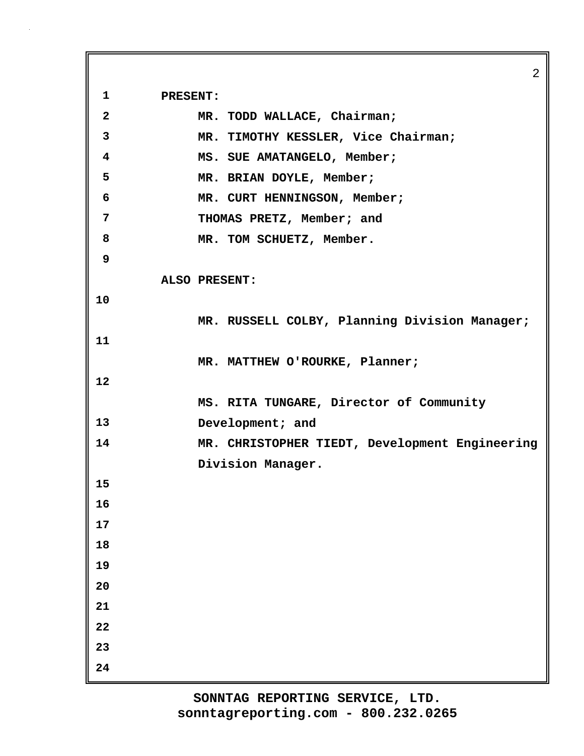2 **1 PRESENT: 2 MR. TODD WALLACE, Chairman; 3 MR. TIMOTHY KESSLER, Vice Chairman; 4 MS. SUE AMATANGELO, Member; 5 MR. BRIAN DOYLE, Member; 6 MR. CURT HENNINGSON, Member; 7 THOMAS PRETZ, Member; and 8 MR. TOM SCHUETZ, Member. 9 ALSO PRESENT: 10 MR. RUSSELL COLBY, Planning Division Manager; 11 MR. MATTHEW O'ROURKE, Planner; 12 MS. RITA TUNGARE, Director of Community 13 Development; and 14 MR. CHRISTOPHER TIEDT, Development Engineering Division Manager. 15 16 17 18 19 20 21 22 23 24**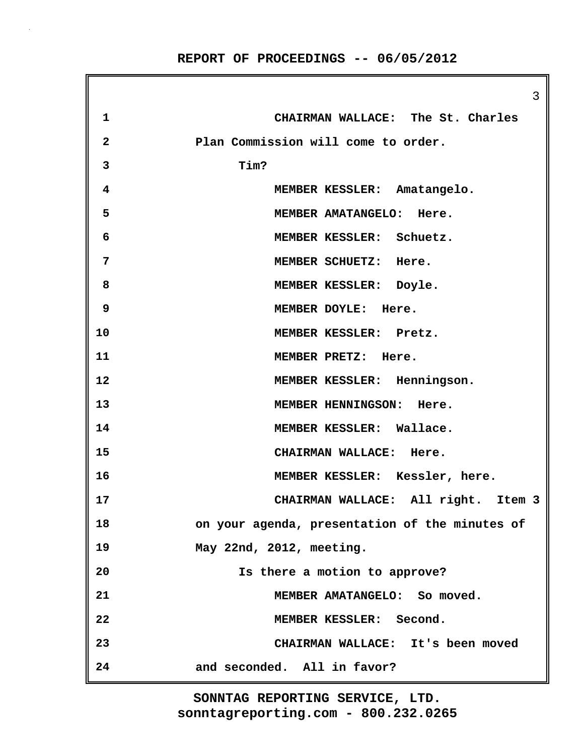3 **1 CHAIRMAN WALLACE: The St. Charles 2 Plan Commission will come to order. 3 Tim? 4 MEMBER KESSLER: Amatangelo. 5 MEMBER AMATANGELO: Here. 6 MEMBER KESSLER: Schuetz. 7 MEMBER SCHUETZ: Here. 8 MEMBER KESSLER: Doyle. 9 MEMBER DOYLE: Here. 10 MEMBER KESSLER: Pretz. 11 MEMBER PRETZ: Here. 12 MEMBER KESSLER: Henningson. 13 MEMBER HENNINGSON: Here. 14 MEMBER KESSLER: Wallace. 15 CHAIRMAN WALLACE: Here. 16 MEMBER KESSLER: Kessler, here. 17 CHAIRMAN WALLACE: All right. Item 3 18 on your agenda, presentation of the minutes of 19 May 22nd, 2012, meeting. 20 Is there a motion to approve? 21 MEMBER AMATANGELO: So moved. 22 MEMBER KESSLER: Second. 23 CHAIRMAN WALLACE: It's been moved 24 and seconded. All in favor?**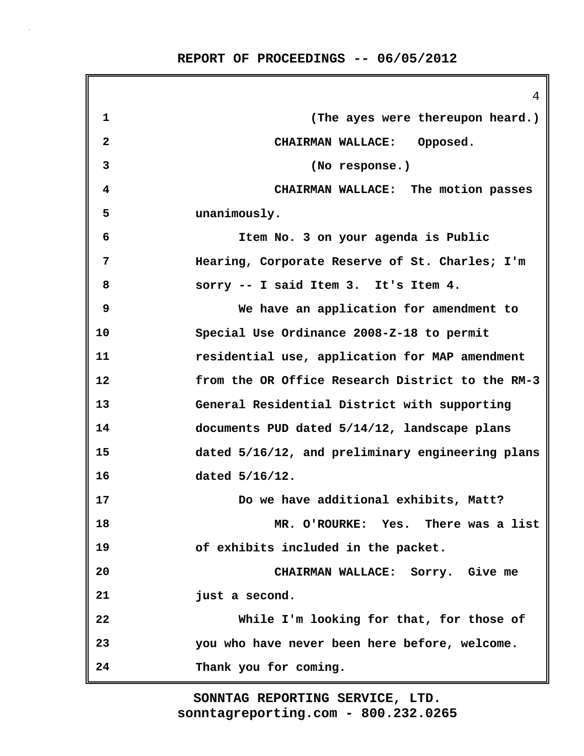|              | 4                                                |
|--------------|--------------------------------------------------|
| $\mathbf 1$  | (The ayes were thereupon heard.)                 |
| $\mathbf{2}$ | CHAIRMAN WALLACE: Opposed.                       |
| 3            | (No response.)                                   |
| 4            | CHAIRMAN WALLACE: The motion passes              |
| 5            | unanimously.                                     |
| 6            | Item No. 3 on your agenda is Public              |
| 7            | Hearing, Corporate Reserve of St. Charles; I'm   |
| 8            | sorry -- I said Item 3. It's Item 4.             |
| 9            | We have an application for amendment to          |
| 10           | Special Use Ordinance 2008-Z-18 to permit        |
| 11           | residential use, application for MAP amendment   |
| 12           | from the OR Office Research District to the RM-3 |
| 13           | General Residential District with supporting     |
| 14           | documents PUD dated 5/14/12, landscape plans     |
| 15           | dated 5/16/12, and preliminary engineering plans |
| 16           | dated $5/16/12$ .                                |
| 17           | Do we have additional exhibits, Matt?            |
| 18           | MR. O'ROURKE: Yes. There was a list              |
| 19           | of exhibits included in the packet.              |
| 20           | CHAIRMAN WALLACE: Sorry. Give me                 |
| 21           | just a second.                                   |
| 22           | While I'm looking for that, for those of         |
| 23           | you who have never been here before, welcome.    |
| 24           | Thank you for coming.                            |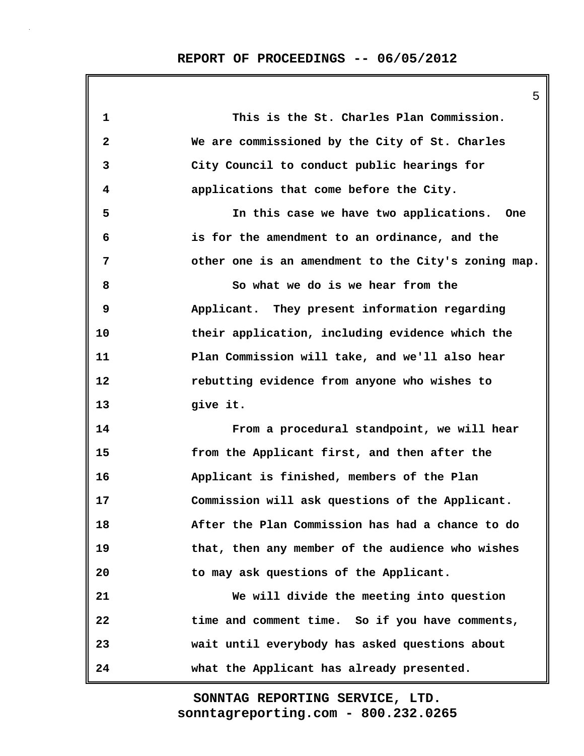5

| 1            | This is the St. Charles Plan Commission.            |
|--------------|-----------------------------------------------------|
| $\mathbf{2}$ | We are commissioned by the City of St. Charles      |
| 3            | City Council to conduct public hearings for         |
| 4            | applications that come before the City.             |
| 5            | In this case we have two applications. One          |
| 6            | is for the amendment to an ordinance, and the       |
| 7            | other one is an amendment to the City's zoning map. |
| 8            | So what we do is we hear from the                   |
| 9            | Applicant. They present information regarding       |
| 10           | their application, including evidence which the     |
| 11           | Plan Commission will take, and we'll also hear      |
| 12           | rebutting evidence from anyone who wishes to        |
| 13           | give it.                                            |
| 14           | From a procedural standpoint, we will hear          |
| 15           | from the Applicant first, and then after the        |
| 16           | Applicant is finished, members of the Plan          |
| 17           | Commission will ask questions of the Applicant.     |
| 18           | After the Plan Commission has had a chance to do    |
| 19           | that, then any member of the audience who wishes    |
| 20           | to may ask questions of the Applicant.              |
| 21           | We will divide the meeting into question            |
| 22           | time and comment time. So if you have comments,     |
| 23           | wait until everybody has asked questions about      |
| 24           | what the Applicant has already presented.           |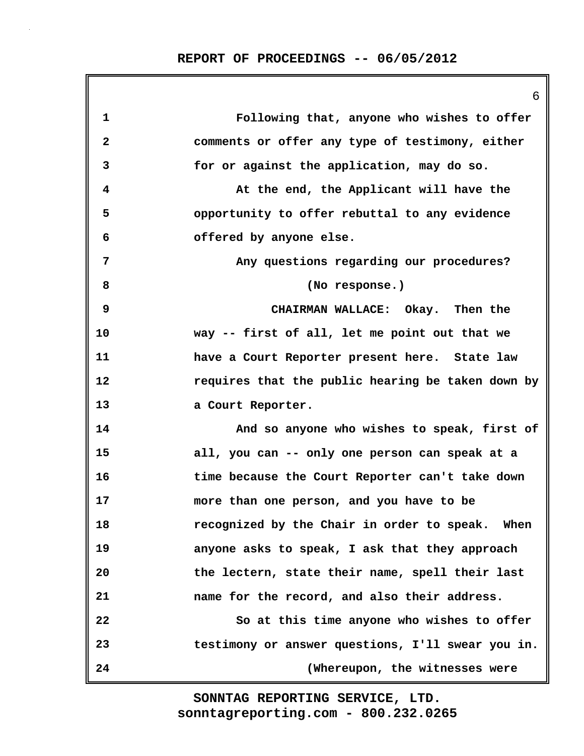|              | 6                                                 |
|--------------|---------------------------------------------------|
| 1            | Following that, anyone who wishes to offer        |
| $\mathbf{2}$ | comments or offer any type of testimony, either   |
| 3            | for or against the application, may do so.        |
| 4            | At the end, the Applicant will have the           |
| 5            | opportunity to offer rebuttal to any evidence     |
| 6            | offered by anyone else.                           |
| 7            | Any questions regarding our procedures?           |
| 8            | (No response.)                                    |
| 9            | CHAIRMAN WALLACE: Okay. Then the                  |
| 10           | way -- first of all, let me point out that we     |
| 11           | have a Court Reporter present here. State law     |
| 12           | requires that the public hearing be taken down by |
| 13           | a Court Reporter.                                 |
| 14           | And so anyone who wishes to speak, first of       |
| 15           | all, you can -- only one person can speak at a    |
| 16           | time because the Court Reporter can't take down   |
| 17           | more than one person, and you have to be          |
| 18           | recognized by the Chair in order to speak. When   |
| 19           | anyone asks to speak, I ask that they approach    |
| 20           | the lectern, state their name, spell their last   |
| 21           | name for the record, and also their address.      |
| 22           | So at this time anyone who wishes to offer        |
| 23           | testimony or answer questions, I'll swear you in. |
| 24           | (Whereupon, the witnesses were                    |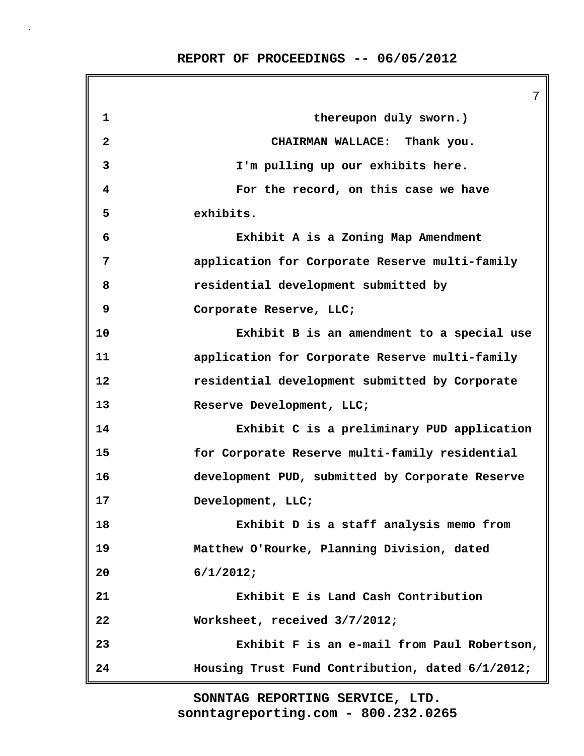7 **1 thereupon duly sworn.) 2 CHAIRMAN WALLACE: Thank you. 3 I'm pulling up our exhibits here. 4 For the record, on this case we have 5 exhibits. 6 Exhibit A is a Zoning Map Amendment 7 application for Corporate Reserve multi-family 8 residential development submitted by 9 Corporate Reserve, LLC; 10 Exhibit B is an amendment to a special use 11 application for Corporate Reserve multi-family 12 residential development submitted by Corporate 13 Reserve Development, LLC; 14 Exhibit C is a preliminary PUD application 15 for Corporate Reserve multi-family residential 16 development PUD, submitted by Corporate Reserve 17 Development, LLC; 18 Exhibit D is a staff analysis memo from 19 Matthew O'Rourke, Planning Division, dated 20 6/1/2012; 21 Exhibit E is Land Cash Contribution 22 Worksheet, received 3/7/2012; 23 Exhibit F is an e-mail from Paul Robertson, 24 Housing Trust Fund Contribution, dated 6/1/2012;**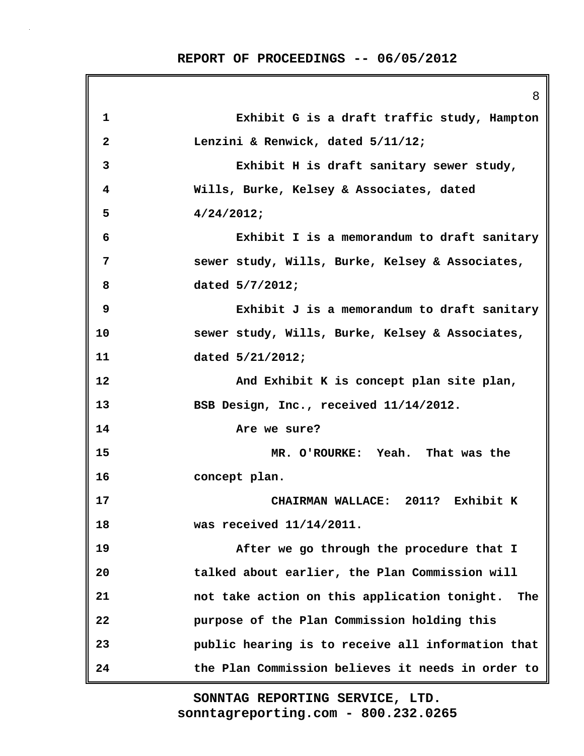|              | 8                                                   |
|--------------|-----------------------------------------------------|
| $\mathbf 1$  | Exhibit G is a draft traffic study, Hampton         |
| $\mathbf{2}$ | Lenzini & Renwick, dated 5/11/12;                   |
| 3            | Exhibit H is draft sanitary sewer study,            |
| 4            | Wills, Burke, Kelsey & Associates, dated            |
| 5            | 4/24/2012;                                          |
| 6            | Exhibit I is a memorandum to draft sanitary         |
| 7            | sewer study, Wills, Burke, Kelsey & Associates,     |
| 8            | dated 5/7/2012;                                     |
| 9            | Exhibit J is a memorandum to draft sanitary         |
| 10           | sewer study, Wills, Burke, Kelsey & Associates,     |
| 11           | dated 5/21/2012;                                    |
| 12           | And Exhibit K is concept plan site plan,            |
| 13           | BSB Design, Inc., received 11/14/2012.              |
| 14           | Are we sure?                                        |
| 15           | MR. O'ROURKE: Yeah. That was the                    |
| 16           | concept plan.                                       |
| 17           | CHAIRMAN WALLACE: 2011? Exhibit K                   |
| 18           | was received $11/14/2011$ .                         |
| 19           | After we go through the procedure that I            |
| 20           | talked about earlier, the Plan Commission will      |
| 21           | not take action on this application tonight.<br>The |
| 22           | purpose of the Plan Commission holding this         |
| 23           | public hearing is to receive all information that   |
| 24           | the Plan Commission believes it needs in order to   |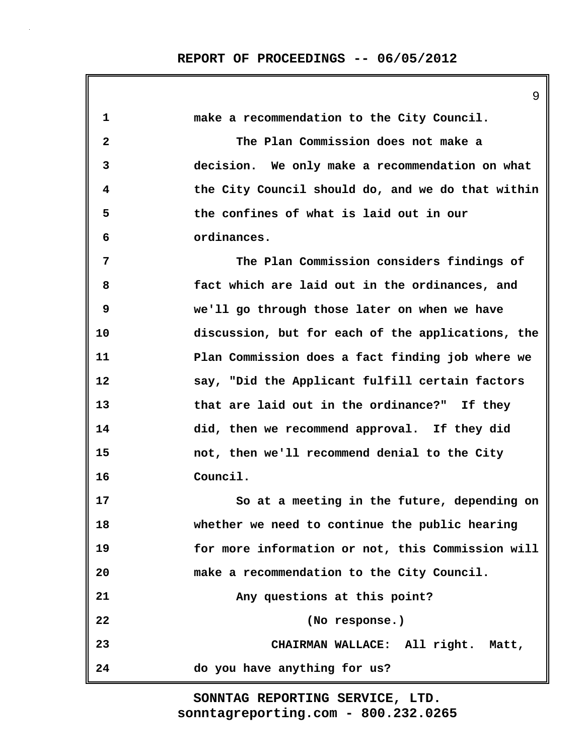9

| 1            | make a recommendation to the City Council.        |
|--------------|---------------------------------------------------|
| $\mathbf{2}$ | The Plan Commission does not make a               |
| 3            | decision. We only make a recommendation on what   |
| 4            | the City Council should do, and we do that within |
| 5            | the confines of what is laid out in our           |
| 6            | ordinances.                                       |
| 7            | The Plan Commission considers findings of         |
| 8            | fact which are laid out in the ordinances, and    |
| 9            | we'll go through those later on when we have      |
| 10           | discussion, but for each of the applications, the |
| 11           | Plan Commission does a fact finding job where we  |
| 12           | say, "Did the Applicant fulfill certain factors   |
| 13           | that are laid out in the ordinance?" If they      |
| 14           | did, then we recommend approval. If they did      |
| 15           | not, then we'll recommend denial to the City      |
| 16           | Council.                                          |
| 17           | So at a meeting in the future, depending on       |
| 18           | whether we need to continue the public hearing    |
| 19           | for more information or not, this Commission will |
| 20           | make a recommendation to the City Council.        |
| 21           | Any questions at this point?                      |
| 22           | (No response.)                                    |
| 23           | CHAIRMAN WALLACE: All right. Matt,                |
| 24           | do you have anything for us?                      |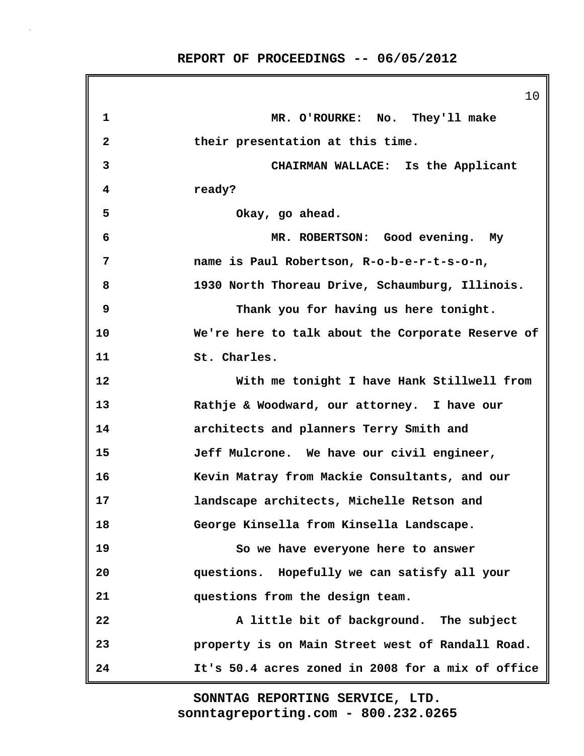|              | 10                                                |
|--------------|---------------------------------------------------|
| $\mathbf 1$  | MR. O'ROURKE: No. They'll make                    |
| $\mathbf{2}$ | their presentation at this time.                  |
| 3            | CHAIRMAN WALLACE: Is the Applicant                |
| 4            | ready?                                            |
| 5            | Okay, go ahead.                                   |
| 6            | MR. ROBERTSON: Good evening. My                   |
| 7            | name is Paul Robertson, R-o-b-e-r-t-s-o-n,        |
| 8            | 1930 North Thoreau Drive, Schaumburg, Illinois.   |
| 9            | Thank you for having us here tonight.             |
| 10           | We're here to talk about the Corporate Reserve of |
| 11           | St. Charles.                                      |
| 12           | With me tonight I have Hank Stillwell from        |
| 13           | Rathje & Woodward, our attorney. I have our       |
| 14           | architects and planners Terry Smith and           |
| 15           | Jeff Mulcrone. We have our civil engineer,        |
| 16           | Kevin Matray from Mackie Consultants, and our     |
| 17           | landscape architects, Michelle Retson and         |
| 18           | George Kinsella from Kinsella Landscape.          |
| 19           | So we have everyone here to answer                |
| 20           | questions. Hopefully we can satisfy all your      |
| 21           | questions from the design team.                   |
| 22           | A little bit of background. The subject           |
| 23           | property is on Main Street west of Randall Road.  |
| 24           | It's 50.4 acres zoned in 2008 for a mix of office |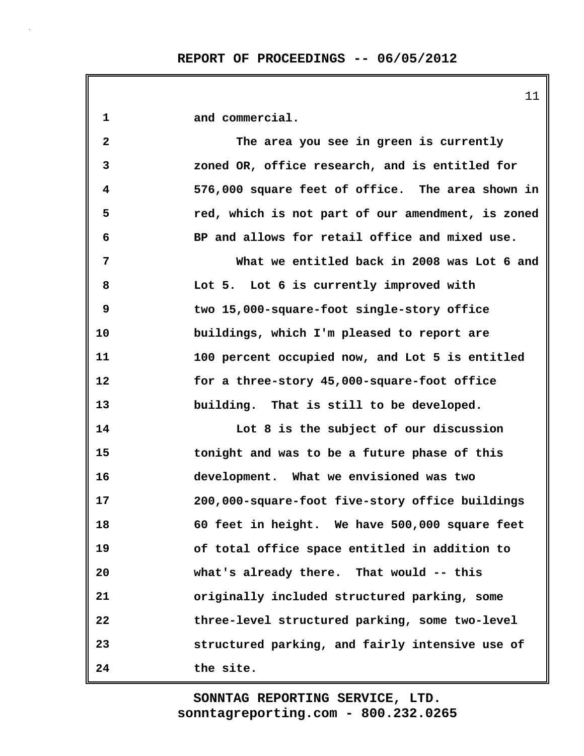| $\mathbf{1}$ | and commercial.                                   |
|--------------|---------------------------------------------------|
| $\mathbf{2}$ | The area you see in green is currently            |
| 3            | zoned OR, office research, and is entitled for    |
| 4            | 576,000 square feet of office. The area shown in  |
| 5            | red, which is not part of our amendment, is zoned |
| 6            | BP and allows for retail office and mixed use.    |
| 7            | What we entitled back in 2008 was Lot 6 and       |
| 8            | Lot 5. Lot 6 is currently improved with           |
| 9            | two 15,000-square-foot single-story office        |
| 10           | buildings, which I'm pleased to report are        |
| 11           | 100 percent occupied now, and Lot 5 is entitled   |
| 12           | for a three-story 45,000-square-foot office       |
| 13           | building. That is still to be developed.          |
| 14           | Lot 8 is the subject of our discussion            |
| 15           | tonight and was to be a future phase of this      |
| 16           | development. What we envisioned was two           |
| 17           | 200,000-square-foot five-story office buildings   |
| 18           | 60 feet in height. We have 500,000 square feet    |
| 19           | of total office space entitled in addition to     |
| 20           | what's already there. That would -- this          |
| 21           | originally included structured parking, some      |
| 22           | three-level structured parking, some two-level    |
| 23           | structured parking, and fairly intensive use of   |
| 24           | the site.                                         |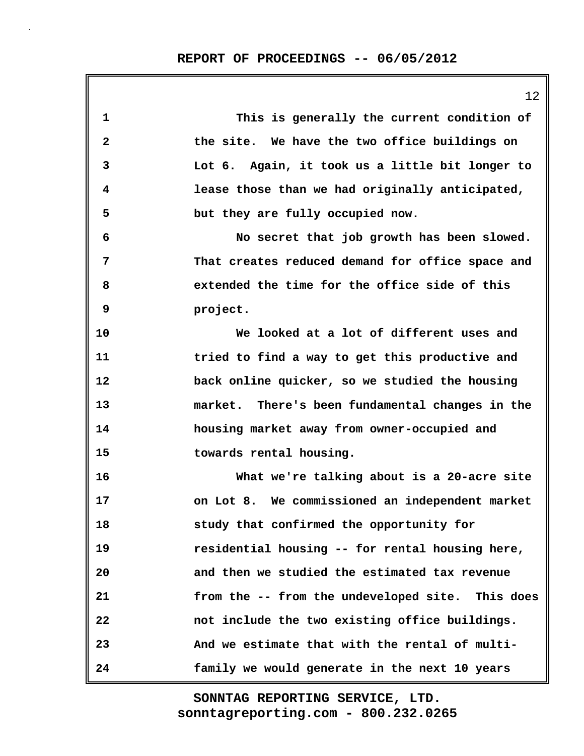| 1            | This is generally the current condition of       |
|--------------|--------------------------------------------------|
| $\mathbf{2}$ | the site. We have the two office buildings on    |
| 3            | Lot 6. Again, it took us a little bit longer to  |
| 4            | lease those than we had originally anticipated,  |
| 5            | but they are fully occupied now.                 |
| 6            | No secret that job growth has been slowed.       |
| 7            | That creates reduced demand for office space and |
| 8            | extended the time for the office side of this    |
| 9            | project.                                         |
| 10           | We looked at a lot of different uses and         |
| 11           | tried to find a way to get this productive and   |
| 12           | back online quicker, so we studied the housing   |
| 13           | market. There's been fundamental changes in the  |
| 14           | housing market away from owner-occupied and      |
| 15           | towards rental housing.                          |
| 16           | What we're talking about is a 20-acre site       |
| 17           | on Lot 8. We commissioned an independent market  |
| 18           | study that confirmed the opportunity for         |
| 19           | residential housing -- for rental housing here,  |
| 20           | and then we studied the estimated tax revenue    |
| 21           | from the -- from the undeveloped site. This does |
| 22           | not include the two existing office buildings.   |
| 23           | And we estimate that with the rental of multi-   |
| 24           | family we would generate in the next 10 years    |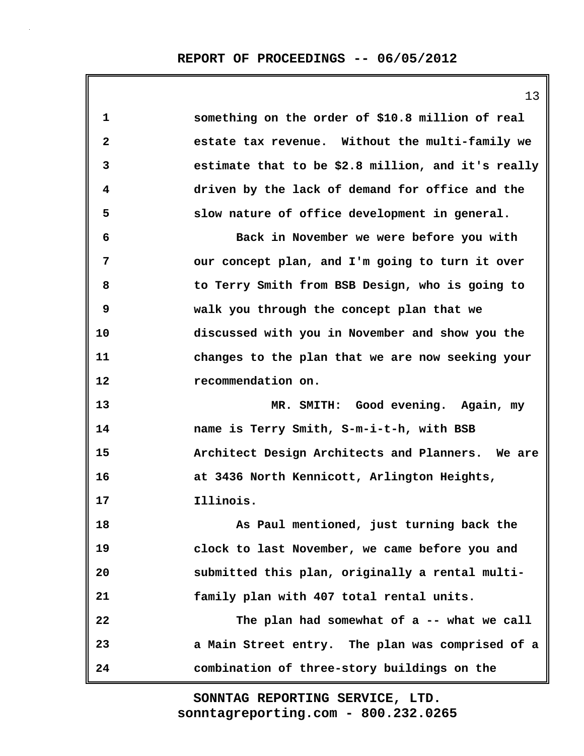|                   | 13                                                 |
|-------------------|----------------------------------------------------|
| 1                 | something on the order of \$10.8 million of real   |
| 2                 | estate tax revenue. Without the multi-family we    |
| 3                 | estimate that to be \$2.8 million, and it's really |
| 4                 | driven by the lack of demand for office and the    |
| 5                 | slow nature of office development in general.      |
| 6                 | Back in November we were before you with           |
| 7                 | our concept plan, and I'm going to turn it over    |
| 8                 | to Terry Smith from BSB Design, who is going to    |
| 9                 | walk you through the concept plan that we          |
| 10                | discussed with you in November and show you the    |
| 11                | changes to the plan that we are now seeking your   |
| $12 \overline{ }$ | recommendation on.                                 |
| 13                | MR. SMITH: Good evening. Again, my                 |
| 14                | name is Terry Smith, S-m-i-t-h, with BSB           |
| 15                | Architect Design Architects and Planners. We are   |
| 16                | at 3436 North Kennicott, Arlington Heights,        |
| 17                | Illinois.                                          |
| 18                | As Paul mentioned, just turning back the           |
| 19                | clock to last November, we came before you and     |
| 20                | submitted this plan, originally a rental multi-    |
| 21                | family plan with 407 total rental units.           |
| 22                | The plan had somewhat of a -- what we call         |
| 23                | a Main Street entry. The plan was comprised of a   |
| 24                | combination of three-story buildings on the        |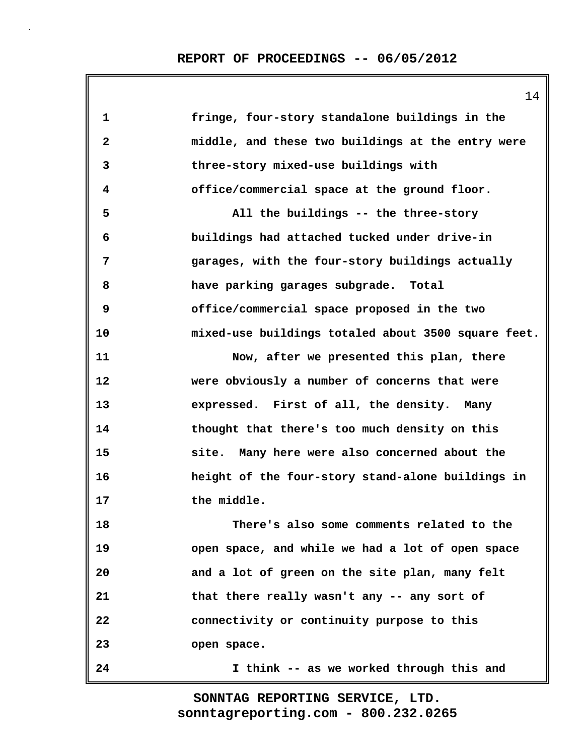14

| 1            | fringe, four-story standalone buildings in the      |
|--------------|-----------------------------------------------------|
| $\mathbf{2}$ | middle, and these two buildings at the entry were   |
| 3            | three-story mixed-use buildings with                |
| 4            | office/commercial space at the ground floor.        |
| 5            | All the buildings -- the three-story                |
| 6            | buildings had attached tucked under drive-in        |
| 7            | garages, with the four-story buildings actually     |
| 8            | have parking garages subgrade. Total                |
| 9            | office/commercial space proposed in the two         |
| 10           | mixed-use buildings totaled about 3500 square feet. |
| 11           | Now, after we presented this plan, there            |
| 12           | were obviously a number of concerns that were       |
| 13           | expressed. First of all, the density. Many          |
| 14           | thought that there's too much density on this       |
| 15           | site. Many here were also concerned about the       |
| 16           | height of the four-story stand-alone buildings in   |
| 17           | the middle.                                         |
| 18           | There's also some comments related to the           |
| 19           | open space, and while we had a lot of open space    |
| 20           | and a lot of green on the site plan, many felt      |
| 21           | that there really wasn't any -- any sort of         |
| 22           | connectivity or continuity purpose to this          |
| 23           | open space.                                         |
| 24           | I think -- as we worked through this and            |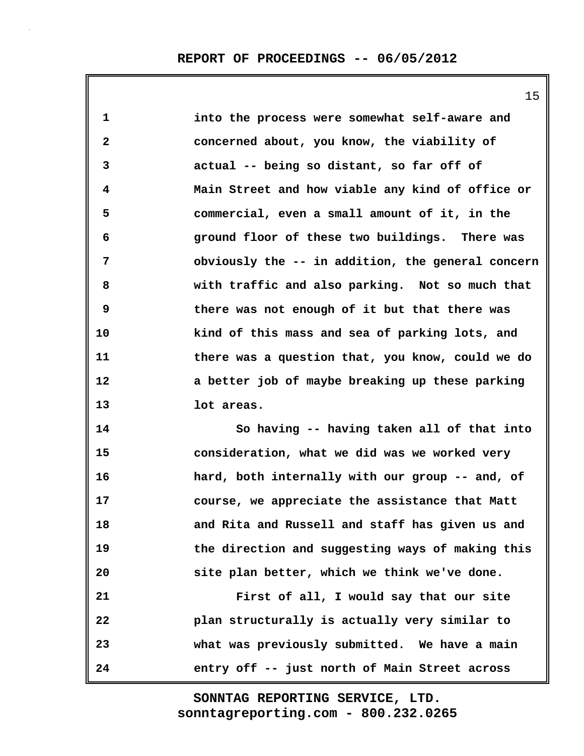15

**1 into the process were somewhat self-aware and 2 concerned about, you know, the viability of 3 actual -- being so distant, so far off of 4 Main Street and how viable any kind of office or 5 commercial, even a small amount of it, in the 6 ground floor of these two buildings. There was 7 obviously the -- in addition, the general concern 8 with traffic and also parking. Not so much that 9 there was not enough of it but that there was 10 kind of this mass and sea of parking lots, and 11 there was a question that, you know, could we do 12 a better job of maybe breaking up these parking 13 lot areas. 14 So having -- having taken all of that into**

**15 consideration, what we did was we worked very 16 hard, both internally with our group -- and, of 17 course, we appreciate the assistance that Matt 18 and Rita and Russell and staff has given us and 19 the direction and suggesting ways of making this 20 site plan better, which we think we've done.**

**21 First of all, I would say that our site 22 plan structurally is actually very similar to 23 what was previously submitted. We have a main 24 entry off -- just north of Main Street across**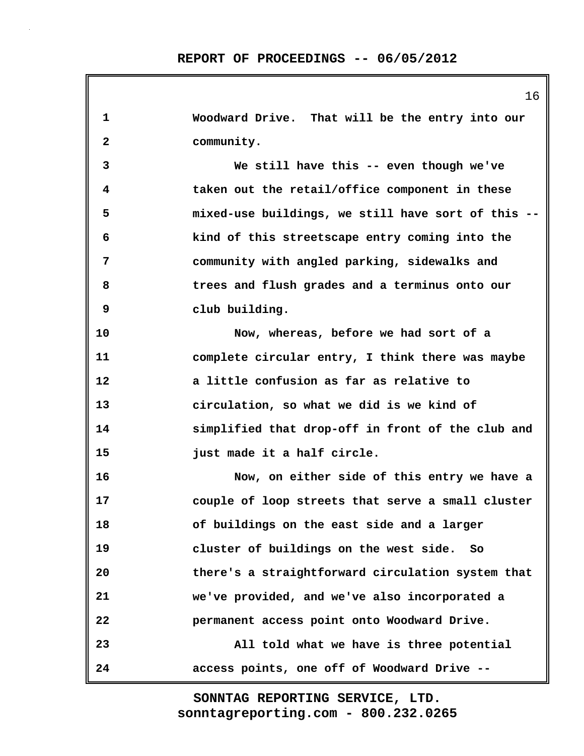|              | 16                                                 |
|--------------|----------------------------------------------------|
| $\mathbf 1$  | Woodward Drive. That will be the entry into our    |
| $\mathbf{2}$ | community.                                         |
| 3            | We still have this -- even though we've            |
| 4            | taken out the retail/office component in these     |
| 5            | mixed-use buildings, we still have sort of this -- |
| 6            | kind of this streetscape entry coming into the     |
| 7            | community with angled parking, sidewalks and       |
| 8            | trees and flush grades and a terminus onto our     |
| 9            | club building.                                     |
| 10           | Now, whereas, before we had sort of a              |
| 11           | complete circular entry, I think there was maybe   |
| 12           | a little confusion as far as relative to           |
| 13           | circulation, so what we did is we kind of          |
| 14           | simplified that drop-off in front of the club and  |
| 15           | just made it a half circle.                        |
| 16           | Now, on either side of this entry we have a        |
| 17           | couple of loop streets that serve a small cluster  |
| 18           | of buildings on the east side and a larger         |
| 19           | cluster of buildings on the west side. So          |
| 20           | there's a straightforward circulation system that  |
| 21           | we've provided, and we've also incorporated a      |
| 22           | permanent access point onto Woodward Drive.        |
| 23           | All told what we have is three potential           |
| 24           | access points, one off of Woodward Drive --        |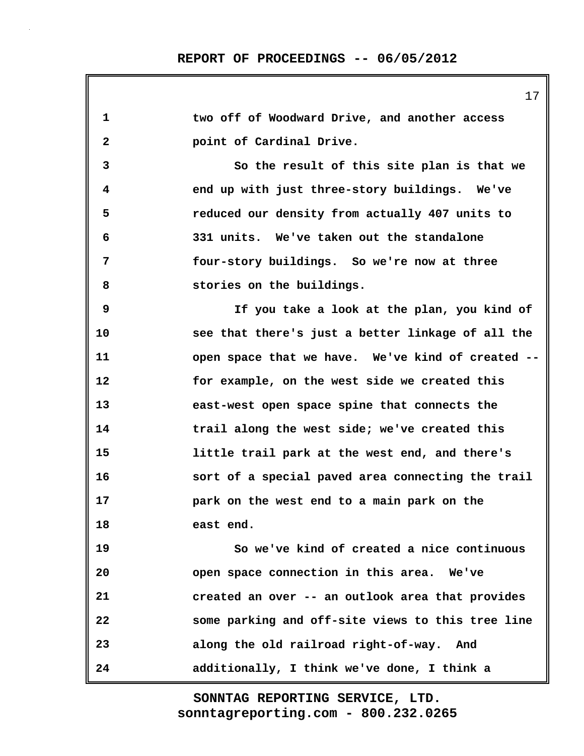**1 two off of Woodward Drive, and another access 2 point of Cardinal Drive. 3 So the result of this site plan is that we 4 end up with just three-story buildings. We've 5 reduced our density from actually 407 units to 6 331 units. We've taken out the standalone 7 four-story buildings. So we're now at three 8 stories on the buildings. 9 If you take a look at the plan, you kind of 10 see that there's just a better linkage of all the 11 open space that we have. We've kind of created -- 12 for example, on the west side we created this 13 east-west open space spine that connects the 14 trail along the west side; we've created this 15 little trail park at the west end, and there's 16 sort of a special paved area connecting the trail 17 park on the west end to a main park on the 18 east end. 19 So we've kind of created a nice continuous 20 open space connection in this area. We've 21 created an over -- an outlook area that provides 22 some parking and off-site views to this tree line 23 along the old railroad right-of-way. And 24 additionally, I think we've done, I think a**

> **sonntagreporting.com - 800.232.0265 SONNTAG REPORTING SERVICE, LTD.**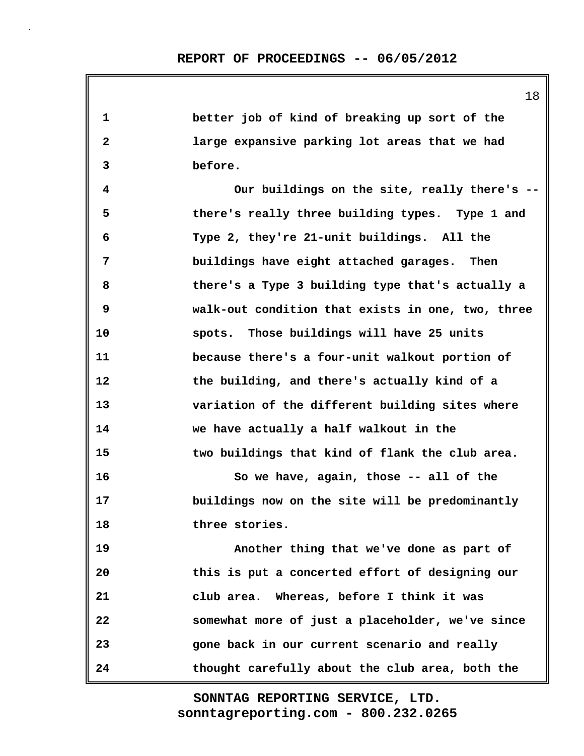18 **1 better job of kind of breaking up sort of the 2 large expansive parking lot areas that we had 3 before. 4 Our buildings on the site, really there's -- 5 there's really three building types. Type 1 and 6 Type 2, they're 21-unit buildings. All the 7 buildings have eight attached garages. Then 8 there's a Type 3 building type that's actually a 9 walk-out condition that exists in one, two, three 10 spots. Those buildings will have 25 units 11 because there's a four-unit walkout portion of 12 the building, and there's actually kind of a 13 variation of the different building sites where 14 we have actually a half walkout in the 15 two buildings that kind of flank the club area. 16 So we have, again, those -- all of the 17 buildings now on the site will be predominantly 18 three stories. 19 Another thing that we've done as part of 20 this is put a concerted effort of designing our 21 club area. Whereas, before I think it was 22 somewhat more of just a placeholder, we've since 23 gone back in our current scenario and really 24 thought carefully about the club area, both the**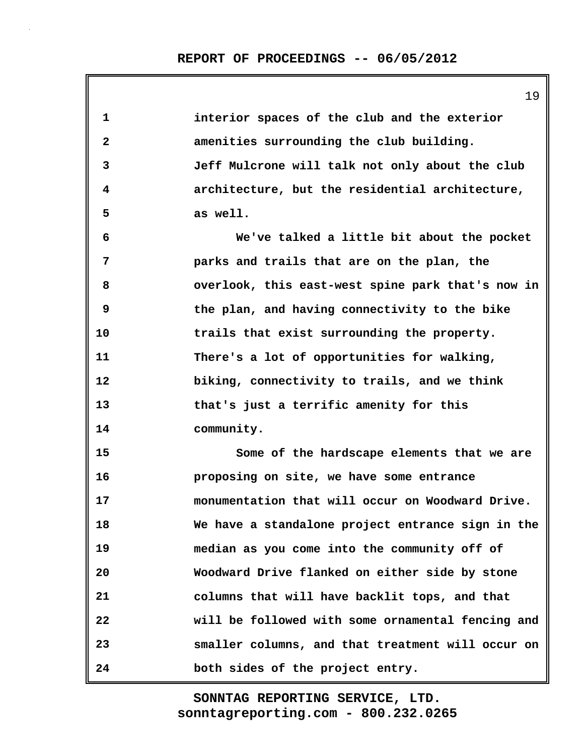19

| $\mathbf{1}$ | interior spaces of the club and the exterior      |
|--------------|---------------------------------------------------|
| $\mathbf{2}$ | amenities surrounding the club building.          |
| 3            | Jeff Mulcrone will talk not only about the club   |
| 4            | architecture, but the residential architecture,   |
| 5            | as well.                                          |
| 6            | We've talked a little bit about the pocket        |
| 7            | parks and trails that are on the plan, the        |
| 8            | overlook, this east-west spine park that's now in |
| 9            | the plan, and having connectivity to the bike     |
| 10           | trails that exist surrounding the property.       |
| 11           | There's a lot of opportunities for walking,       |
| 12           | biking, connectivity to trails, and we think      |
| 13           | that's just a terrific amenity for this           |
| 14           | community.                                        |
| 15           | Some of the hardscape elements that we are        |
| 16           | proposing on site, we have some entrance          |
| 17           | monumentation that will occur on Woodward Drive.  |
| 18           | We have a standalone project entrance sign in the |
| 19           | median as you come into the community off of      |
| 20           | Woodward Drive flanked on either side by stone    |
| 21           | columns that will have backlit tops, and that     |
| 22           | will be followed with some ornamental fencing and |
| 23           | smaller columns, and that treatment will occur on |
| 24           | both sides of the project entry.                  |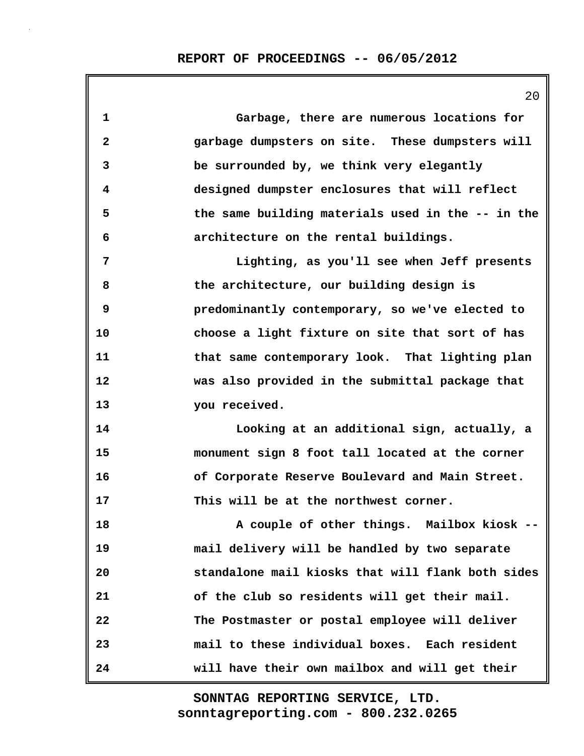|              | ∠ ∪                                               |
|--------------|---------------------------------------------------|
| $\mathbf{1}$ | Garbage, there are numerous locations for         |
| $\mathbf{2}$ | garbage dumpsters on site. These dumpsters will   |
| 3            | be surrounded by, we think very elegantly         |
| 4            | designed dumpster enclosures that will reflect    |
| 5            | the same building materials used in the -- in the |
| 6            | architecture on the rental buildings.             |
| 7            | Lighting, as you'll see when Jeff presents        |
| 8            | the architecture, our building design is          |
| 9            | predominantly contemporary, so we've elected to   |
| 10           | choose a light fixture on site that sort of has   |
| 11           | that same contemporary look. That lighting plan   |
| 12           | was also provided in the submittal package that   |
| 13           | you received.                                     |
| 14           | Looking at an additional sign, actually, a        |
| 15           | monument sign 8 foot tall located at the corner   |
| 16           | of Corporate Reserve Boulevard and Main Street.   |
| 17           | This will be at the northwest corner.             |
| 18           | A couple of other things. Mailbox kiosk --        |
| 19           | mail delivery will be handled by two separate     |
| 20           | standalone mail kiosks that will flank both sides |
| 21           | of the club so residents will get their mail.     |
| 22           | The Postmaster or postal employee will deliver    |
| 23           | mail to these individual boxes. Each resident     |
| 24           | will have their own mailbox and will get their    |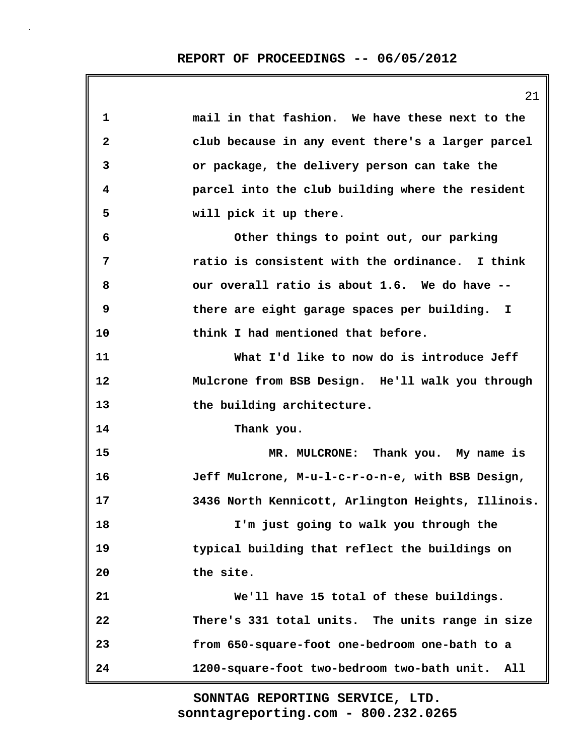|                         | 21                                                 |
|-------------------------|----------------------------------------------------|
| 1                       | mail in that fashion. We have these next to the    |
| $\overline{\mathbf{2}}$ | club because in any event there's a larger parcel  |
| 3                       | or package, the delivery person can take the       |
| 4                       | parcel into the club building where the resident   |
| 5                       | will pick it up there.                             |
| 6                       | Other things to point out, our parking             |
| 7                       | ratio is consistent with the ordinance. I think    |
| 8                       | our overall ratio is about 1.6. We do have --      |
| 9                       | there are eight garage spaces per building. I      |
| 10                      | think I had mentioned that before.                 |
| 11                      | What I'd like to now do is introduce Jeff          |
| 12                      | Mulcrone from BSB Design. He'll walk you through   |
| 13                      | the building architecture.                         |
| 14                      | Thank you.                                         |
| 15                      | MR. MULCRONE: Thank you. My name is                |
| 16                      | Jeff Mulcrone, M-u-l-c-r-o-n-e, with BSB Design,   |
| 17                      | 3436 North Kennicott, Arlington Heights, Illinois. |
| 18                      | I'm just going to walk you through the             |
| 19                      | typical building that reflect the buildings on     |
| 20                      | the site.                                          |
| 21                      | We'll have 15 total of these buildings.            |
| 22                      | There's 331 total units. The units range in size   |
| 23                      | from 650-square-foot one-bedroom one-bath to a     |
| 24                      | 1200-square-foot two-bedroom two-bath unit.<br>All |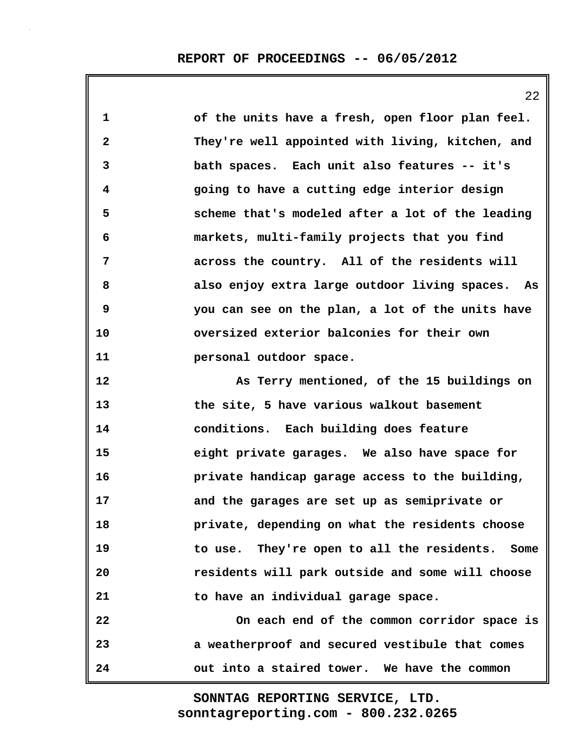**1 of the units have a fresh, open floor plan feel. 2 They're well appointed with living, kitchen, and 3 bath spaces. Each unit also features -- it's 4 going to have a cutting edge interior design 5 scheme that's modeled after a lot of the leading 6 markets, multi-family projects that you find 7 across the country. All of the residents will 8 also enjoy extra large outdoor living spaces. As 9 you can see on the plan, a lot of the units have 10 oversized exterior balconies for their own 11 personal outdoor space. 12 As Terry mentioned, of the 15 buildings on 13 the site, 5 have various walkout basement 14 conditions. Each building does feature 15 eight private garages. We also have space for 16 private handicap garage access to the building, 17 and the garages are set up as semiprivate or 18 private, depending on what the residents choose 19 to use. They're open to all the residents. Some 20 residents will park outside and some will choose 21 to have an individual garage space. 22 On each end of the common corridor space is**

**23 a weatherproof and secured vestibule that comes 24 out into a staired tower. We have the common**

> **sonntagreporting.com - 800.232.0265 SONNTAG REPORTING SERVICE, LTD.**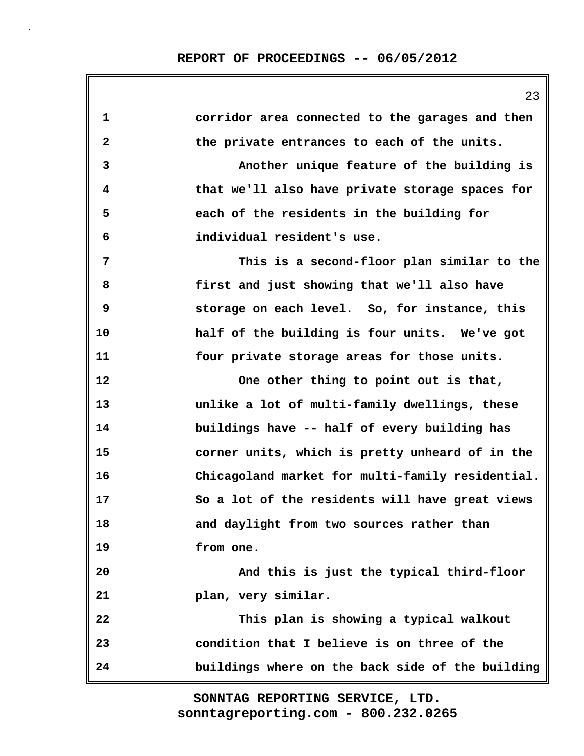| corridor area connected to the garages and then  |
|--------------------------------------------------|
| the private entrances to each of the units.      |
| Another unique feature of the building is        |
| that we'll also have private storage spaces for  |
| each of the residents in the building for        |
| individual resident's use.                       |
| This is a second-floor plan similar to the       |
| first and just showing that we'll also have      |
| storage on each level. So, for instance, this    |
| half of the building is four units. We've got    |
| four private storage areas for those units.      |
| One other thing to point out is that,            |
| unlike a lot of multi-family dwellings, these    |
| buildings have -- half of every building has     |
| corner units, which is pretty unheard of in the  |
| Chicagoland market for multi-family residential. |
| So a lot of the residents will have great views  |
| and daylight from two sources rather than        |
| from one.                                        |
| And this is just the typical third-floor         |
| plan, very similar.                              |
| This plan is showing a typical walkout           |
| condition that I believe is on three of the      |
| buildings where on the back side of the building |
|                                                  |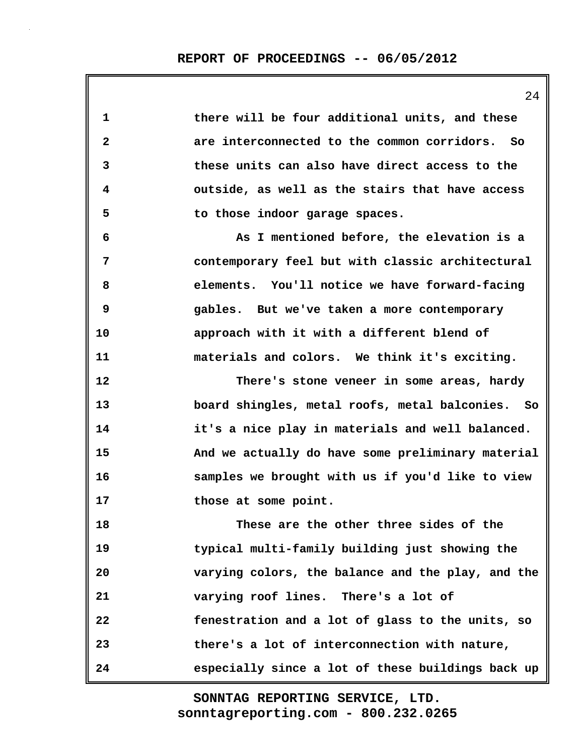| 1            | there will be four additional units, and these    |
|--------------|---------------------------------------------------|
| $\mathbf{2}$ | are interconnected to the common corridors. So    |
| 3            | these units can also have direct access to the    |
| 4            | outside, as well as the stairs that have access   |
| 5            | to those indoor garage spaces.                    |
| 6            | As I mentioned before, the elevation is a         |
| 7            | contemporary feel but with classic architectural  |
| 8            | elements. You'll notice we have forward-facing    |
| 9            | gables. But we've taken a more contemporary       |
| 10           | approach with it with a different blend of        |
| 11           | materials and colors. We think it's exciting.     |
| 12           | There's stone veneer in some areas, hardy         |
| 13           | board shingles, metal roofs, metal balconies. So  |
| 14           | it's a nice play in materials and well balanced.  |
| 15           | And we actually do have some preliminary material |
| 16           | samples we brought with us if you'd like to view  |
| 17           | those at some point.                              |
| 18           | These are the other three sides of the            |
| 19           | typical multi-family building just showing the    |
| 20           | varying colors, the balance and the play, and the |
| 21           | varying roof lines. There's a lot of              |
| 22           | fenestration and a lot of glass to the units, so  |
| 23           | there's a lot of interconnection with nature,     |
| 24           | especially since a lot of these buildings back up |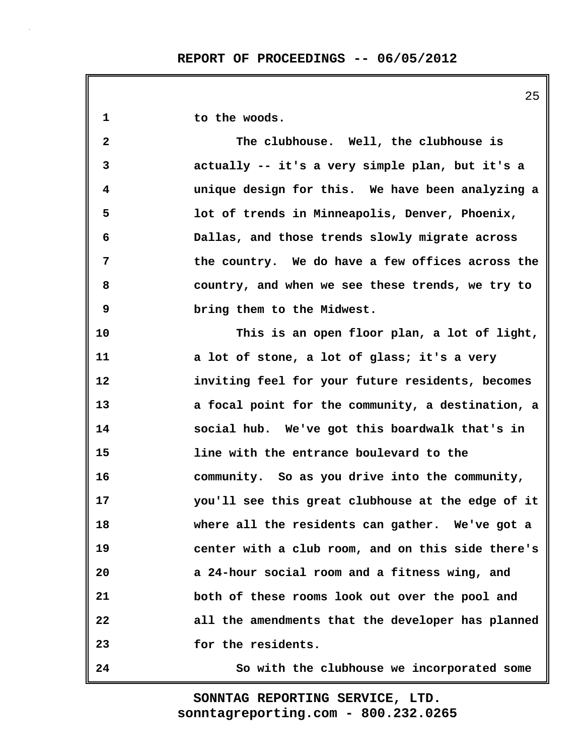| 1            | to the woods.                                     |
|--------------|---------------------------------------------------|
| $\mathbf{2}$ | The clubhouse. Well, the clubhouse is             |
| 3            | actually -- it's a very simple plan, but it's a   |
| 4            | unique design for this. We have been analyzing a  |
| 5            | lot of trends in Minneapolis, Denver, Phoenix,    |
| 6            | Dallas, and those trends slowly migrate across    |
| 7            | the country. We do have a few offices across the  |
| 8            | country, and when we see these trends, we try to  |
| 9            | bring them to the Midwest.                        |
| 10           | This is an open floor plan, a lot of light,       |
| 11           | a lot of stone, a lot of glass; it's a very       |
| 12           | inviting feel for your future residents, becomes  |
| 13           | a focal point for the community, a destination, a |
| 14           | social hub. We've got this boardwalk that's in    |
| 15           | line with the entrance boulevard to the           |
| 16           | community. So as you drive into the community,    |
| 17           | you'll see this great clubhouse at the edge of it |
| 18           | where all the residents can gather. We've got a   |
| 19           | center with a club room, and on this side there's |
| 20           | a 24-hour social room and a fitness wing, and     |
| 21           | both of these rooms look out over the pool and    |
| 22           | all the amendments that the developer has planned |
| 23           | for the residents.                                |
| 24           | So with the clubhouse we incorporated some        |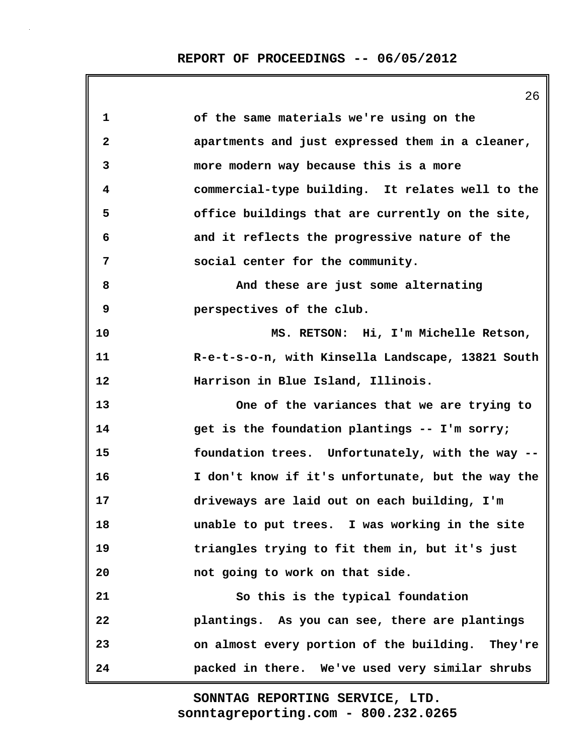| 1            | of the same materials we're using on the          |
|--------------|---------------------------------------------------|
| $\mathbf{2}$ | apartments and just expressed them in a cleaner,  |
| 3            | more modern way because this is a more            |
| 4            | commercial-type building. It relates well to the  |
| 5            | office buildings that are currently on the site,  |
| 6            | and it reflects the progressive nature of the     |
| 7            | social center for the community.                  |
| 8            | And these are just some alternating               |
| 9            | perspectives of the club.                         |
| 10           | MS. RETSON: Hi, I'm Michelle Retson,              |
| 11           | R-e-t-s-o-n, with Kinsella Landscape, 13821 South |
| 12           | Harrison in Blue Island, Illinois.                |
| 13           | One of the variances that we are trying to        |
| 14           | get is the foundation plantings -- I'm sorry;     |
| 15           | foundation trees. Unfortunately, with the way --  |
| 16           | I don't know if it's unfortunate, but the way the |
| 17           | driveways are laid out on each building, I'm      |
| 18           | unable to put trees. I was working in the site    |
| 19           | triangles trying to fit them in, but it's just    |
| 20           | not going to work on that side.                   |
| 21           | So this is the typical foundation                 |
| 22           | plantings. As you can see, there are plantings    |
| 23           | on almost every portion of the building. They're  |
| 24           | packed in there. We've used very similar shrubs   |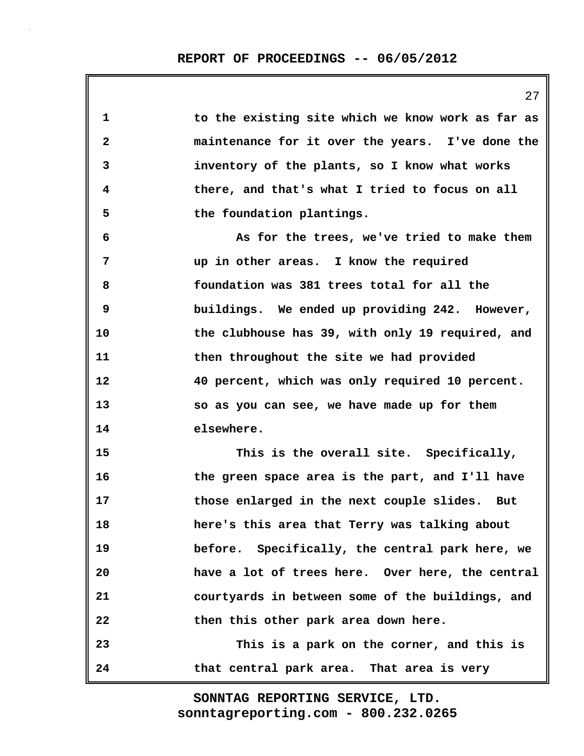| 1            | to the existing site which we know work as far as |
|--------------|---------------------------------------------------|
| $\mathbf{2}$ | maintenance for it over the years. I've done the  |
| 3            | inventory of the plants, so I know what works     |
| 4            | there, and that's what I tried to focus on all    |
| 5            | the foundation plantings.                         |
| 6            | As for the trees, we've tried to make them        |
| 7            | up in other areas. I know the required            |
| 8            | foundation was 381 trees total for all the        |
| 9            | buildings. We ended up providing 242. However,    |
| 10           | the clubhouse has 39, with only 19 required, and  |
| 11           | then throughout the site we had provided          |
| 12           | 40 percent, which was only required 10 percent.   |
| 13           | so as you can see, we have made up for them       |
| 14           | elsewhere.                                        |
| 15           | This is the overall site. Specifically,           |
| 16           | the green space area is the part, and I'll have   |
| 17           | those enlarged in the next couple slides. But     |
| 18           | here's this area that Terry was talking about     |
| 19           | before. Specifically, the central park here, we   |
| 20           | have a lot of trees here. Over here, the central  |
| 21           | courtyards in between some of the buildings, and  |
| 22           | then this other park area down here.              |
| 23           | This is a park on the corner, and this is         |
| 24           | that central park area. That area is very         |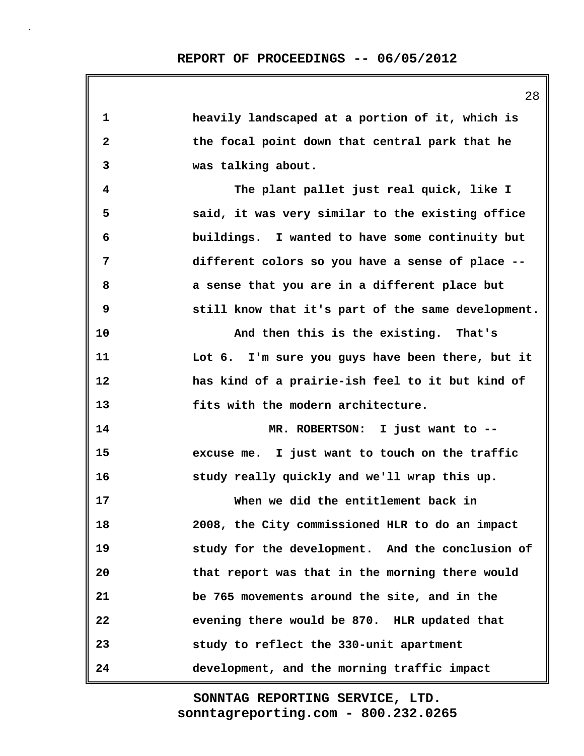| 1                       | heavily landscaped at a portion of it, which is    |
|-------------------------|----------------------------------------------------|
| $\overline{\mathbf{2}}$ | the focal point down that central park that he     |
| 3                       | was talking about.                                 |
| 4                       | The plant pallet just real quick, like I           |
| 5                       | said, it was very similar to the existing office   |
| 6                       | buildings. I wanted to have some continuity but    |
| 7                       | different colors so you have a sense of place --   |
| 8                       | a sense that you are in a different place but      |
| 9                       | still know that it's part of the same development. |
| 10                      | And then this is the existing. That's              |
| 11                      | Lot 6. I'm sure you guys have been there, but it   |
| 12                      | has kind of a prairie-ish feel to it but kind of   |
| 13                      | fits with the modern architecture.                 |
| 14                      | MR. ROBERTSON: I just want to --                   |
| 15                      | excuse me. I just want to touch on the traffic     |
| 16                      | study really quickly and we'll wrap this up.       |
| 17                      | When we did the entitlement back in                |
| 18                      | 2008, the City commissioned HLR to do an impact    |
| 19                      | study for the development. And the conclusion of   |
| 20                      | that report was that in the morning there would    |
| 21                      | be 765 movements around the site, and in the       |
| 22                      | evening there would be 870. HLR updated that       |
| 23                      | study to reflect the 330-unit apartment            |
| 24                      | development, and the morning traffic impact        |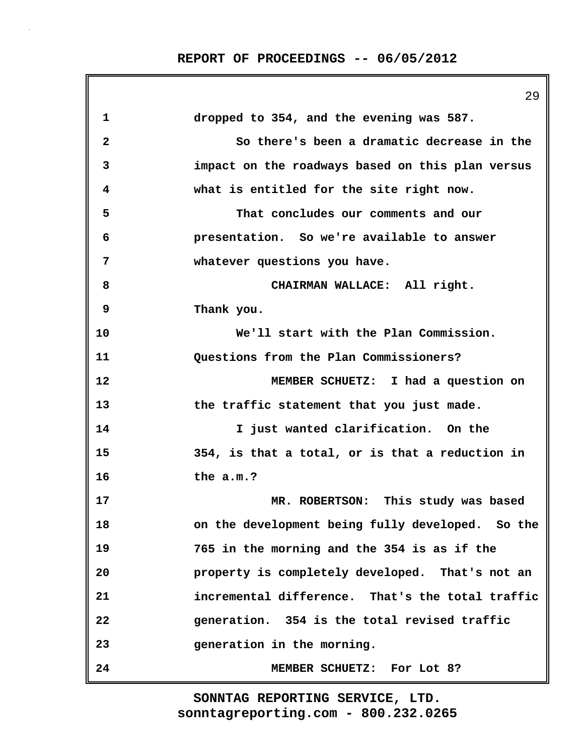|                         | 29                                               |
|-------------------------|--------------------------------------------------|
| 1                       | dropped to 354, and the evening was 587.         |
| $\overline{\mathbf{2}}$ | So there's been a dramatic decrease in the       |
| 3                       | impact on the roadways based on this plan versus |
| 4                       | what is entitled for the site right now.         |
| 5                       | That concludes our comments and our              |
| 6                       | presentation. So we're available to answer       |
| 7                       | whatever questions you have.                     |
| 8                       | CHAIRMAN WALLACE: All right.                     |
| 9                       | Thank you.                                       |
| 10                      | We'll start with the Plan Commission.            |
| 11                      | Questions from the Plan Commissioners?           |
| 12                      | MEMBER SCHUETZ: I had a question on              |
| 13                      | the traffic statement that you just made.        |
| 14                      | I just wanted clarification. On the              |
| 15                      | 354, is that a total, or is that a reduction in  |
| 16                      | the a.m.?                                        |
| 17                      | MR. ROBERTSON: This study was based              |
| 18                      | on the development being fully developed. So the |
| 19                      | 765 in the morning and the 354 is as if the      |
| 20                      | property is completely developed. That's not an  |
| 21                      | incremental difference. That's the total traffic |
| 22                      | generation. 354 is the total revised traffic     |
| 23                      | generation in the morning.                       |
| 24                      | MEMBER SCHUETZ: For Lot 8?                       |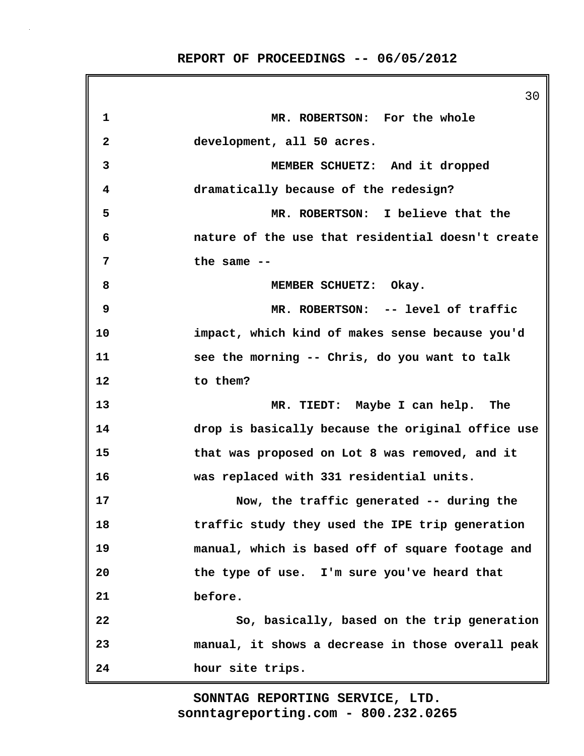|              | 30                                                |
|--------------|---------------------------------------------------|
| 1            | MR. ROBERTSON: For the whole                      |
| $\mathbf{2}$ | development, all 50 acres.                        |
| 3            | MEMBER SCHUETZ: And it dropped                    |
| 4            | dramatically because of the redesign?             |
| 5            | MR. ROBERTSON: I believe that the                 |
| 6            | nature of the use that residential doesn't create |
| 7            | the same $-$                                      |
| 8            | MEMBER SCHUETZ: Okay.                             |
| 9            | MR. ROBERTSON: -- level of traffic                |
| 10           | impact, which kind of makes sense because you'd   |
| 11           | see the morning -- Chris, do you want to talk     |
| 12           | to them?                                          |
| 13           | MR. TIEDT: Maybe I can help. The                  |
| 14           | drop is basically because the original office use |
| 15           | that was proposed on Lot 8 was removed, and it    |
| 16           | was replaced with 331 residential units.          |
| 17           | Now, the traffic generated -- during the          |
| 18           | traffic study they used the IPE trip generation   |
| 19           | manual, which is based off of square footage and  |
| 20           | the type of use. I'm sure you've heard that       |
| 21           | before.                                           |
| 22           | So, basically, based on the trip generation       |
| 23           | manual, it shows a decrease in those overall peak |
| 24           | hour site trips.                                  |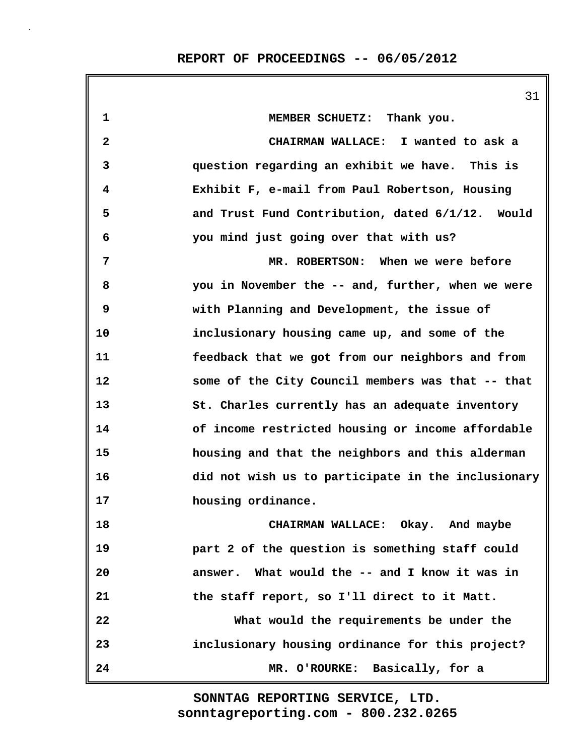|              | 31                                                 |
|--------------|----------------------------------------------------|
| $\mathbf 1$  | MEMBER SCHUETZ: Thank you.                         |
| $\mathbf{2}$ | CHAIRMAN WALLACE: I wanted to ask a                |
| 3            | question regarding an exhibit we have. This is     |
| 4            | Exhibit F, e-mail from Paul Robertson, Housing     |
| 5            | and Trust Fund Contribution, dated 6/1/12. Would   |
| 6            | you mind just going over that with us?             |
| 7            | MR. ROBERTSON: When we were before                 |
| 8            | you in November the -- and, further, when we were  |
| 9            | with Planning and Development, the issue of        |
| 10           | inclusionary housing came up, and some of the      |
| 11           | feedback that we got from our neighbors and from   |
| $12 \,$      | some of the City Council members was that -- that  |
| 13           | St. Charles currently has an adequate inventory    |
| 14           | of income restricted housing or income affordable  |
| 15           | housing and that the neighbors and this alderman   |
| 16           | did not wish us to participate in the inclusionary |
| 17           | housing ordinance.                                 |
| 18           | CHAIRMAN WALLACE: Okay. And maybe                  |
| 19           | part 2 of the question is something staff could    |
| 20           | answer. What would the -- and I know it was in     |
| 21           | the staff report, so I'll direct to it Matt.       |
| 22           | What would the requirements be under the           |
| 23           | inclusionary housing ordinance for this project?   |
| 24           | MR. O'ROURKE: Basically, for a                     |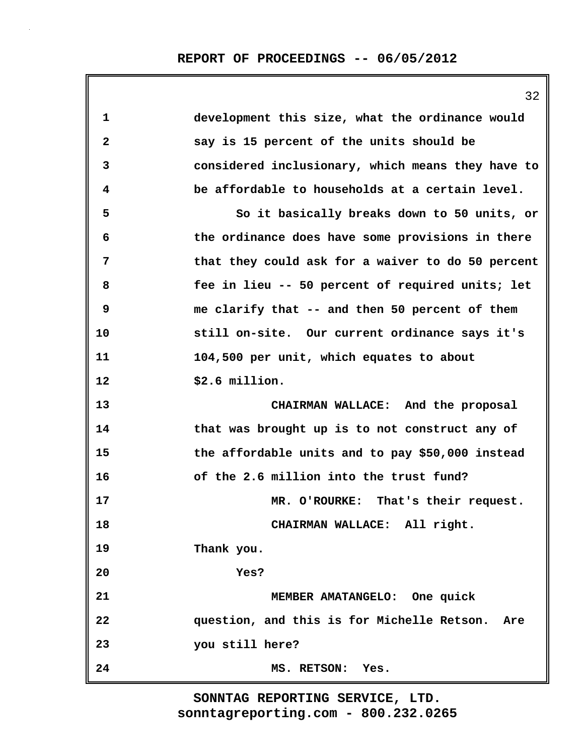|              | 32                                                |
|--------------|---------------------------------------------------|
| $\mathbf 1$  | development this size, what the ordinance would   |
| $\mathbf{2}$ | say is 15 percent of the units should be          |
| 3            | considered inclusionary, which means they have to |
| 4            | be affordable to households at a certain level.   |
| 5            | So it basically breaks down to 50 units, or       |
| 6            | the ordinance does have some provisions in there  |
| 7            | that they could ask for a waiver to do 50 percent |
| 8            | fee in lieu -- 50 percent of required units; let  |
| 9            | me clarify that -- and then 50 percent of them    |
| 10           | still on-site. Our current ordinance says it's    |
| 11           | 104,500 per unit, which equates to about          |
| 12           | \$2.6 million.                                    |
| 13           | CHAIRMAN WALLACE: And the proposal                |
| 14           | that was brought up is to not construct any of    |
| 15           | the affordable units and to pay \$50,000 instead  |
| 16           | of the 2.6 million into the trust fund?           |
| 17           | MR. O'ROURKE: That's their request.               |
| 18           | CHAIRMAN WALLACE: All right.                      |
| 19           | Thank you.                                        |
| 20           | Yes?                                              |
| 21           | MEMBER AMATANGELO: One quick                      |
| 22           | question, and this is for Michelle Retson. Are    |
| 23           | you still here?                                   |
| 24           | MS. RETSON:<br>Yes.                               |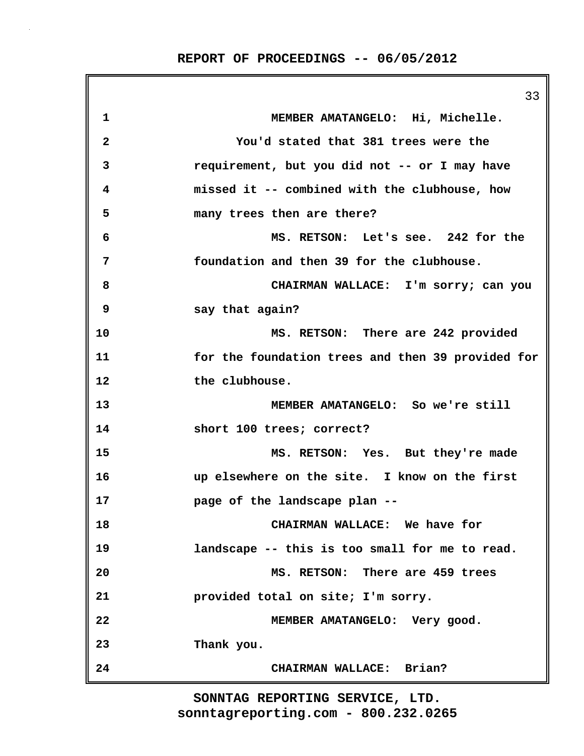|              | 33                                                |
|--------------|---------------------------------------------------|
| $\mathbf 1$  | MEMBER AMATANGELO: Hi, Michelle.                  |
| $\mathbf{2}$ | You'd stated that 381 trees were the              |
| 3            | requirement, but you did not -- or I may have     |
| 4            | missed it -- combined with the clubhouse, how     |
| 5            | many trees then are there?                        |
| 6            | MS. RETSON: Let's see. 242 for the                |
| 7            | foundation and then 39 for the clubhouse.         |
| 8            | CHAIRMAN WALLACE: I'm sorry; can you              |
| 9            | say that again?                                   |
| 10           | MS. RETSON: There are 242 provided                |
| 11           | for the foundation trees and then 39 provided for |
| 12           | the clubhouse.                                    |
| 13           | MEMBER AMATANGELO: So we're still                 |
| 14           | short 100 trees; correct?                         |
| 15           | MS. RETSON: Yes. But they're made                 |
| 16           | up elsewhere on the site. I know on the first     |
| 17           | page of the landscape plan --                     |
| 18           | CHAIRMAN WALLACE: We have for                     |
| 19           | landscape -- this is too small for me to read.    |
| 20           | MS. RETSON: There are 459 trees                   |
| 21           | provided total on site; I'm sorry.                |
| 22           | MEMBER AMATANGELO: Very good.                     |
| 23           | Thank you.                                        |
| 24           | CHAIRMAN WALLACE: Brian?                          |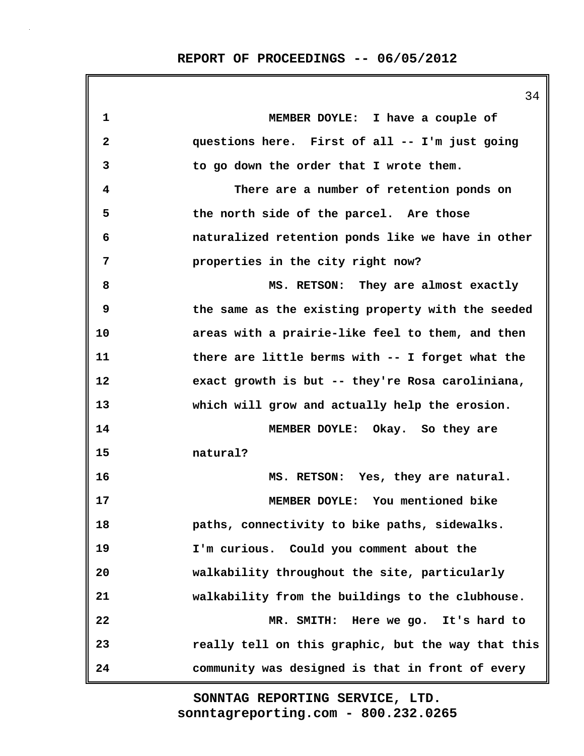|              | 34                                                 |
|--------------|----------------------------------------------------|
| 1            | MEMBER DOYLE: I have a couple of                   |
| $\mathbf{2}$ | questions here. First of all -- I'm just going     |
| 3            | to go down the order that I wrote them.            |
| 4            | There are a number of retention ponds on           |
| 5            | the north side of the parcel. Are those            |
| 6            | naturalized retention ponds like we have in other  |
| 7            | properties in the city right now?                  |
| 8            | MS. RETSON: They are almost exactly                |
| 9            | the same as the existing property with the seeded  |
| 10           | areas with a prairie-like feel to them, and then   |
| 11           | there are little berms with -- I forget what the   |
| 12           | exact growth is but -- they're Rosa caroliniana,   |
| 13           | which will grow and actually help the erosion.     |
| 14           | MEMBER DOYLE: Okay. So they are                    |
| 15           | natural?                                           |
| 16           | MS. RETSON: Yes, they are natural.                 |
| 17           | MEMBER DOYLE: You mentioned bike                   |
| 18           | paths, connectivity to bike paths, sidewalks.      |
| 19           | I'm curious. Could you comment about the           |
| 20           | walkability throughout the site, particularly      |
| 21           | walkability from the buildings to the clubhouse.   |
| 22           | MR. SMITH:<br>Here we go. It's hard to             |
| 23           | really tell on this graphic, but the way that this |
| 24           | community was designed is that in front of every   |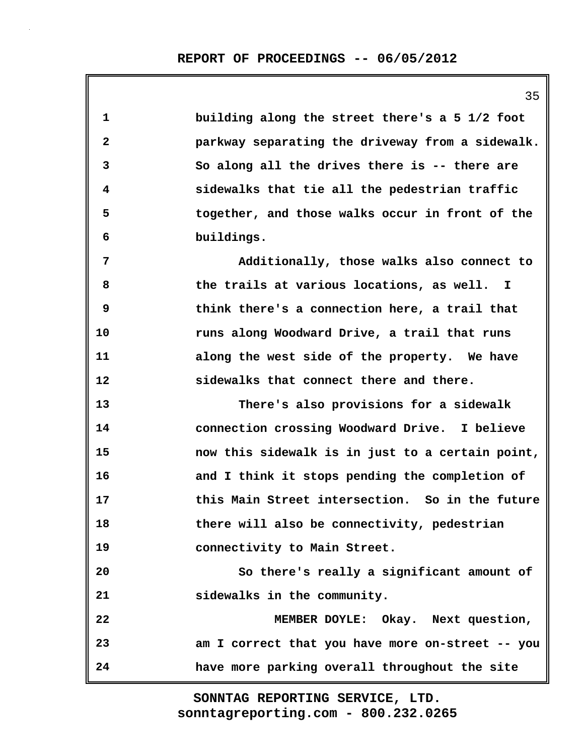| 1            | building along the street there's a 5 1/2 foot   |
|--------------|--------------------------------------------------|
| $\mathbf{2}$ | parkway separating the driveway from a sidewalk. |
| 3            | So along all the drives there is -- there are    |
| 4            | sidewalks that tie all the pedestrian traffic    |
| 5            | together, and those walks occur in front of the  |
| 6            | buildings.                                       |
| 7            | Additionally, those walks also connect to        |
| 8            | the trails at various locations, as well. I      |
| 9            | think there's a connection here, a trail that    |
| 10           | runs along Woodward Drive, a trail that runs     |
| 11           | along the west side of the property. We have     |
| 12           | sidewalks that connect there and there.          |
| 13           | There's also provisions for a sidewalk           |
| 14           | connection crossing Woodward Drive. I believe    |
| 15           | now this sidewalk is in just to a certain point, |
| 16           | and I think it stops pending the completion of   |
| 17           | this Main Street intersection. So in the future  |
| 18           | there will also be connectivity, pedestrian      |
| 19           | connectivity to Main Street.                     |
| 20           | So there's really a significant amount of        |
| 21           | sidewalks in the community.                      |
| 22           | MEMBER DOYLE: Okay. Next question,               |
| 23           | am I correct that you have more on-street -- you |
| 24           | have more parking overall throughout the site    |

35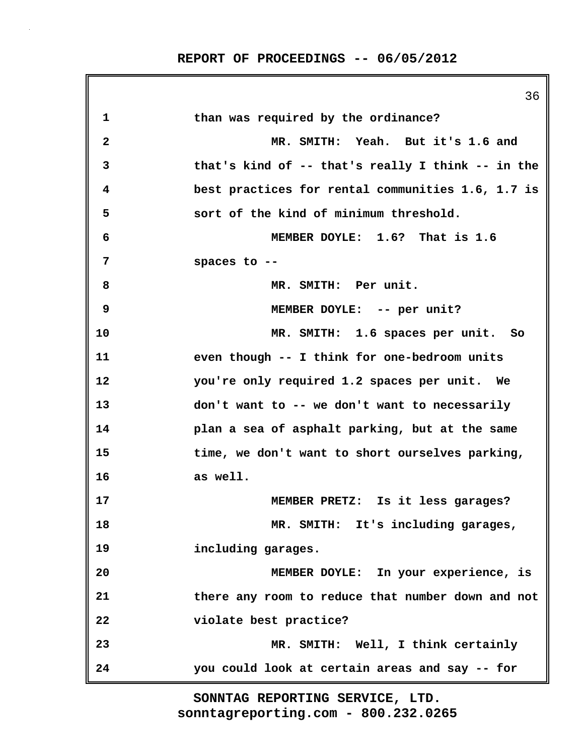|              | 36                                                |
|--------------|---------------------------------------------------|
| 1            | than was required by the ordinance?               |
| $\mathbf{2}$ | MR. SMITH: Yeah. But it's 1.6 and                 |
| 3            | that's kind of -- that's really I think -- in the |
| 4            | best practices for rental communities 1.6, 1.7 is |
| 5            | sort of the kind of minimum threshold.            |
| 6            | MEMBER DOYLE: 1.6? That is 1.6                    |
| 7            | spaces to --                                      |
| 8            | MR. SMITH: Per unit.                              |
| 9            | MEMBER DOYLE: -- per unit?                        |
| 10           | MR. SMITH: 1.6 spaces per unit. So                |
| 11           | even though -- I think for one-bedroom units      |
| 12           | you're only required 1.2 spaces per unit. We      |
| 13           | don't want to -- we don't want to necessarily     |
| 14           | plan a sea of asphalt parking, but at the same    |
| 15           | time, we don't want to short ourselves parking,   |
| 16           | as well.                                          |
| 17           | MEMBER PRETZ: Is it less garages?                 |
| 18           | MR. SMITH: It's including garages,                |
| 19           | including garages.                                |
| 20           | MEMBER DOYLE: In your experience, is              |
| 21           | there any room to reduce that number down and not |
| 22           | violate best practice?                            |
| 23           | MR. SMITH: Well, I think certainly                |
| 24           | you could look at certain areas and say -- for    |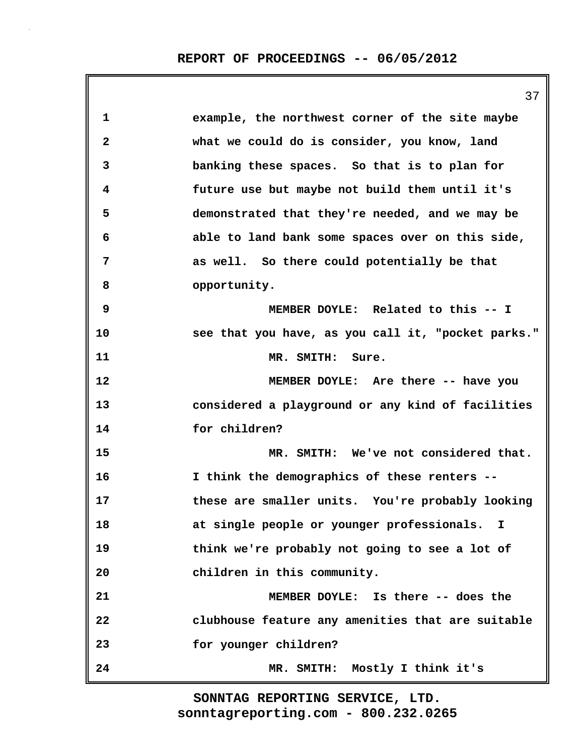|              | 37                                                 |
|--------------|----------------------------------------------------|
| 1            | example, the northwest corner of the site maybe    |
| $\mathbf{2}$ | what we could do is consider, you know, land       |
| 3            | banking these spaces. So that is to plan for       |
| 4            | future use but maybe not build them until it's     |
| 5            | demonstrated that they're needed, and we may be    |
| 6            | able to land bank some spaces over on this side,   |
| 7            | as well. So there could potentially be that        |
| 8            | opportunity.                                       |
| 9            | MEMBER DOYLE: Related to this -- I                 |
| 10           | see that you have, as you call it, "pocket parks." |
| 11           | MR. SMITH: Sure.                                   |
| 12           | MEMBER DOYLE: Are there -- have you                |
| 13           | considered a playground or any kind of facilities  |
| 14           | for children?                                      |
| 15           | MR. SMITH: We've not considered that.              |
| 16           | I think the demographics of these renters --       |
| 17           | these are smaller units. You're probably looking   |
| 18           | at single people or younger professionals. I       |
| 19           | think we're probably not going to see a lot of     |
| 20           | children in this community.                        |
| 21           | MEMBER DOYLE: Is there -- does the                 |
| 22           | clubhouse feature any amenities that are suitable  |
| 23           | for younger children?                              |
| 24           | MR. SMITH: Mostly I think it's                     |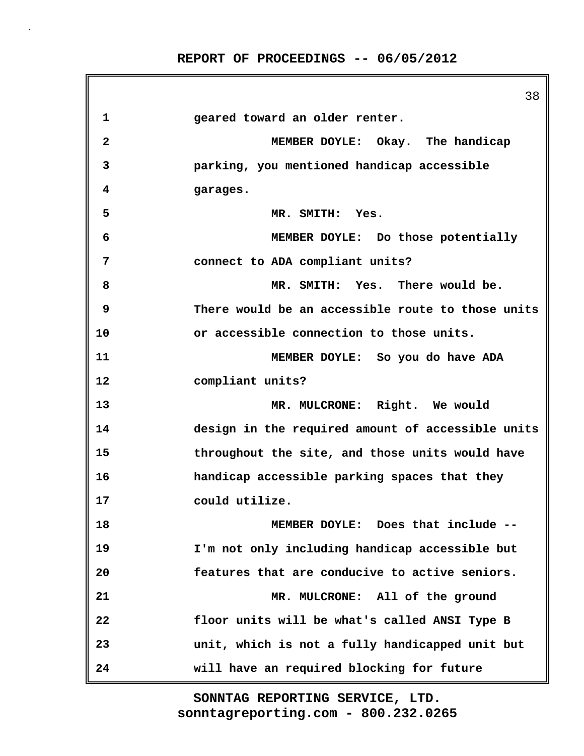38 **1 geared toward an older renter. 2 MEMBER DOYLE: Okay. The handicap 3 parking, you mentioned handicap accessible 4 garages. 5 MR. SMITH: Yes. 6 MEMBER DOYLE: Do those potentially 7 connect to ADA compliant units? 8 MR. SMITH: Yes. There would be. 9 There would be an accessible route to those units 10 or accessible connection to those units. 11 MEMBER DOYLE: So you do have ADA 12 compliant units? 13 MR. MULCRONE: Right. We would 14 design in the required amount of accessible units 15 throughout the site, and those units would have 16 handicap accessible parking spaces that they 17 could utilize. 18 MEMBER DOYLE: Does that include -- 19 I'm not only including handicap accessible but 20 features that are conducive to active seniors. 21 MR. MULCRONE: All of the ground 22 floor units will be what's called ANSI Type B 23 unit, which is not a fully handicapped unit but 24 will have an required blocking for future**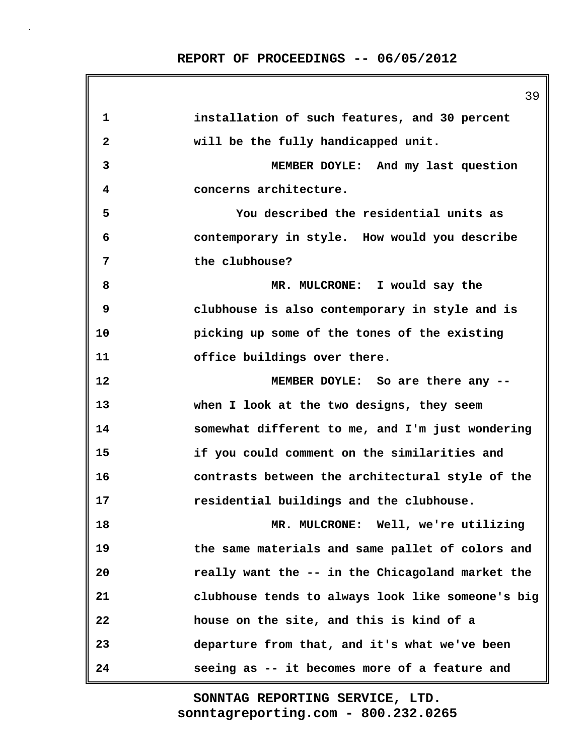**1 installation of such features, and 30 percent 2 will be the fully handicapped unit. 3 MEMBER DOYLE: And my last question 4 concerns architecture. 5 You described the residential units as 6 contemporary in style. How would you describe 7 the clubhouse? 8 MR. MULCRONE: I would say the 9 clubhouse is also contemporary in style and is 10 picking up some of the tones of the existing 11 office buildings over there. 12 MEMBER DOYLE: So are there any -- 13 when I look at the two designs, they seem 14 somewhat different to me, and I'm just wondering 15 if you could comment on the similarities and 16 contrasts between the architectural style of the 17 residential buildings and the clubhouse. 18 MR. MULCRONE: Well, we're utilizing 19 the same materials and same pallet of colors and 20 really want the -- in the Chicagoland market the 21 clubhouse tends to always look like someone's big 22 house on the site, and this is kind of a 23 departure from that, and it's what we've been 24 seeing as -- it becomes more of a feature and**

> **sonntagreporting.com - 800.232.0265 SONNTAG REPORTING SERVICE, LTD.**

39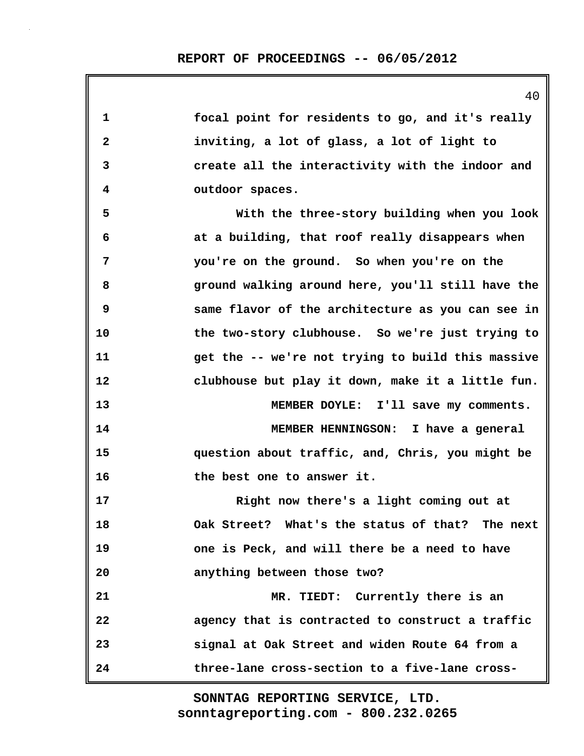| 1              | focal point for residents to go, and it's really   |
|----------------|----------------------------------------------------|
| $\overline{2}$ | inviting, a lot of glass, a lot of light to        |
| 3              | create all the interactivity with the indoor and   |
| 4              | outdoor spaces.                                    |
| 5              | With the three-story building when you look        |
| 6              | at a building, that roof really disappears when    |
| 7              | you're on the ground. So when you're on the        |
| 8              | ground walking around here, you'll still have the  |
| 9              | same flavor of the architecture as you can see in  |
| 10             | the two-story clubhouse. So we're just trying to   |
| 11             | get the -- we're not trying to build this massive  |
| 12             | clubhouse but play it down, make it a little fun.  |
| 13             | MEMBER DOYLE: I'll save my comments.               |
| 14             | MEMBER HENNINGSON: I have a general                |
| 15             | question about traffic, and, Chris, you might be   |
| 16             | the best one to answer it.                         |
| 17             | Right now there's a light coming out at            |
| 18             | Oak Street? What's the status of that?<br>The next |
| 19             | one is Peck, and will there be a need to have      |
| 20             | anything between those two?                        |
| 21             | MR. TIEDT: Currently there is an                   |
| 22             | agency that is contracted to construct a traffic   |
| 23             | signal at Oak Street and widen Route 64 from a     |
| 24             | three-lane cross-section to a five-lane cross-     |

40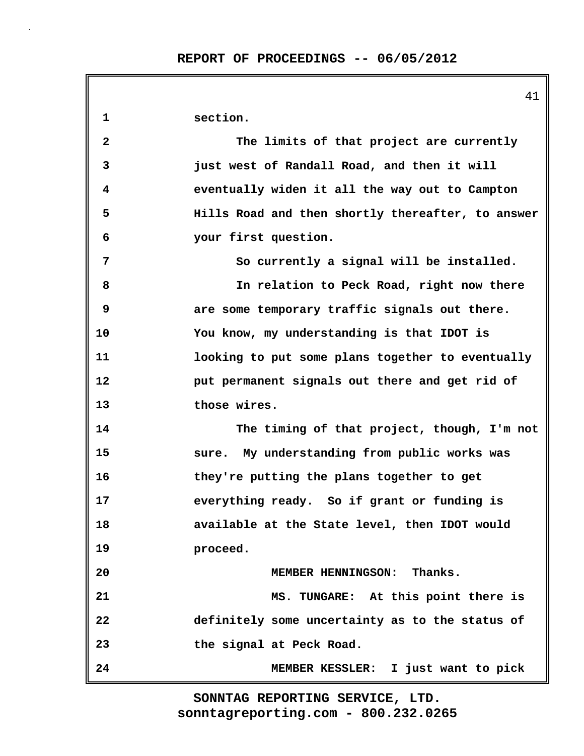41 **1 section. 2 The limits of that project are currently 3 just west of Randall Road, and then it will 4 eventually widen it all the way out to Campton 5 Hills Road and then shortly thereafter, to answer 6 your first question. 7 So currently a signal will be installed. 8 In relation to Peck Road, right now there 9 are some temporary traffic signals out there. 10 You know, my understanding is that IDOT is 11 looking to put some plans together to eventually 12 put permanent signals out there and get rid of 13 those wires. 14 The timing of that project, though, I'm not 15 sure. My understanding from public works was 16 they're putting the plans together to get 17 everything ready. So if grant or funding is 18 available at the State level, then IDOT would 19 proceed. 20 MEMBER HENNINGSON: Thanks. 21 MS. TUNGARE: At this point there is 22 definitely some uncertainty as to the status of 23 the signal at Peck Road. 24 MEMBER KESSLER: I just want to pick**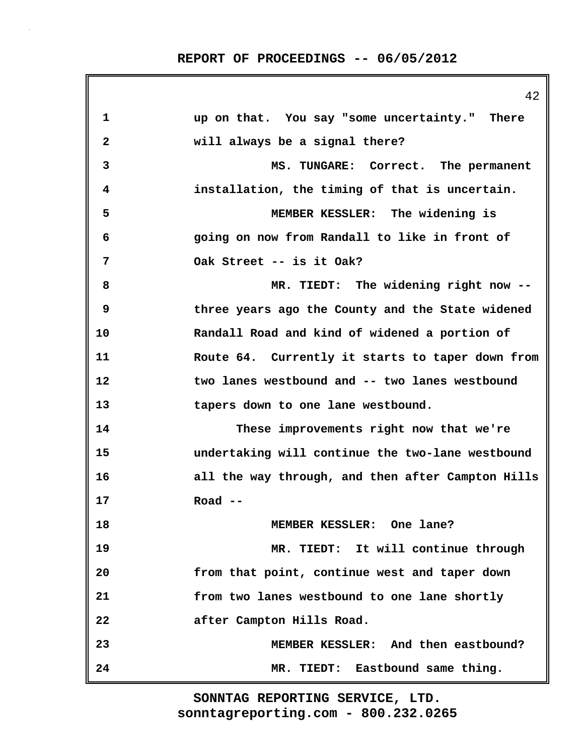|    | 94                                                |
|----|---------------------------------------------------|
| 1  | up on that. You say "some uncertainty." There     |
| 2  | will always be a signal there?                    |
| 3  | MS. TUNGARE: Correct. The permanent               |
| 4  | installation, the timing of that is uncertain.    |
| 5  | MEMBER KESSLER: The widening is                   |
| 6  | going on now from Randall to like in front of     |
| 7  | Oak Street -- is it Oak?                          |
| 8  | MR. TIEDT: The widening right now --              |
| 9  | three years ago the County and the State widened  |
| 10 | Randall Road and kind of widened a portion of     |
| 11 | Route 64. Currently it starts to taper down from  |
| 12 | two lanes westbound and -- two lanes westbound    |
| 13 | tapers down to one lane westbound.                |
| 14 | These improvements right now that we're           |
| 15 | undertaking will continue the two-lane westbound  |
| 16 | all the way through, and then after Campton Hills |
| 17 | Road $--$                                         |
| 18 | MEMBER KESSLER: One lane?                         |
| 19 | MR. TIEDT: It will continue through               |
| 20 | from that point, continue west and taper down     |
| 21 | from two lanes westbound to one lane shortly      |
| 22 | after Campton Hills Road.                         |
| 23 | MEMBER KESSLER: And then eastbound?               |
| 24 | MR. TIEDT: Eastbound same thing.                  |

**sonntagreporting.com - 800.232.0265 SONNTAG REPORTING SERVICE, LTD.**

 $42$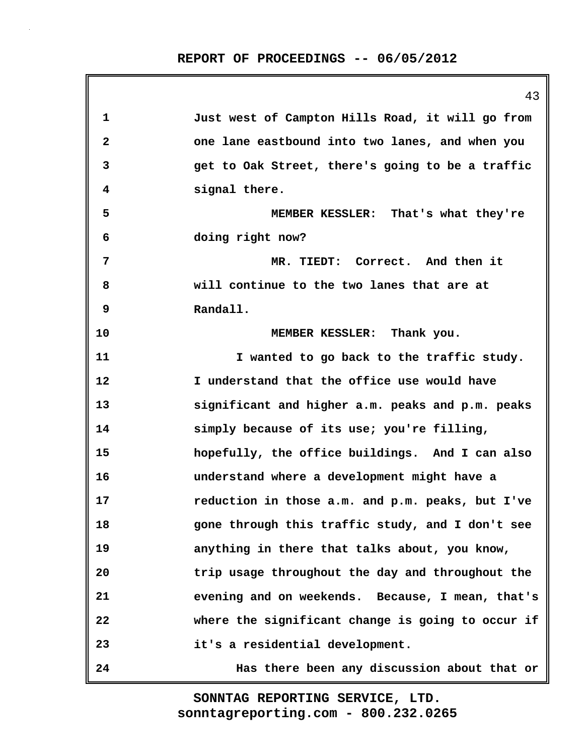43

**1 Just west of Campton Hills Road, it will go from 2 one lane eastbound into two lanes, and when you 3 get to Oak Street, there's going to be a traffic 4 signal there. 5 MEMBER KESSLER: That's what they're 6 doing right now? 7 MR. TIEDT: Correct. And then it 8 will continue to the two lanes that are at 9 Randall. 10 MEMBER KESSLER: Thank you. 11 I wanted to go back to the traffic study. 12 I understand that the office use would have 13 significant and higher a.m. peaks and p.m. peaks 14 simply because of its use; you're filling, 15 hopefully, the office buildings. And I can also 16 understand where a development might have a 17 reduction in those a.m. and p.m. peaks, but I've 18 gone through this traffic study, and I don't see 19 anything in there that talks about, you know, 20 trip usage throughout the day and throughout the 21 evening and on weekends. Because, I mean, that's 22 where the significant change is going to occur if 23 it's a residential development. 24 Has there been any discussion about that or**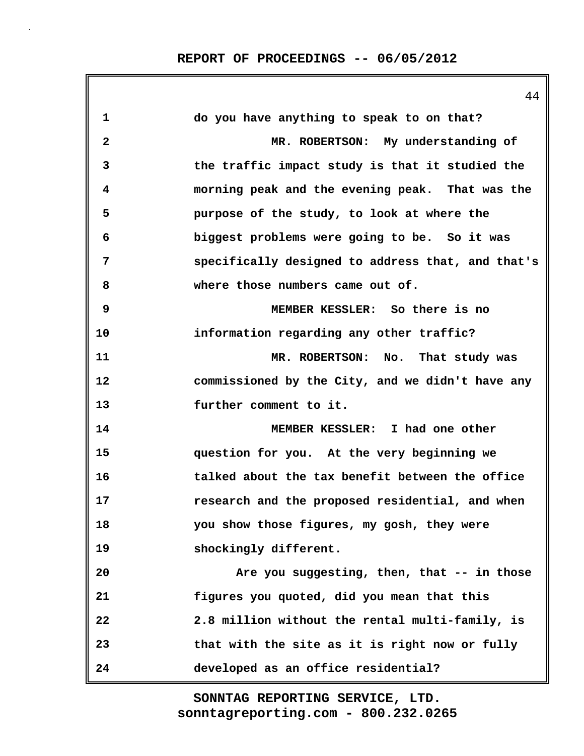44

| 1                       | do you have anything to speak to on that?         |
|-------------------------|---------------------------------------------------|
| $\overline{\mathbf{2}}$ | MR. ROBERTSON: My understanding of                |
| 3                       | the traffic impact study is that it studied the   |
| 4                       | morning peak and the evening peak. That was the   |
| 5                       | purpose of the study, to look at where the        |
| 6                       | biggest problems were going to be. So it was      |
| 7                       | specifically designed to address that, and that's |
| 8                       | where those numbers came out of.                  |
| 9                       | MEMBER KESSLER: So there is no                    |
| 10                      | information regarding any other traffic?          |
| 11                      | MR. ROBERTSON: No. That study was                 |
| 12                      | commissioned by the City, and we didn't have any  |
| 13                      | further comment to it.                            |
| 14                      | MEMBER KESSLER: I had one other                   |
| 15                      | question for you. At the very beginning we        |
| 16                      | talked about the tax benefit between the office   |
| 17                      | research and the proposed residential, and when   |
| 18                      | you show those figures, my gosh, they were        |
| 19                      | shockingly different.                             |
| 20                      | Are you suggesting, then, that -- in those        |
| 21                      | figures you quoted, did you mean that this        |
| 22                      | 2.8 million without the rental multi-family, is   |
| 23                      | that with the site as it is right now or fully    |
| 24                      | developed as an office residential?               |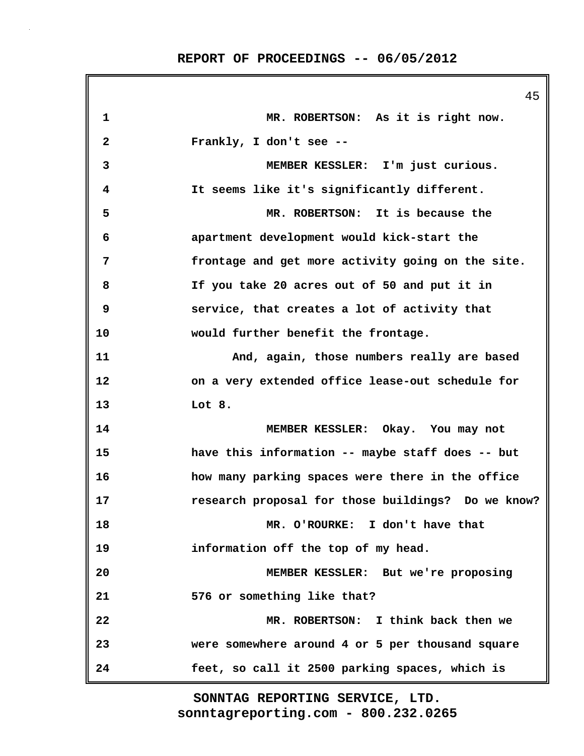|              | 45                                                 |
|--------------|----------------------------------------------------|
| 1            | MR. ROBERTSON: As it is right now.                 |
| $\mathbf{2}$ | Frankly, I don't see --                            |
| 3            | MEMBER KESSLER: I'm just curious.                  |
| 4            | It seems like it's significantly different.        |
| 5            | MR. ROBERTSON: It is because the                   |
| 6            | apartment development would kick-start the         |
| 7            | frontage and get more activity going on the site.  |
| 8            | If you take 20 acres out of 50 and put it in       |
| 9            | service, that creates a lot of activity that       |
| 10           | would further benefit the frontage.                |
| 11           | And, again, those numbers really are based         |
| 12           | on a very extended office lease-out schedule for   |
| 13           | Lot 8.                                             |
| 14           | MEMBER KESSLER: Okay. You may not                  |
| 15           | have this information -- maybe staff does -- but   |
| 16           | how many parking spaces were there in the office   |
| 17           | research proposal for those buildings? Do we know? |
| 18           | MR. O'ROURKE: I don't have that                    |
| 19           | information off the top of my head.                |
| 20           | MEMBER KESSLER: But we're proposing                |
| 21           | 576 or something like that?                        |
| 22           | MR. ROBERTSON: I think back then we                |
| 23           | were somewhere around 4 or 5 per thousand square   |
| 24           | feet, so call it 2500 parking spaces, which is     |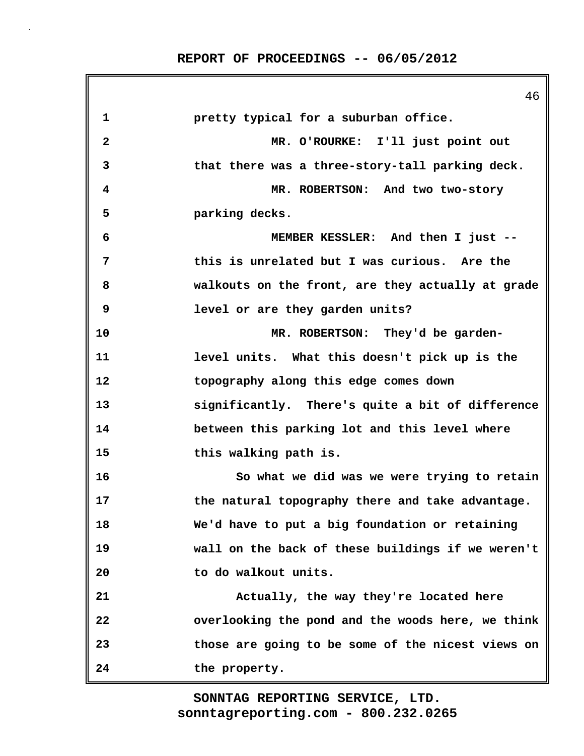46 **1 pretty typical for a suburban office. 2 MR. O'ROURKE: I'll just point out 3 that there was a three-story-tall parking deck. 4 MR. ROBERTSON: And two two-story 5 parking decks. 6 MEMBER KESSLER: And then I just -- 7 this is unrelated but I was curious. Are the 8 walkouts on the front, are they actually at grade 9 level or are they garden units? 10 MR. ROBERTSON: They'd be garden-11 level units. What this doesn't pick up is the 12 topography along this edge comes down 13 significantly. There's quite a bit of difference 14 between this parking lot and this level where 15 this walking path is. 16 So what we did was we were trying to retain 17 the natural topography there and take advantage. 18 We'd have to put a big foundation or retaining 19 wall on the back of these buildings if we weren't 20 to do walkout units. 21 Actually, the way they're located here 22 overlooking the pond and the woods here, we think 23 those are going to be some of the nicest views on 24 the property.**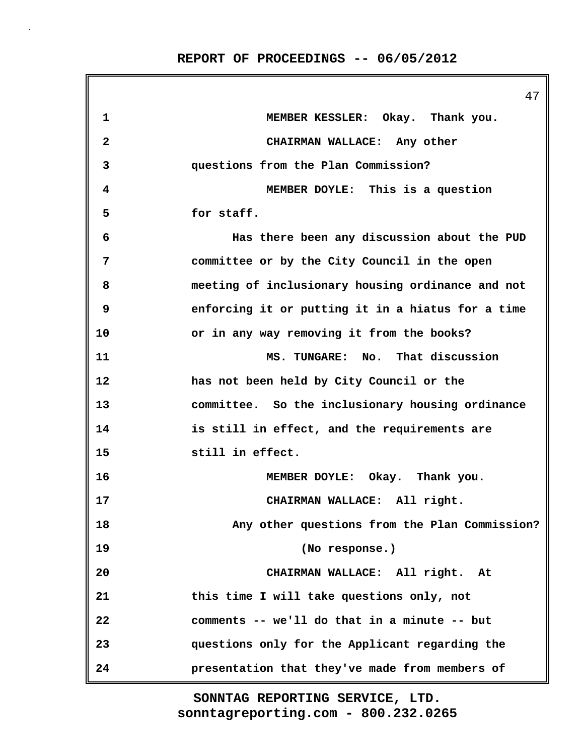|              | 47                                                |
|--------------|---------------------------------------------------|
| 1            | MEMBER KESSLER: Okay. Thank you.                  |
| $\mathbf{2}$ | CHAIRMAN WALLACE: Any other                       |
| 3            | questions from the Plan Commission?               |
| 4            | MEMBER DOYLE: This is a question                  |
| 5            | for staff.                                        |
| 6            | Has there been any discussion about the PUD       |
| 7            | committee or by the City Council in the open      |
| 8            | meeting of inclusionary housing ordinance and not |
| 9            | enforcing it or putting it in a hiatus for a time |
| 10           | or in any way removing it from the books?         |
| 11           | MS. TUNGARE: No. That discussion                  |
| 12           | has not been held by City Council or the          |
| 13           | committee. So the inclusionary housing ordinance  |
| 14           | is still in effect, and the requirements are      |
| 15           | still in effect.                                  |
| 16           | MEMBER DOYLE: Okay. Thank you.                    |
| 17           | CHAIRMAN WALLACE: All right.                      |
| 18           | Any other questions from the Plan Commission?     |
| 19           | (No response.)                                    |
| 20           | CHAIRMAN WALLACE: All right. At                   |
| 21           | this time I will take questions only, not         |
| 22           | comments -- we'll do that in a minute -- but      |
| 23           | questions only for the Applicant regarding the    |
| 24           | presentation that they've made from members of    |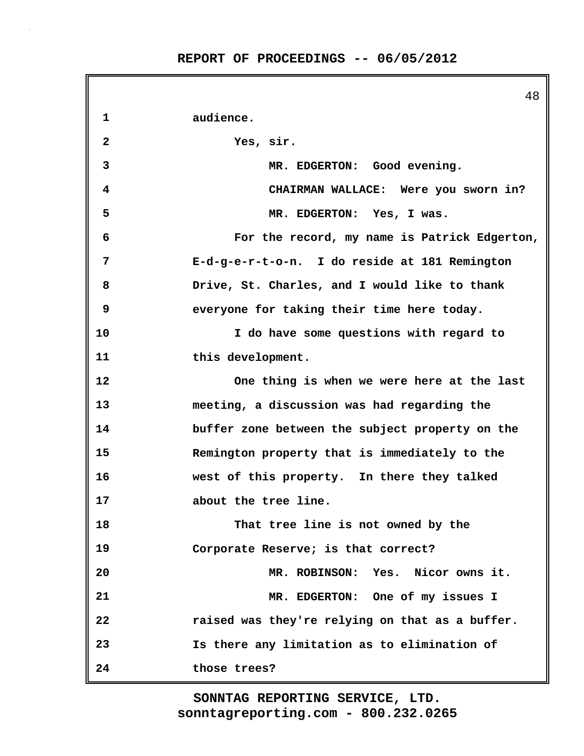|              | 48                                              |
|--------------|-------------------------------------------------|
| 1            | audience.                                       |
| $\mathbf{2}$ | Yes, sir.                                       |
| 3            | MR. EDGERTON: Good evening.                     |
| 4            | CHAIRMAN WALLACE: Were you sworn in?            |
| 5            | MR. EDGERTON: Yes, I was.                       |
| 6            | For the record, my name is Patrick Edgerton,    |
| 7            | E-d-g-e-r-t-o-n. I do reside at 181 Remington   |
| 8            | Drive, St. Charles, and I would like to thank   |
| 9            | everyone for taking their time here today.      |
| 10           | I do have some questions with regard to         |
| 11           | this development.                               |
| 12           | One thing is when we were here at the last      |
| 13           | meeting, a discussion was had regarding the     |
| 14           | buffer zone between the subject property on the |
| 15           | Remington property that is immediately to the   |
| 16           | west of this property. In there they talked     |
| 17           | about the tree line.                            |
| 18           | That tree line is not owned by the              |
| 19           | Corporate Reserve; is that correct?             |
| 20           | MR. ROBINSON: Yes. Nicor owns it.               |
| 21           | MR. EDGERTON: One of my issues I                |
| 22           | raised was they're relying on that as a buffer. |
| 23           | Is there any limitation as to elimination of    |
| 24           | those trees?                                    |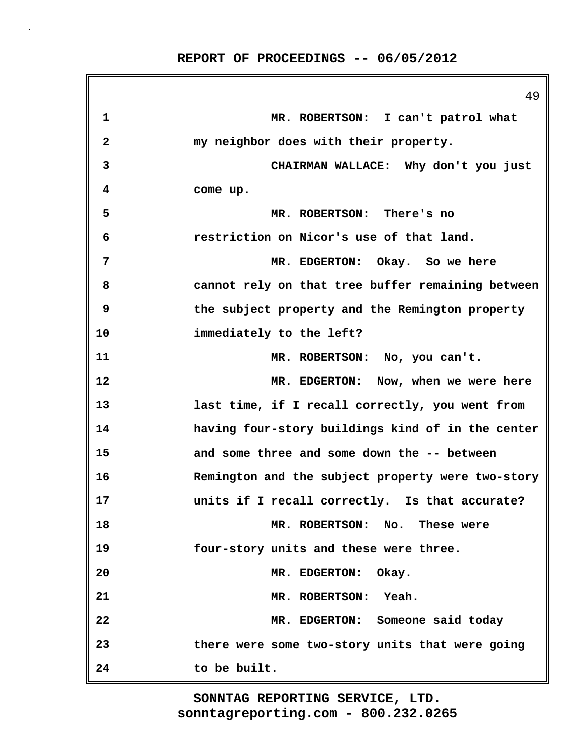|    | 49                                                |
|----|---------------------------------------------------|
| 1  | MR. ROBERTSON: I can't patrol what                |
| 2  | my neighbor does with their property.             |
| 3  | CHAIRMAN WALLACE: Why don't you just              |
| 4  | come up.                                          |
| 5  | MR. ROBERTSON: There's no                         |
| 6  | restriction on Nicor's use of that land.          |
| 7  | MR. EDGERTON: Okay. So we here                    |
| 8  | cannot rely on that tree buffer remaining between |
| 9  | the subject property and the Remington property   |
| 10 | immediately to the left?                          |
| 11 | MR. ROBERTSON: No, you can't.                     |
| 12 | MR. EDGERTON: Now, when we were here              |
| 13 | last time, if I recall correctly, you went from   |
| 14 | having four-story buildings kind of in the center |
| 15 | and some three and some down the -- between       |
| 16 | Remington and the subject property were two-story |
| 17 | units if I recall correctly. Is that accurate?    |
| 18 | MR. ROBERTSON: No.<br>These were                  |
| 19 | four-story units and these were three.            |
| 20 | MR. EDGERTON: Okay.                               |
| 21 | MR. ROBERTSON:<br>Yeah.                           |
| 22 | MR. EDGERTON: Someone said today                  |
| 23 | there were some two-story units that were going   |
| 24 | to be built.                                      |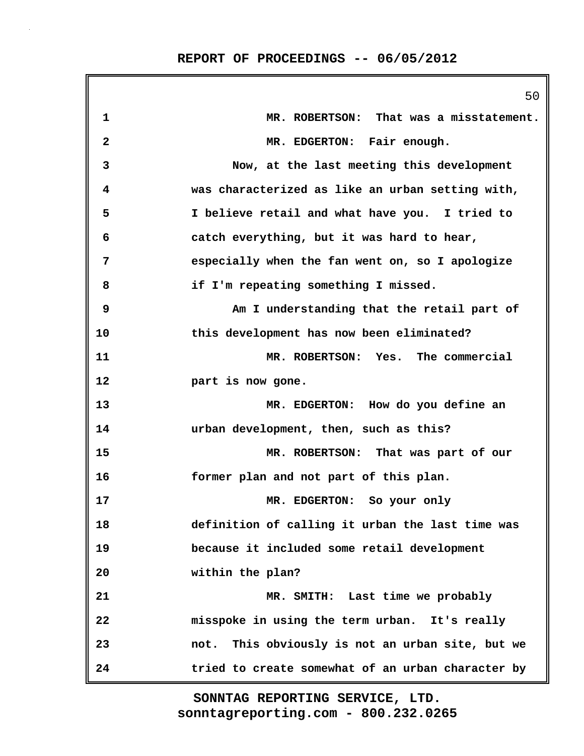|              | 50                                                |
|--------------|---------------------------------------------------|
| 1            | MR. ROBERTSON: That was a misstatement.           |
| $\mathbf{2}$ | MR. EDGERTON: Fair enough.                        |
| 3            | Now, at the last meeting this development         |
| 4            | was characterized as like an urban setting with,  |
| 5            | I believe retail and what have you. I tried to    |
| 6            | catch everything, but it was hard to hear,        |
| 7            | especially when the fan went on, so I apologize   |
| 8            | if I'm repeating something I missed.              |
| 9            | Am I understanding that the retail part of        |
| 10           | this development has now been eliminated?         |
| 11           | MR. ROBERTSON: Yes. The commercial                |
| 12           | part is now gone.                                 |
| 13           | MR. EDGERTON: How do you define an                |
| 14           | urban development, then, such as this?            |
| 15           | MR. ROBERTSON: That was part of our               |
| 16           | former plan and not part of this plan.            |
| 17           | MR. EDGERTON: So your only                        |
| 18           | definition of calling it urban the last time was  |
| 19           | because it included some retail development       |
| 20           | within the plan?                                  |
| 21           | MR. SMITH: Last time we probably                  |
| 22           | misspoke in using the term urban. It's really     |
| 23           | not. This obviously is not an urban site, but we  |
| 24           | tried to create somewhat of an urban character by |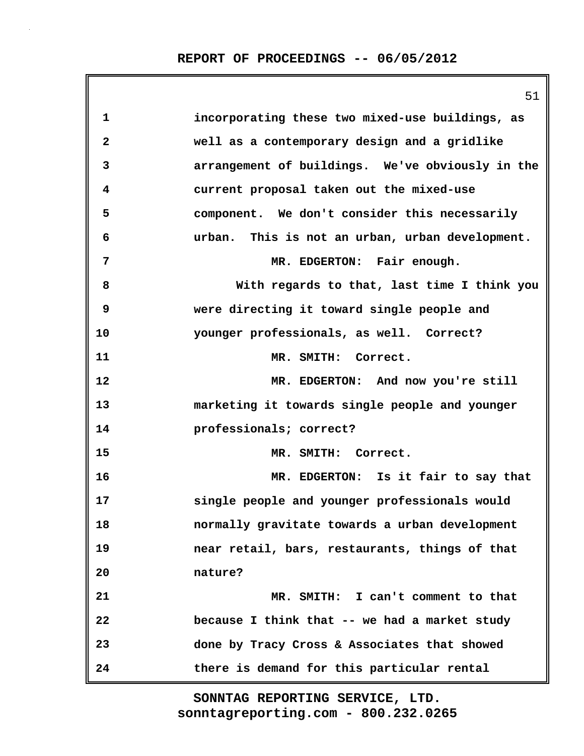|              | 51                                               |
|--------------|--------------------------------------------------|
| $\mathbf 1$  | incorporating these two mixed-use buildings, as  |
| $\mathbf{2}$ | well as a contemporary design and a gridlike     |
| 3            | arrangement of buildings. We've obviously in the |
| 4            | current proposal taken out the mixed-use         |
| 5            | component. We don't consider this necessarily    |
| 6            | urban. This is not an urban, urban development.  |
| 7            | MR. EDGERTON: Fair enough.                       |
| 8            | With regards to that, last time I think you      |
| 9            | were directing it toward single people and       |
| 10           | younger professionals, as well. Correct?         |
| 11           | MR. SMITH: Correct.                              |
| 12           | MR. EDGERTON: And now you're still               |
| 13           | marketing it towards single people and younger   |
| 14           | professionals; correct?                          |
| 15           | MR. SMITH: Correct.                              |
| 16           | MR. EDGERTON: Is it fair to say that             |
| 17           | single people and younger professionals would    |
| 18           | normally gravitate towards a urban development   |
| 19           | near retail, bars, restaurants, things of that   |
| 20           | nature?                                          |
| 21           | MR. SMITH: I can't comment to that               |
| 22           | because I think that -- we had a market study    |
| 23           | done by Tracy Cross & Associates that showed     |
| 24           | there is demand for this particular rental       |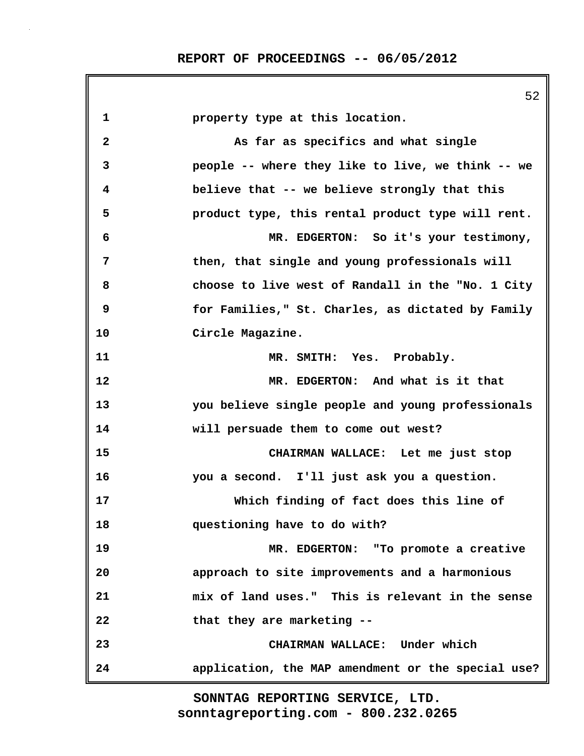|              | 52                                                 |
|--------------|----------------------------------------------------|
| 1            | property type at this location.                    |
| $\mathbf{2}$ | As far as specifics and what single                |
| 3            | people -- where they like to live, we think -- we  |
| 4            | believe that -- we believe strongly that this      |
| 5            | product type, this rental product type will rent.  |
| 6            | MR. EDGERTON: So it's your testimony,              |
| 7            | then, that single and young professionals will     |
| 8            | choose to live west of Randall in the "No. 1 City  |
| 9            | for Families," St. Charles, as dictated by Family  |
| 10           | Circle Magazine.                                   |
| 11           | MR. SMITH: Yes. Probably.                          |
| 12           | MR. EDGERTON: And what is it that                  |
| 13           | you believe single people and young professionals  |
| 14           | will persuade them to come out west?               |
| 15           | CHAIRMAN WALLACE: Let me just stop                 |
| 16           | you a second. I'll just ask you a question.        |
| 17           | Which finding of fact does this line of            |
| 18           | questioning have to do with?                       |
| 19           | MR. EDGERTON: "To promote a creative               |
| 20           | approach to site improvements and a harmonious     |
| 21           | mix of land uses." This is relevant in the sense   |
| 22           | that they are marketing --                         |
| 23           | CHAIRMAN WALLACE: Under which                      |
| 24           | application, the MAP amendment or the special use? |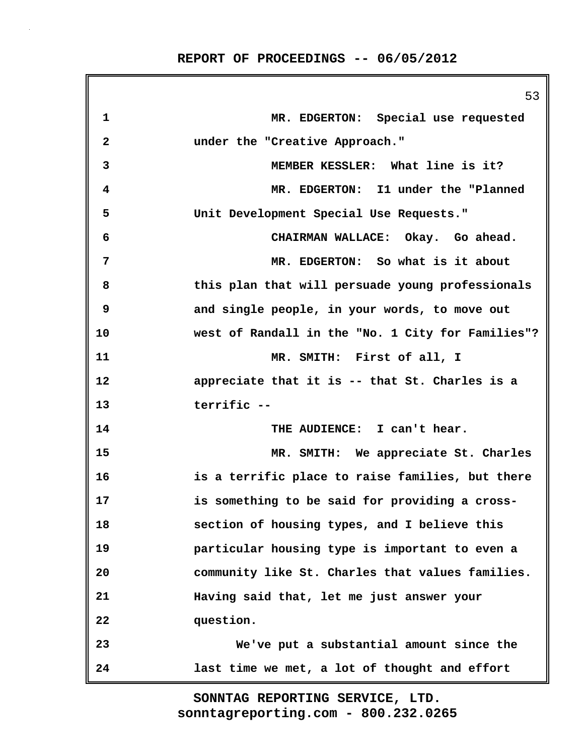|                | 53                                                |
|----------------|---------------------------------------------------|
| 1              | MR. EDGERTON: Special use requested               |
| $\mathbf{2}$   | under the "Creative Approach."                    |
| 3              | MEMBER KESSLER: What line is it?                  |
| 4              | MR. EDGERTON: I1 under the "Planned               |
| 5              | Unit Development Special Use Requests."           |
| 6              | CHAIRMAN WALLACE: Okay. Go ahead.                 |
| $\overline{7}$ | MR. EDGERTON: So what is it about                 |
| 8              | this plan that will persuade young professionals  |
| 9              | and single people, in your words, to move out     |
| 10             | west of Randall in the "No. 1 City for Families"? |
| 11             | MR. SMITH: First of all, I                        |
| 12             | appreciate that it is -- that St. Charles is a    |
| 13             | terrific --                                       |
| 14             | THE AUDIENCE: I can't hear.                       |
| 15             | MR. SMITH: We appreciate St. Charles              |
| 16             | is a terrific place to raise families, but there  |
| 17             | is something to be said for providing a cross-    |
| 18             | section of housing types, and I believe this      |
| 19             | particular housing type is important to even a    |
| 20             | community like St. Charles that values families.  |
| 21             | Having said that, let me just answer your         |
| 22             | question.                                         |
| 23             | We've put a substantial amount since the          |
| 24             | last time we met, a lot of thought and effort     |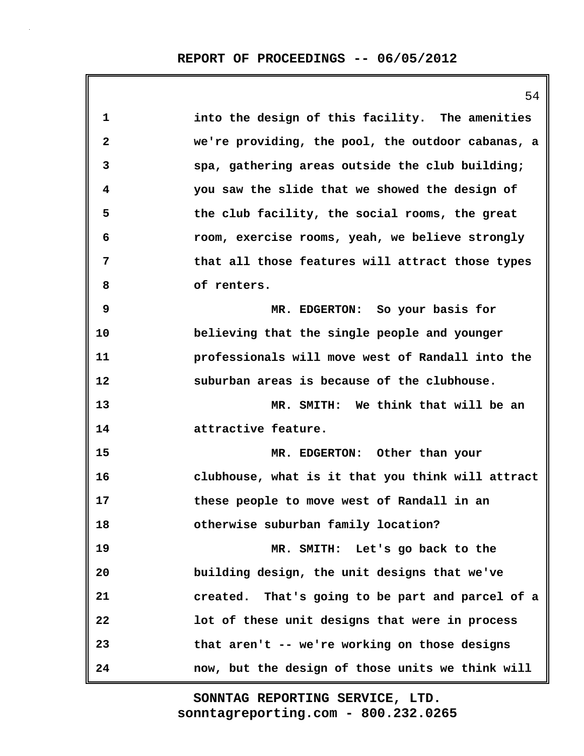|    | 54                                                |
|----|---------------------------------------------------|
| 1  | into the design of this facility. The amenities   |
| 2  | we're providing, the pool, the outdoor cabanas, a |
| 3  | spa, gathering areas outside the club building;   |
| 4  | you saw the slide that we showed the design of    |
| 5  | the club facility, the social rooms, the great    |
| 6  | room, exercise rooms, yeah, we believe strongly   |
| 7  | that all those features will attract those types  |
| 8  | of renters.                                       |
| 9  | MR. EDGERTON: So your basis for                   |
| 10 | believing that the single people and younger      |
| 11 | professionals will move west of Randall into the  |
| 12 | suburban areas is because of the clubhouse.       |
| 13 | MR. SMITH: We think that will be an               |
| 14 | attractive feature.                               |
| 15 | MR. EDGERTON: Other than your                     |
| 16 | clubhouse, what is it that you think will attract |
| 17 | these people to move west of Randall in an        |
| 18 | otherwise suburban family location?               |
| 19 | MR. SMITH: Let's go back to the                   |
| 20 | building design, the unit designs that we've      |
| 21 | created. That's going to be part and parcel of a  |
| 22 | lot of these unit designs that were in process    |
| 23 | that aren't -- we're working on those designs     |
| 24 | now, but the design of those units we think will  |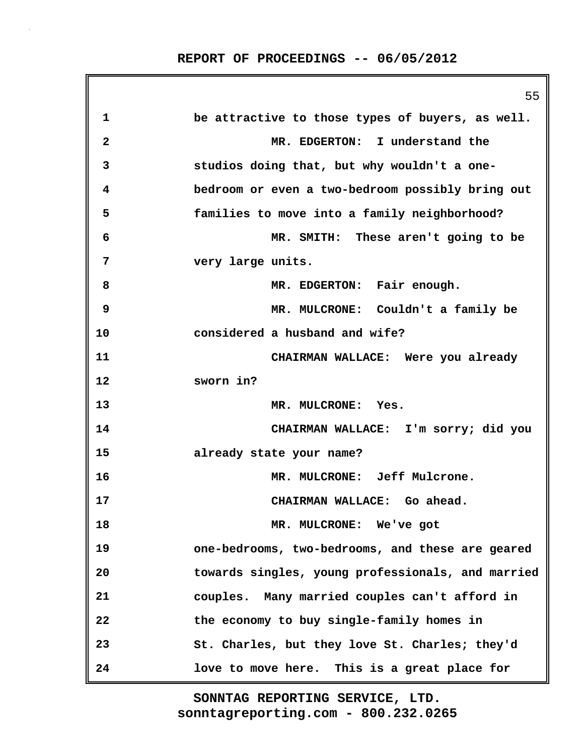|              | 55                                                |
|--------------|---------------------------------------------------|
| 1            | be attractive to those types of buyers, as well.  |
| $\mathbf{2}$ | MR. EDGERTON: I understand the                    |
| 3            | studios doing that, but why wouldn't a one-       |
| 4            | bedroom or even a two-bedroom possibly bring out  |
| 5            | families to move into a family neighborhood?      |
| 6            | MR. SMITH: These aren't going to be               |
| 7            | very large units.                                 |
| 8            | MR. EDGERTON: Fair enough.                        |
| 9            | MR. MULCRONE: Couldn't a family be                |
| 10           | considered a husband and wife?                    |
| 11           | CHAIRMAN WALLACE: Were you already                |
| 12           | sworn in?                                         |
| 13           | MR. MULCRONE: Yes.                                |
| 14           | CHAIRMAN WALLACE: I'm sorry; did you              |
| 15           | already state your name?                          |
| 16           | MR. MULCRONE: Jeff Mulcrone.                      |
| 17           | CHAIRMAN WALLACE: Go ahead.                       |
| 18           | MR. MULCRONE: We've got                           |
| 19           | one-bedrooms, two-bedrooms, and these are geared  |
| 20           | towards singles, young professionals, and married |
| 21           | couples. Many married couples can't afford in     |
| 22           | the economy to buy single-family homes in         |
| 23           | St. Charles, but they love St. Charles; they'd    |
| 24           | love to move here. This is a great place for      |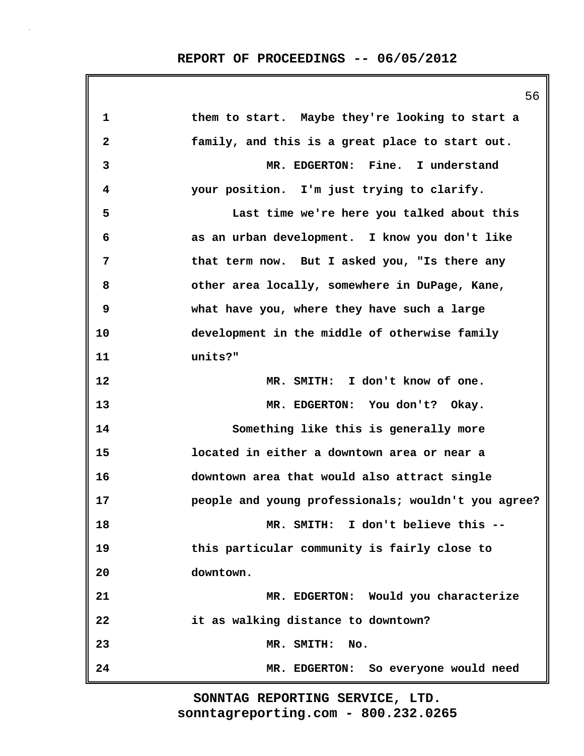56

| 1  | them to start. Maybe they're looking to start a     |
|----|-----------------------------------------------------|
| 2  | family, and this is a great place to start out.     |
| 3  | MR. EDGERTON: Fine. I understand                    |
| 4  | your position. I'm just trying to clarify.          |
| 5  | Last time we're here you talked about this          |
| 6  | as an urban development. I know you don't like      |
| 7  | that term now. But I asked you, "Is there any       |
| 8  | other area locally, somewhere in DuPage, Kane,      |
| 9  | what have you, where they have such a large         |
| 10 | development in the middle of otherwise family       |
| 11 | units?"                                             |
| 12 | MR. SMITH: I don't know of one.                     |
| 13 | MR. EDGERTON: You don't? Okay.                      |
| 14 | Something like this is generally more               |
| 15 | located in either a downtown area or near a         |
| 16 | downtown area that would also attract single        |
| 17 | people and young professionals; wouldn't you agree? |
| 18 | I don't believe this --<br>MR. SMITH:               |
| 19 | this particular community is fairly close to        |
| 20 | downtown.                                           |
| 21 | MR. EDGERTON: Would you characterize                |
| 22 | it as walking distance to downtown?                 |
| 23 | No.<br>MR. SMITH:                                   |
| 24 | MR. EDGERTON: So everyone would need                |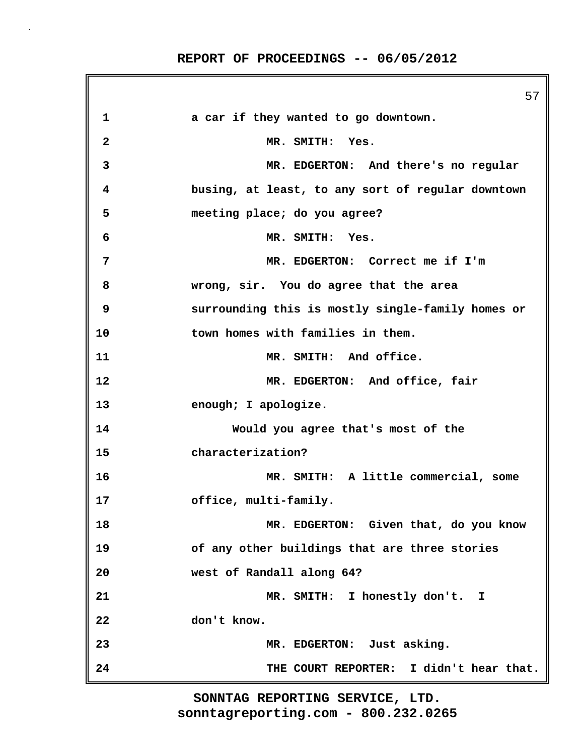|              | 57                                                |
|--------------|---------------------------------------------------|
| 1            | a car if they wanted to go downtown.              |
| $\mathbf{2}$ | MR. SMITH: Yes.                                   |
| 3            | MR. EDGERTON: And there's no regular              |
| 4            | busing, at least, to any sort of regular downtown |
| 5            | meeting place; do you agree?                      |
| 6            | MR. SMITH: Yes.                                   |
| 7            | MR. EDGERTON: Correct me if I'm                   |
| 8            | wrong, sir. You do agree that the area            |
| 9            | surrounding this is mostly single-family homes or |
| 10           | town homes with families in them.                 |
| 11           | MR. SMITH: And office.                            |
| 12           | MR. EDGERTON: And office, fair                    |
| 13           | enough; I apologize.                              |
| 14           | Would you agree that's most of the                |
| 15           | characterization?                                 |
| 16           | MR. SMITH: A little commercial, some              |
| 17           | office, multi-family.                             |
| 18           | MR. EDGERTON: Given that, do you know             |
| 19           | of any other buildings that are three stories     |
| 20           | west of Randall along 64?                         |
| 21           | MR. SMITH: I honestly don't. I                    |
| 22           | don't know.                                       |
| 23           | MR. EDGERTON: Just asking.                        |
| 24           | THE COURT REPORTER: I didn't hear that.           |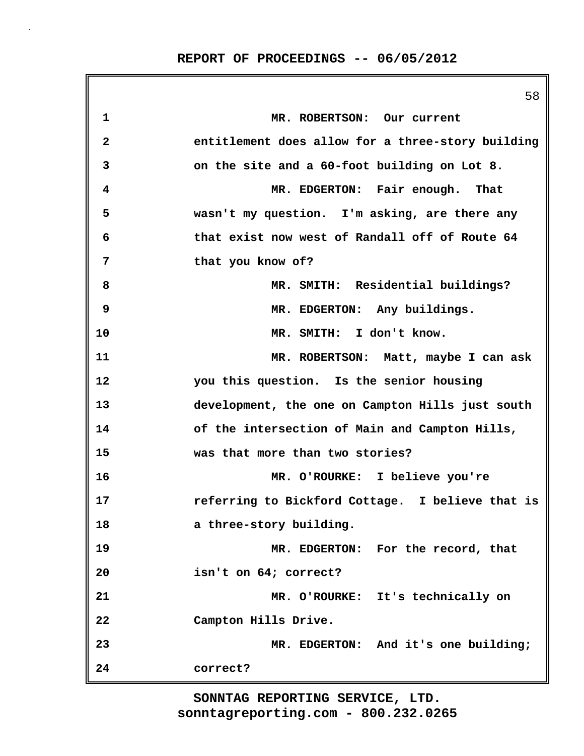|              | 58                                                |
|--------------|---------------------------------------------------|
| $\mathbf 1$  | MR. ROBERTSON: Our current                        |
| $\mathbf{2}$ | entitlement does allow for a three-story building |
| 3            | on the site and a 60-foot building on Lot 8.      |
| 4            | MR. EDGERTON: Fair enough. That                   |
| 5            | wasn't my question. I'm asking, are there any     |
| 6            | that exist now west of Randall off of Route 64    |
| 7            | that you know of?                                 |
| 8            | MR. SMITH: Residential buildings?                 |
| 9            | MR. EDGERTON: Any buildings.                      |
| 10           | MR. SMITH: I don't know.                          |
| 11           | MR. ROBERTSON: Matt, maybe I can ask              |
| 12           | you this question. Is the senior housing          |
| 13           | development, the one on Campton Hills just south  |
| 14           | of the intersection of Main and Campton Hills,    |
| 15           | was that more than two stories?                   |
| 16           | MR. O'ROURKE: I believe you're                    |
| 17           | referring to Bickford Cottage. I believe that is  |
| 18           | a three-story building.                           |
| 19           | MR. EDGERTON: For the record, that                |
| 20           | isn't on 64; correct?                             |
| 21           | MR. O'ROURKE: It's technically on                 |
| 22           | Campton Hills Drive.                              |
| 23           | MR. EDGERTON: And it's one building;              |
| 24           | correct?                                          |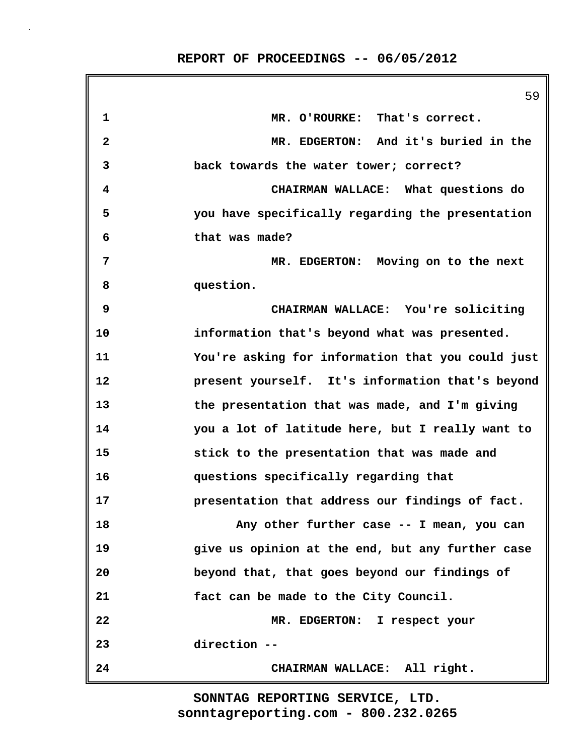|    | 59                                                |
|----|---------------------------------------------------|
| 1  | MR. O'ROURKE: That's correct.                     |
| 2  | MR. EDGERTON: And it's buried in the              |
| 3  | back towards the water tower; correct?            |
| 4  | CHAIRMAN WALLACE: What questions do               |
| 5  | you have specifically regarding the presentation  |
| 6  | that was made?                                    |
| 7  | MR. EDGERTON: Moving on to the next               |
| 8  | question.                                         |
| 9  | CHAIRMAN WALLACE: You're soliciting               |
| 10 | information that's beyond what was presented.     |
| 11 | You're asking for information that you could just |
| 12 | present yourself. It's information that's beyond  |
| 13 | the presentation that was made, and I'm giving    |
| 14 | you a lot of latitude here, but I really want to  |
| 15 | stick to the presentation that was made and       |
| 16 | questions specifically regarding that             |
| 17 | presentation that address our findings of fact.   |
| 18 | Any other further case -- I mean, you can         |
| 19 | give us opinion at the end, but any further case  |
| 20 | beyond that, that goes beyond our findings of     |
| 21 | fact can be made to the City Council.             |
| 22 | MR. EDGERTON: I respect your                      |
| 23 | direction --                                      |
| 24 | CHAIRMAN WALLACE: All right.                      |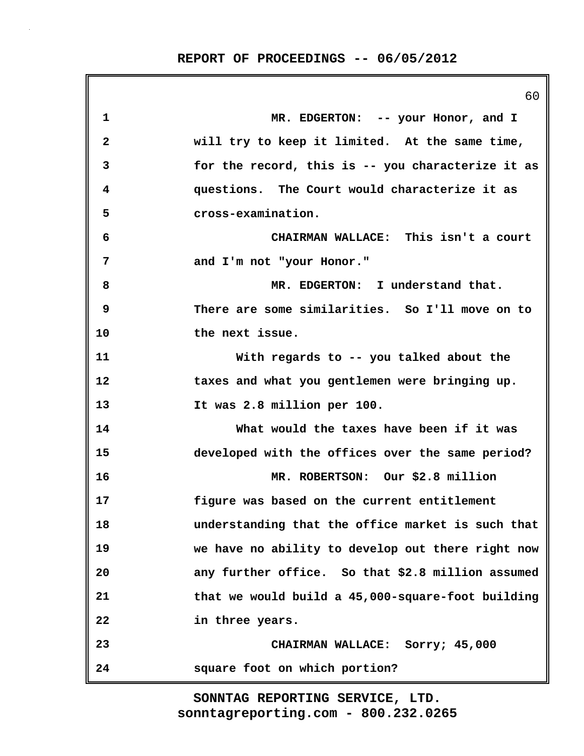|    | 60                                                |
|----|---------------------------------------------------|
| 1  | MR. EDGERTON: -- your Honor, and I                |
| 2  | will try to keep it limited. At the same time,    |
| 3  | for the record, this is -- you characterize it as |
| 4  | questions. The Court would characterize it as     |
| 5  | cross-examination.                                |
| 6  | CHAIRMAN WALLACE: This isn't a court              |
| 7  | and I'm not "your Honor."                         |
| 8  | MR. EDGERTON: I understand that.                  |
| 9  | There are some similarities. So I'll move on to   |
| 10 | the next issue.                                   |
| 11 | With regards to -- you talked about the           |
| 12 | taxes and what you gentlemen were bringing up.    |
| 13 | It was 2.8 million per 100.                       |
| 14 | What would the taxes have been if it was          |
| 15 | developed with the offices over the same period?  |
| 16 | MR. ROBERTSON: Our \$2.8 million                  |
| 17 | figure was based on the current entitlement       |
| 18 | understanding that the office market is such that |
| 19 | we have no ability to develop out there right now |
| 20 | any further office. So that \$2.8 million assumed |
| 21 | that we would build a 45,000-square-foot building |
| 22 | in three years.                                   |
| 23 | CHAIRMAN WALLACE: Sorry; 45,000                   |
| 24 | square foot on which portion?                     |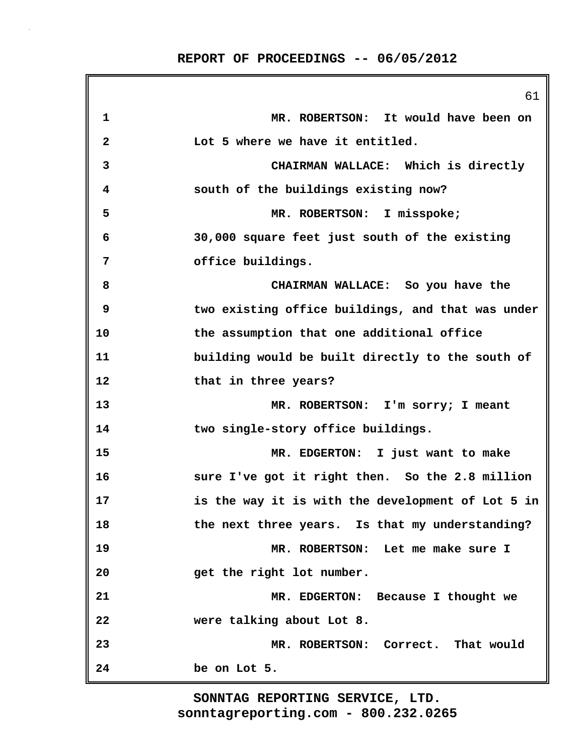|              | 61                                                |
|--------------|---------------------------------------------------|
| 1            | MR. ROBERTSON: It would have been on              |
| $\mathbf{2}$ | Lot 5 where we have it entitled.                  |
| 3            | CHAIRMAN WALLACE: Which is directly               |
| 4            | south of the buildings existing now?              |
| 5            | MR. ROBERTSON: I misspoke;                        |
| 6            | 30,000 square feet just south of the existing     |
| 7            | office buildings.                                 |
| 8            | CHAIRMAN WALLACE: So you have the                 |
| 9            | two existing office buildings, and that was under |
| 10           | the assumption that one additional office         |
| 11           | building would be built directly to the south of  |
| 12           | that in three years?                              |
| 13           | MR. ROBERTSON: I'm sorry; I meant                 |
| 14           | two single-story office buildings.                |
| 15           | MR. EDGERTON: I just want to make                 |
| 16           | sure I've got it right then. So the 2.8 million   |
| 17           | is the way it is with the development of Lot 5 in |
| 18           | the next three years. Is that my understanding?   |
| 19           | MR. ROBERTSON: Let me make sure I                 |
| 20           | get the right lot number.                         |
| 21           | MR. EDGERTON: Because I thought we                |
| 22           | were talking about Lot 8.                         |
| 23           | MR. ROBERTSON: Correct. That would                |
| 24           | be on Lot 5.                                      |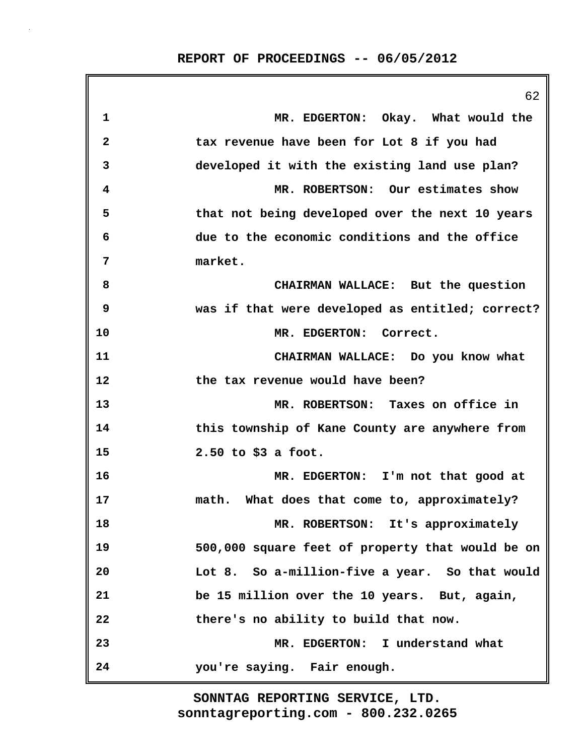|                         | 62                                               |
|-------------------------|--------------------------------------------------|
| 1                       | MR. EDGERTON: Okay. What would the               |
| $\overline{\mathbf{2}}$ | tax revenue have been for Lot 8 if you had       |
| 3                       | developed it with the existing land use plan?    |
| 4                       | MR. ROBERTSON: Our estimates show                |
| 5                       | that not being developed over the next 10 years  |
| 6                       | due to the economic conditions and the office    |
| 7                       | market.                                          |
| 8                       | CHAIRMAN WALLACE: But the question               |
| 9                       | was if that were developed as entitled; correct? |
| 10                      | MR. EDGERTON: Correct.                           |
| 11                      | CHAIRMAN WALLACE: Do you know what               |
| 12                      | the tax revenue would have been?                 |
| 13                      | MR. ROBERTSON: Taxes on office in                |
| 14                      | this township of Kane County are anywhere from   |
| 15                      | $2.50$ to \$3 a foot.                            |
| 16                      | MR. EDGERTON: I'm not that good at               |
| 17                      | math. What does that come to, approximately?     |
| 18                      | MR. ROBERTSON: It's approximately                |
| 19                      | 500,000 square feet of property that would be on |
| 20                      | Lot 8. So a-million-five a year. So that would   |
| 21                      | be 15 million over the 10 years. But, again,     |
| 22                      | there's no ability to build that now.            |
| 23                      | MR. EDGERTON: I understand what                  |
| 24                      | you're saying. Fair enough.                      |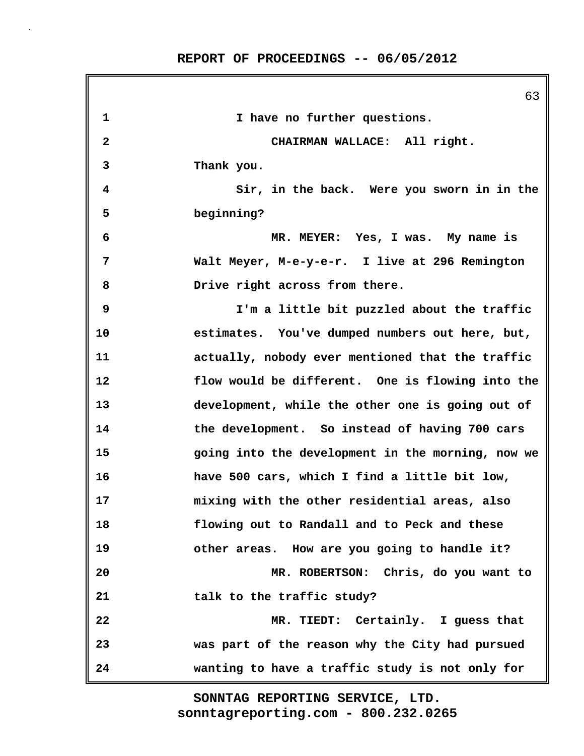63 **1 I have no further questions. 2 CHAIRMAN WALLACE: All right. 3 Thank you. 4 Sir, in the back. Were you sworn in in the 5 beginning? 6 MR. MEYER: Yes, I was. My name is 7 Walt Meyer, M-e-y-e-r. I live at 296 Remington 8 Drive right across from there. 9 I'm a little bit puzzled about the traffic 10 estimates. You've dumped numbers out here, but, 11 actually, nobody ever mentioned that the traffic 12 flow would be different. One is flowing into the 13 development, while the other one is going out of 14 the development. So instead of having 700 cars 15 going into the development in the morning, now we 16 have 500 cars, which I find a little bit low, 17 mixing with the other residential areas, also 18 flowing out to Randall and to Peck and these 19 other areas. How are you going to handle it? 20 MR. ROBERTSON: Chris, do you want to 21 talk to the traffic study? 22 MR. TIEDT: Certainly. I guess that 23 was part of the reason why the City had pursued 24 wanting to have a traffic study is not only for**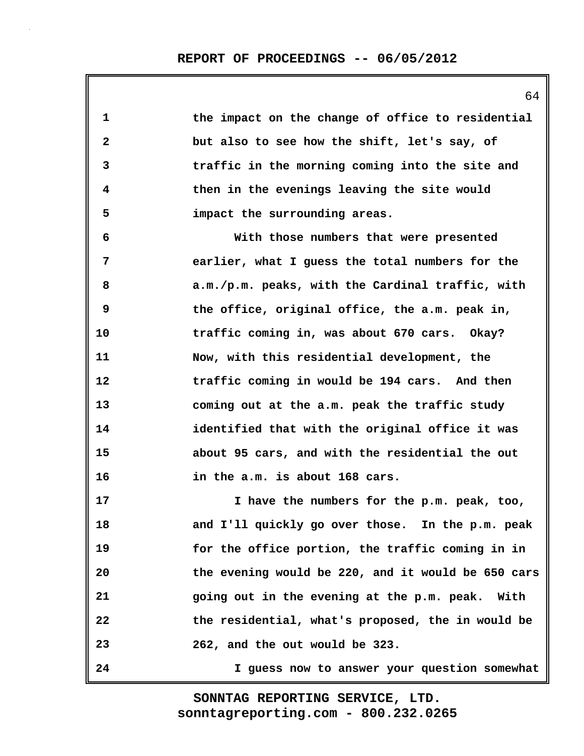| 1            | the impact on the change of office to residential  |
|--------------|----------------------------------------------------|
| $\mathbf{2}$ | but also to see how the shift, let's say, of       |
| 3            | traffic in the morning coming into the site and    |
| 4            | then in the evenings leaving the site would        |
| 5            | impact the surrounding areas.                      |
| 6            | With those numbers that were presented             |
| 7            | earlier, what I guess the total numbers for the    |
| 8            | a.m./p.m. peaks, with the Cardinal traffic, with   |
| 9            | the office, original office, the a.m. peak in,     |
| 10           | traffic coming in, was about 670 cars. Okay?       |
| 11           | Now, with this residential development, the        |
| 12           | traffic coming in would be 194 cars. And then      |
| 13           | coming out at the a.m. peak the traffic study      |
| 14           | identified that with the original office it was    |
| 15           | about 95 cars, and with the residential the out    |
| 16           | in the a.m. is about 168 cars.                     |
| 17           | I have the numbers for the p.m. peak, too,         |
| 18           | and I'll quickly go over those. In the p.m. peak   |
| 19           | for the office portion, the traffic coming in in   |
| 20           | the evening would be 220, and it would be 650 cars |
| 21           | going out in the evening at the p.m. peak. With    |
| 22           | the residential, what's proposed, the in would be  |
| 23           | 262, and the out would be 323.                     |
| 24           | I guess now to answer your question somewhat       |

64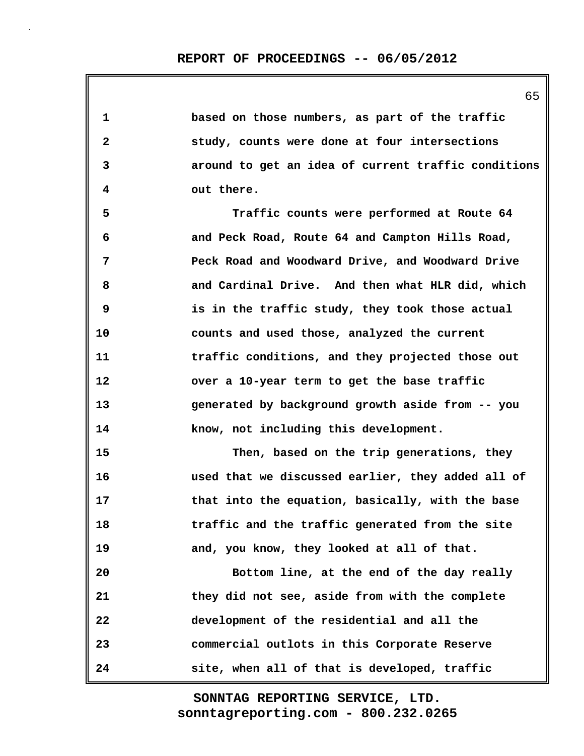| 1                       | based on those numbers, as part of the traffic      |
|-------------------------|-----------------------------------------------------|
| $\mathbf{2}$            | study, counts were done at four intersections       |
| 3                       | around to get an idea of current traffic conditions |
| $\overline{\mathbf{4}}$ | out there.                                          |
| 5                       | Traffic counts were performed at Route 64           |
| 6                       | and Peck Road, Route 64 and Campton Hills Road,     |
| 7                       | Peck Road and Woodward Drive, and Woodward Drive    |
| 8                       | and Cardinal Drive. And then what HLR did, which    |
| 9                       | is in the traffic study, they took those actual     |
| 10                      | counts and used those, analyzed the current         |
| 11                      | traffic conditions, and they projected those out    |
| 12                      | over a 10-year term to get the base traffic         |
| 13                      | generated by background growth aside from -- you    |
| 14                      | know, not including this development.               |
| 15                      | Then, based on the trip generations, they           |
| 16                      | used that we discussed earlier, they added all of   |
| 17                      | that into the equation, basically, with the base    |
| 18                      | traffic and the traffic generated from the site     |
| 19                      | and, you know, they looked at all of that.          |
| 20                      | Bottom line, at the end of the day really           |
| 21                      | they did not see, aside from with the complete      |
| 22                      | development of the residential and all the          |
| 23                      | commercial outlots in this Corporate Reserve        |
| 24                      | site, when all of that is developed, traffic        |

65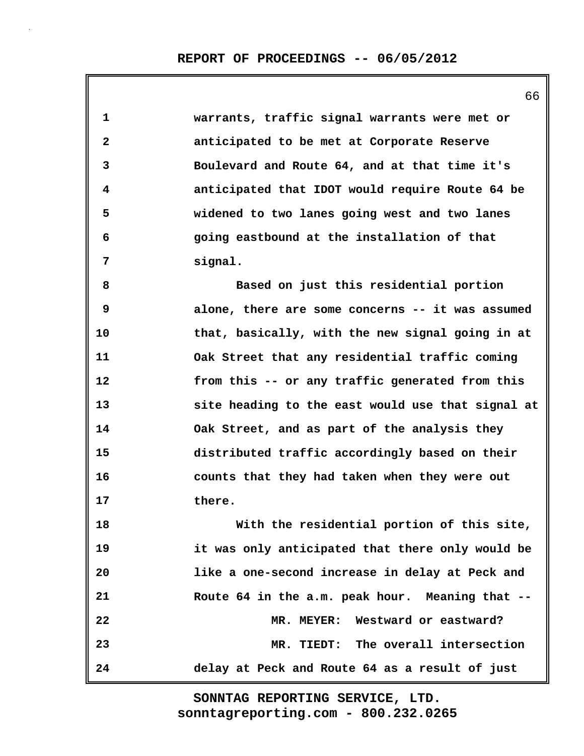|              | 66                                                |
|--------------|---------------------------------------------------|
| 1            | warrants, traffic signal warrants were met or     |
| $\mathbf{2}$ | anticipated to be met at Corporate Reserve        |
| 3            | Boulevard and Route 64, and at that time it's     |
| 4            | anticipated that IDOT would require Route 64 be   |
| 5            | widened to two lanes going west and two lanes     |
| 6            | going eastbound at the installation of that       |
| 7            | signal.                                           |
| 8            | Based on just this residential portion            |
| 9            | alone, there are some concerns -- it was assumed  |
| 10           | that, basically, with the new signal going in at  |
| 11           | Oak Street that any residential traffic coming    |
| 12           | from this -- or any traffic generated from this   |
| 13           | site heading to the east would use that signal at |
| 14           | Oak Street, and as part of the analysis they      |
| 15           | distributed traffic accordingly based on their    |
| 16           | counts that they had taken when they were out     |
| 17           | there.                                            |
| 18           | With the residential portion of this site,        |
| 19           | it was only anticipated that there only would be  |
| 20           | like a one-second increase in delay at Peck and   |
| 21           | Route 64 in the a.m. peak hour. Meaning that --   |
| 22           | MR. MEYER: Westward or eastward?                  |
| 23           | MR. TIEDT: The overall intersection               |
| 24           | delay at Peck and Route 64 as a result of just    |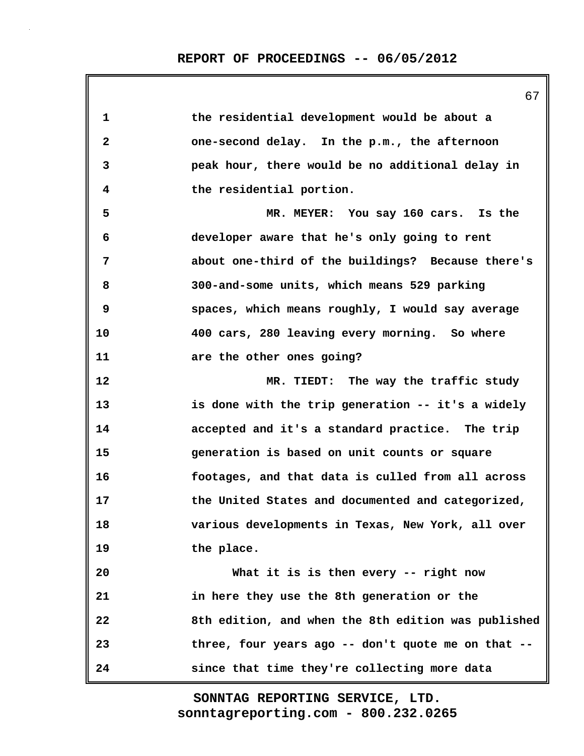| 1            | the residential development would be about a        |
|--------------|-----------------------------------------------------|
| $\mathbf{2}$ | one-second delay. In the p.m., the afternoon        |
| 3            | peak hour, there would be no additional delay in    |
| 4            | the residential portion.                            |
| 5            | MR. MEYER: You say 160 cars. Is the                 |
| 6            | developer aware that he's only going to rent        |
| 7            | about one-third of the buildings? Because there's   |
| 8            | 300-and-some units, which means 529 parking         |
| 9            | spaces, which means roughly, I would say average    |
| 10           | 400 cars, 280 leaving every morning. So where       |
| 11           | are the other ones going?                           |
| 12           | MR. TIEDT: The way the traffic study                |
| 13           | is done with the trip generation -- it's a widely   |
| 14           | accepted and it's a standard practice. The trip     |
| 15           | generation is based on unit counts or square        |
| 16           | footages, and that data is culled from all across   |
| 17           | the United States and documented and categorized,   |
| 18           | various developments in Texas, New York, all over   |
| 19           | the place.                                          |
| 20           | What it is is then every -- right now               |
| 21           | in here they use the 8th generation or the          |
| 22           | 8th edition, and when the 8th edition was published |
| 23           | three, four years ago -- don't quote me on that --  |
| 24           | since that time they're collecting more data        |

67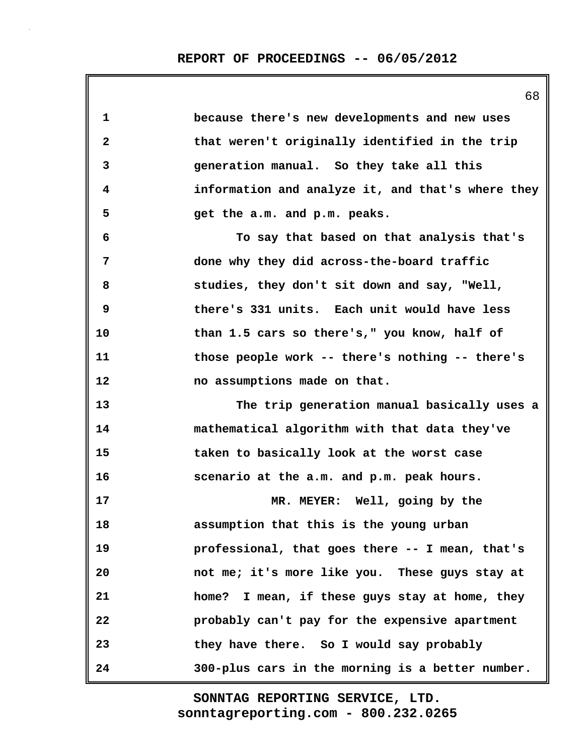68

| 1            | because there's new developments and new uses     |
|--------------|---------------------------------------------------|
| $\mathbf{2}$ | that weren't originally identified in the trip    |
| 3            | generation manual. So they take all this          |
| 4            | information and analyze it, and that's where they |
| 5            | get the a.m. and p.m. peaks.                      |
| 6            | To say that based on that analysis that's         |
| 7            | done why they did across-the-board traffic        |
| 8            | studies, they don't sit down and say, "Well,      |
| 9            | there's 331 units. Each unit would have less      |
| 10           | than 1.5 cars so there's," you know, half of      |
| 11           | those people work -- there's nothing -- there's   |
| 12           | no assumptions made on that.                      |
| 13           | The trip generation manual basically uses a       |
| 14           | mathematical algorithm with that data they've     |
| 15           | taken to basically look at the worst case         |
| 16           | scenario at the a.m. and p.m. peak hours.         |
| 17           | MR. MEYER: Well, going by the                     |
| 18           | assumption that this is the young urban           |
| 19           | professional, that goes there -- I mean, that's   |
| 20           | not me; it's more like you. These guys stay at    |
| 21           | home? I mean, if these guys stay at home, they    |
| 22           | probably can't pay for the expensive apartment    |
| 23           | they have there. So I would say probably          |
| 24           | 300-plus cars in the morning is a better number.  |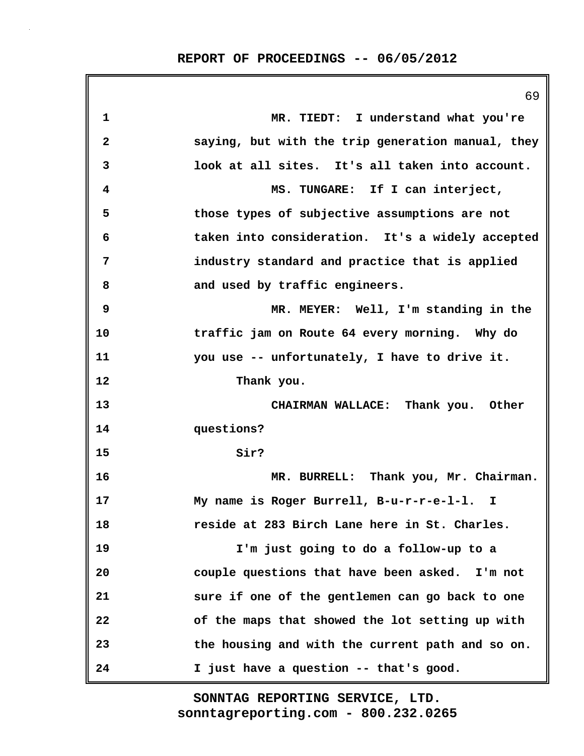|              | 69                                                |
|--------------|---------------------------------------------------|
| 1            | MR. TIEDT: I understand what you're               |
| $\mathbf{2}$ | saying, but with the trip generation manual, they |
| 3            | look at all sites. It's all taken into account.   |
| 4            | MS. TUNGARE: If I can interject,                  |
| 5            | those types of subjective assumptions are not     |
| 6            | taken into consideration. It's a widely accepted  |
| 7            | industry standard and practice that is applied    |
| 8            | and used by traffic engineers.                    |
| 9            | MR. MEYER: Well, I'm standing in the              |
| 10           | traffic jam on Route 64 every morning. Why do     |
| 11           | you use -- unfortunately, I have to drive it.     |
| 12           | Thank you.                                        |
| 13           | CHAIRMAN WALLACE: Thank you. Other                |
| 14           | questions?                                        |
| 15           | Sir?                                              |
| 16           | MR. BURRELL: Thank you, Mr. Chairman.             |
| 17           | My name is Roger Burrell, B-u-r-r-e-l-l. I        |
| 18           | reside at 283 Birch Lane here in St. Charles.     |
| 19           | I'm just going to do a follow-up to a             |
| 20           | couple questions that have been asked. I'm not    |
| 21           | sure if one of the gentlemen can go back to one   |
| 22           | of the maps that showed the lot setting up with   |
| 23           | the housing and with the current path and so on.  |
| 24           | I just have a question -- that's good.            |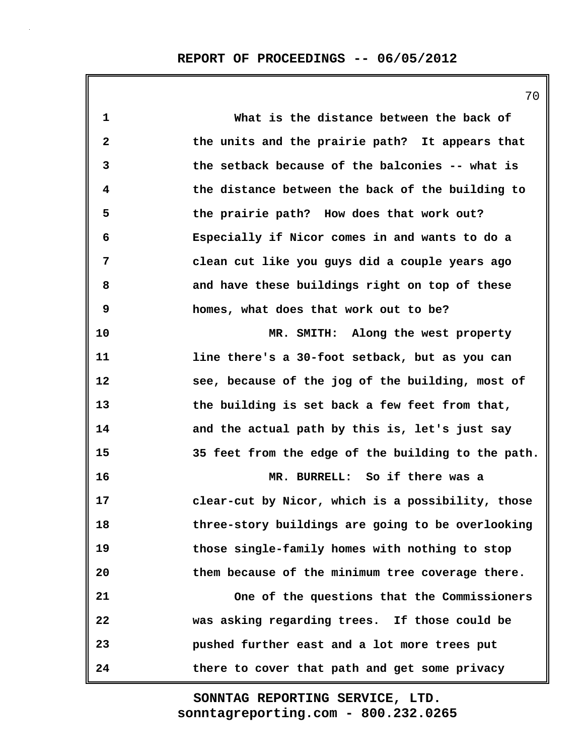**1 What is the distance between the back of 2 the units and the prairie path? It appears that 3 the setback because of the balconies -- what is 4 the distance between the back of the building to 5 the prairie path? How does that work out? 6 Especially if Nicor comes in and wants to do a 7 clean cut like you guys did a couple years ago 8 and have these buildings right on top of these 9 homes, what does that work out to be? 10 MR. SMITH: Along the west property 11 line there's a 30-foot setback, but as you can 12 see, because of the jog of the building, most of 13 the building is set back a few feet from that, 14 and the actual path by this is, let's just say 15 35 feet from the edge of the building to the path. 16 MR. BURRELL: So if there was a 17 clear-cut by Nicor, which is a possibility, those 18 three-story buildings are going to be overlooking 19 those single-family homes with nothing to stop 20 them because of the minimum tree coverage there. 21 One of the questions that the Commissioners 22 was asking regarding trees. If those could be 23 pushed further east and a lot more trees put 24 there to cover that path and get some privacy**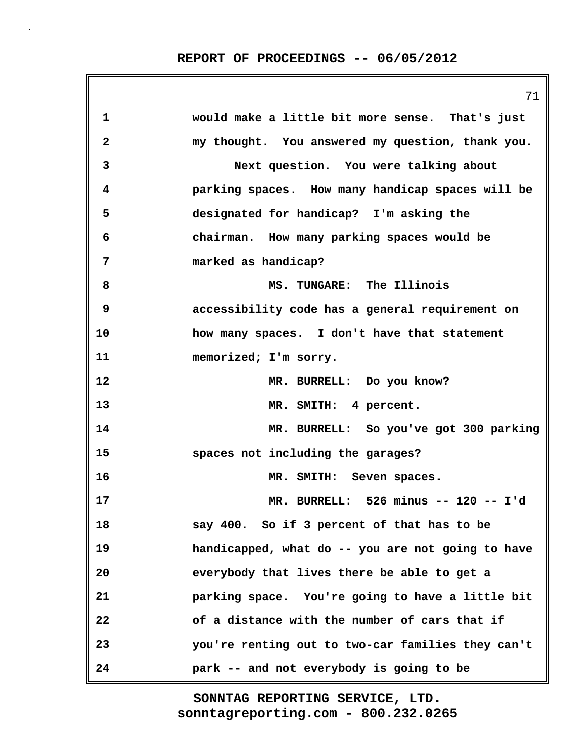|              | 71                                                |
|--------------|---------------------------------------------------|
| $\mathbf 1$  | would make a little bit more sense. That's just   |
| $\mathbf{2}$ | my thought. You answered my question, thank you.  |
| 3            | Next question. You were talking about             |
| 4            | parking spaces. How many handicap spaces will be  |
| 5            | designated for handicap? I'm asking the           |
| 6            | chairman. How many parking spaces would be        |
| 7            | marked as handicap?                               |
| 8            | MS. TUNGARE: The Illinois                         |
| 9            | accessibility code has a general requirement on   |
| 10           | how many spaces. I don't have that statement      |
| 11           | memorized; I'm sorry.                             |
| 12           | MR. BURRELL: Do you know?                         |
| 13           | MR. SMITH: 4 percent.                             |
| 14           | MR. BURRELL: So you've got 300 parking            |
| 15           | spaces not including the garages?                 |
| 16           | MR. SMITH: Seven spaces.                          |
| 17           | MR. BURRELL: 526 minus -- 120 -- I'd              |
| 18           | say 400. So if 3 percent of that has to be        |
| 19           | handicapped, what do -- you are not going to have |
| 20           | everybody that lives there be able to get a       |
| 21           | parking space. You're going to have a little bit  |
| 22           | of a distance with the number of cars that if     |
| 23           | you're renting out to two-car families they can't |
| 24           | park -- and not everybody is going to be          |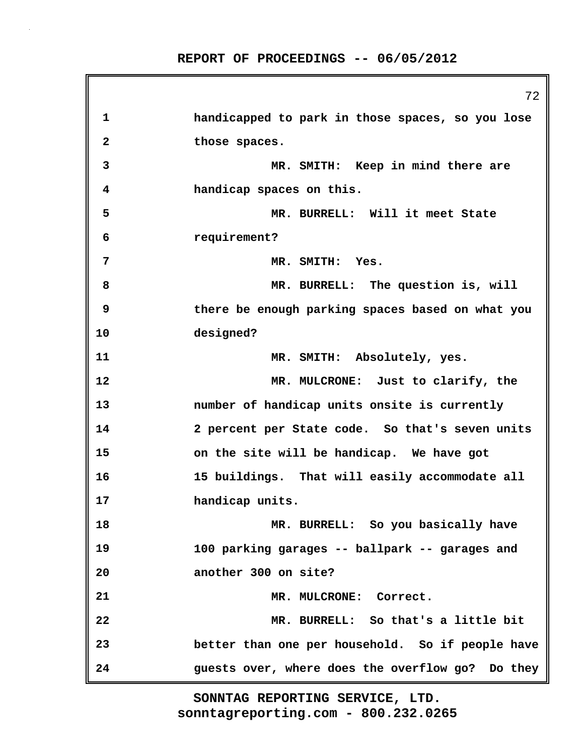72 **1 handicapped to park in those spaces, so you lose 2 those spaces. 3 MR. SMITH: Keep in mind there are 4 handicap spaces on this. 5 MR. BURRELL: Will it meet State 6 requirement? 7 MR. SMITH: Yes. 8 MR. BURRELL: The question is, will 9 there be enough parking spaces based on what you 10 designed? 11 MR. SMITH: Absolutely, yes. 12 MR. MULCRONE: Just to clarify, the 13 number of handicap units onsite is currently 14 2 percent per State code. So that's seven units 15 on the site will be handicap. We have got 16 15 buildings. That will easily accommodate all 17 handicap units. 18 MR. BURRELL: So you basically have 19 100 parking garages -- ballpark -- garages and 20 another 300 on site? 21 MR. MULCRONE: Correct. 22 MR. BURRELL: So that's a little bit 23 better than one per household. So if people have 24 guests over, where does the overflow go? Do they**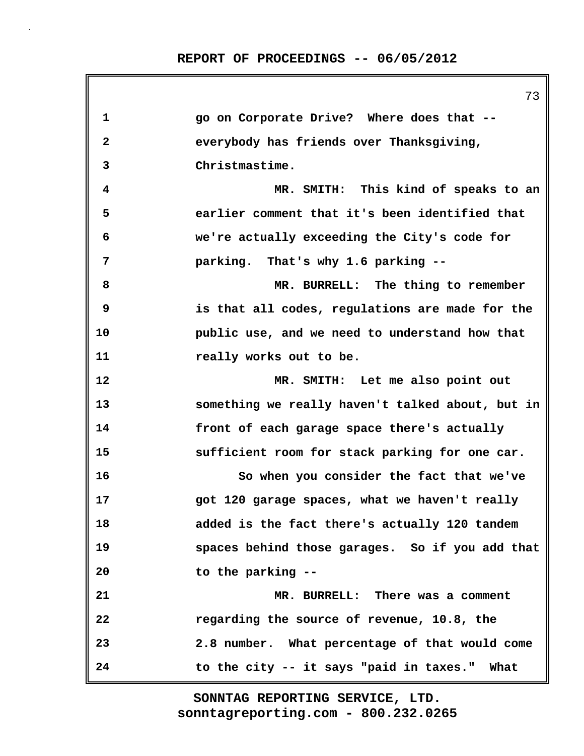**1 go on Corporate Drive? Where does that -- 2 everybody has friends over Thanksgiving, 3 Christmastime. 4 MR. SMITH: This kind of speaks to an 5 earlier comment that it's been identified that 6 we're actually exceeding the City's code for 7 parking. That's why 1.6 parking -- 8 MR. BURRELL: The thing to remember 9 is that all codes, regulations are made for the 10 public use, and we need to understand how that 11 really works out to be. 12 MR. SMITH: Let me also point out 13 something we really haven't talked about, but in 14 front of each garage space there's actually 15 sufficient room for stack parking for one car. 16 So when you consider the fact that we've 17 got 120 garage spaces, what we haven't really 18 added is the fact there's actually 120 tandem 19 spaces behind those garages. So if you add that 20 to the parking -- 21 MR. BURRELL: There was a comment 22 regarding the source of revenue, 10.8, the 23 2.8 number. What percentage of that would come 24 to the city -- it says "paid in taxes." What**

> **sonntagreporting.com - 800.232.0265 SONNTAG REPORTING SERVICE, LTD.**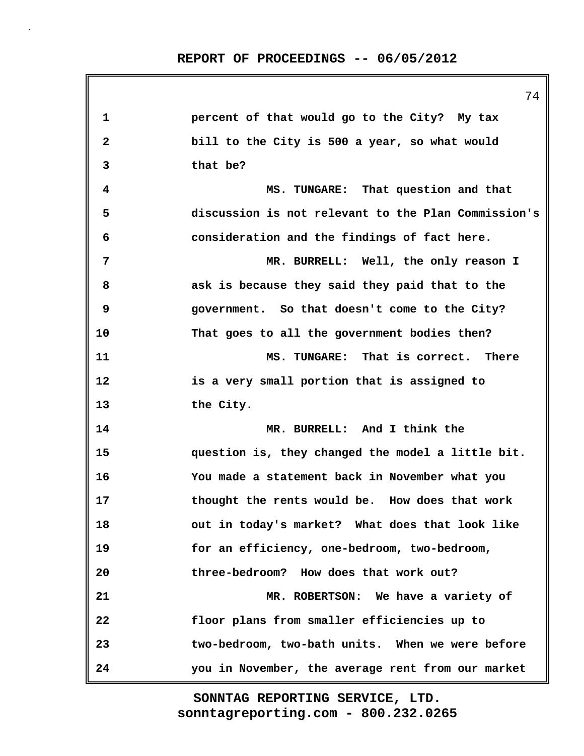| percent of that would go to the City? My tax        |
|-----------------------------------------------------|
| bill to the City is 500 a year, so what would       |
| that be?                                            |
| MS. TUNGARE: That question and that                 |
| discussion is not relevant to the Plan Commission's |
| consideration and the findings of fact here.        |
| MR. BURRELL: Well, the only reason I                |
| ask is because they said they paid that to the      |
| government. So that doesn't come to the City?       |
| That goes to all the government bodies then?        |
| MS. TUNGARE: That is correct. There                 |
| is a very small portion that is assigned to         |
| the City.                                           |
| MR. BURRELL: And I think the                        |
| question is, they changed the model a little bit.   |
| You made a statement back in November what you      |
| thought the rents would be. How does that work      |
| out in today's market? What does that look like     |
| for an efficiency, one-bedroom, two-bedroom,        |
| three-bedroom? How does that work out?              |
| MR. ROBERTSON: We have a variety of                 |
| floor plans from smaller efficiencies up to         |
| two-bedroom, two-bath units. When we were before    |
|                                                     |
|                                                     |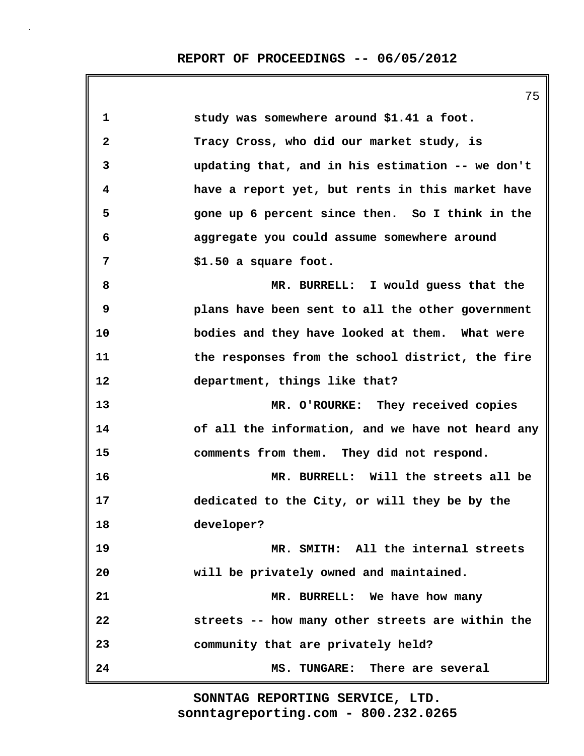|              | 7 J                                               |
|--------------|---------------------------------------------------|
| 1            | study was somewhere around \$1.41 a foot.         |
| $\mathbf{2}$ | Tracy Cross, who did our market study, is         |
| 3            | updating that, and in his estimation -- we don't  |
| 4            | have a report yet, but rents in this market have  |
| 5            | gone up 6 percent since then. So I think in the   |
| 6            | aggregate you could assume somewhere around       |
| 7            | \$1.50 a square foot.                             |
| 8            | MR. BURRELL: I would guess that the               |
| 9            | plans have been sent to all the other government  |
| 10           | bodies and they have looked at them. What were    |
| 11           | the responses from the school district, the fire  |
| 12           | department, things like that?                     |
| 13           | MR. O'ROURKE: They received copies                |
| 14           | of all the information, and we have not heard any |
| 15           | comments from them. They did not respond.         |
| 16           | MR. BURRELL: Will the streets all be              |
| 17           | dedicated to the City, or will they be by the     |
| 18           | developer?                                        |
| 19           | MR. SMITH: All the internal streets               |
| 20           | will be privately owned and maintained.           |
| 21           | MR. BURRELL: We have how many                     |
| 22           | streets -- how many other streets are within the  |
| 23           | community that are privately held?                |
| 24           | MS. TUNGARE: There are several                    |
|              |                                                   |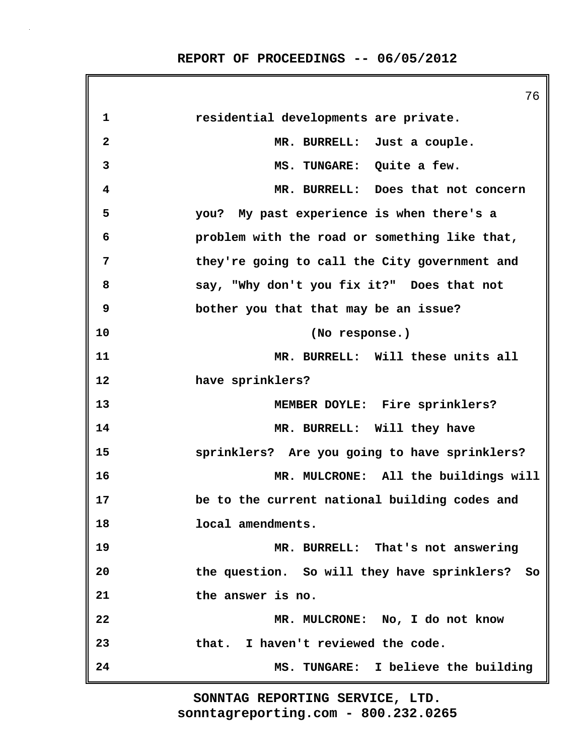**REPORT OF PROCEEDINGS -- 06/05/2012**

|                         | 76                                             |
|-------------------------|------------------------------------------------|
| 1                       | residential developments are private.          |
| $\overline{\mathbf{2}}$ | MR. BURRELL: Just a couple.                    |
| 3                       | MS. TUNGARE: Quite a few.                      |
| 4                       | MR. BURRELL: Does that not concern             |
| 5                       | you? My past experience is when there's a      |
| 6                       | problem with the road or something like that,  |
| 7                       | they're going to call the City government and  |
| 8                       | say, "Why don't you fix it?" Does that not     |
| 9                       | bother you that that may be an issue?          |
| 10                      | (No response.)                                 |
| 11                      | MR. BURRELL: Will these units all              |
| 12                      | have sprinklers?                               |
| 13                      | MEMBER DOYLE: Fire sprinklers?                 |
| 14                      | MR. BURRELL: Will they have                    |
| 15                      | sprinklers? Are you going to have sprinklers?  |
| 16                      | MR. MULCRONE: All the buildings will           |
| 17                      | be to the current national building codes and  |
| 18                      | local amendments.                              |
| 19                      | MR. BURRELL: That's not answering              |
| 20                      | the question. So will they have sprinklers? So |
| 21                      | the answer is no.                              |
| 22                      | MR. MULCRONE: No, I do not know                |
| 23                      | that. I haven't reviewed the code.             |
| 24                      | MS. TUNGARE: I believe the building            |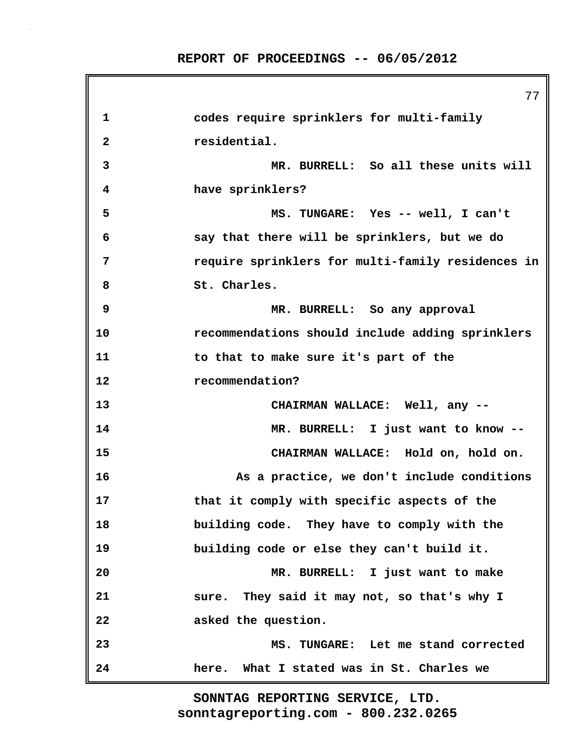77 **1 codes require sprinklers for multi-family 2 residential. 3 MR. BURRELL: So all these units will 4 have sprinklers? 5 MS. TUNGARE: Yes -- well, I can't 6 say that there will be sprinklers, but we do 7 require sprinklers for multi-family residences in 8 St. Charles. 9 MR. BURRELL: So any approval 10 recommendations should include adding sprinklers 11 to that to make sure it's part of the 12 recommendation? 13 CHAIRMAN WALLACE: Well, any -- 14 MR. BURRELL: I just want to know -- 15 CHAIRMAN WALLACE: Hold on, hold on. 16 As a practice, we don't include conditions 17 that it comply with specific aspects of the 18 building code. They have to comply with the 19 building code or else they can't build it. 20 MR. BURRELL: I just want to make 21 sure. They said it may not, so that's why I 22 asked the question. 23 MS. TUNGARE: Let me stand corrected 24 here. What I stated was in St. Charles we**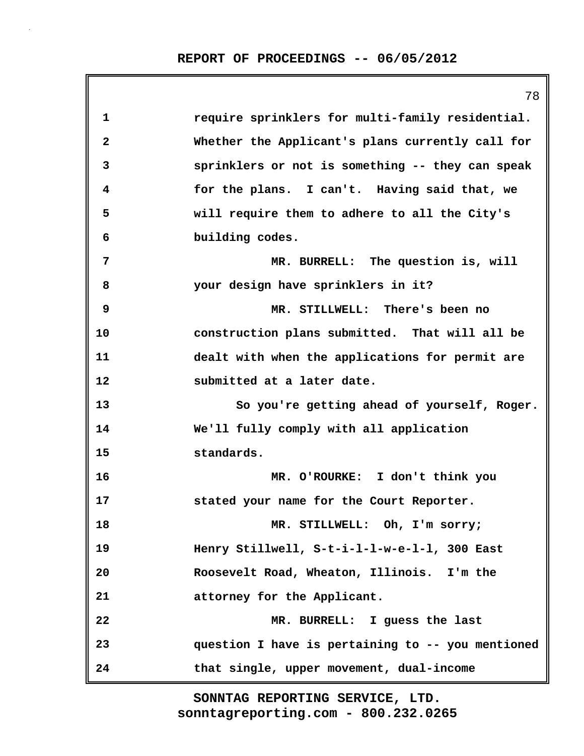|              | 78                                                |
|--------------|---------------------------------------------------|
| 1            | require sprinklers for multi-family residential.  |
| $\mathbf{2}$ | Whether the Applicant's plans currently call for  |
| 3            | sprinklers or not is something -- they can speak  |
| 4            | for the plans. I can't. Having said that, we      |
| 5            | will require them to adhere to all the City's     |
| 6            | building codes.                                   |
| 7            | MR. BURRELL: The question is, will                |
| 8            | your design have sprinklers in it?                |
| 9            | MR. STILLWELL: There's been no                    |
| 10           | construction plans submitted. That will all be    |
| 11           | dealt with when the applications for permit are   |
| 12           | submitted at a later date.                        |
| 13           | So you're getting ahead of yourself, Roger.       |
| 14           | We'll fully comply with all application           |
| 15           | standards.                                        |
| 16           | MR. O'ROURKE: I don't think you                   |
| 17           | stated your name for the Court Reporter.          |
| 18           | MR. STILLWELL: Oh, I'm sorry;                     |
| 19           | Henry Stillwell, S-t-i-l-l-w-e-l-l, 300 East      |
| 20           | Roosevelt Road, Wheaton, Illinois. I'm the        |
| 21           | attorney for the Applicant.                       |
| 22           | MR. BURRELL: I guess the last                     |
| 23           | question I have is pertaining to -- you mentioned |
| 24           | that single, upper movement, dual-income          |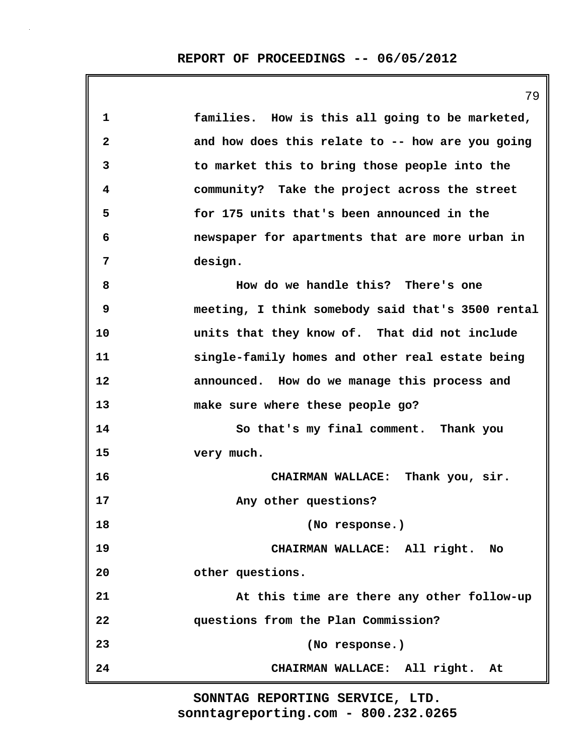|              | 79                                                |
|--------------|---------------------------------------------------|
| 1            | families. How is this all going to be marketed,   |
| $\mathbf{2}$ | and how does this relate to -- how are you going  |
| 3            | to market this to bring those people into the     |
| 4            | community? Take the project across the street     |
| 5            | for 175 units that's been announced in the        |
| 6            | newspaper for apartments that are more urban in   |
| 7            | design.                                           |
| 8            | How do we handle this? There's one                |
| 9            | meeting, I think somebody said that's 3500 rental |
| 10           | units that they know of. That did not include     |
| 11           | single-family homes and other real estate being   |
| 12           | announced. How do we manage this process and      |
| 13           | make sure where these people go?                  |
| 14           | So that's my final comment. Thank you             |
| 15           | very much.                                        |
| 16           | CHAIRMAN WALLACE: Thank you, sir.                 |
| 17           | Any other questions?                              |
| 18           | (No response.)                                    |
| 19           | CHAIRMAN WALLACE: All right. No                   |
| 20           | other questions.                                  |
| 21           | At this time are there any other follow-up        |
| 22           | questions from the Plan Commission?               |
| 23           | (No response.)                                    |
| 24           | CHAIRMAN WALLACE: All right. At                   |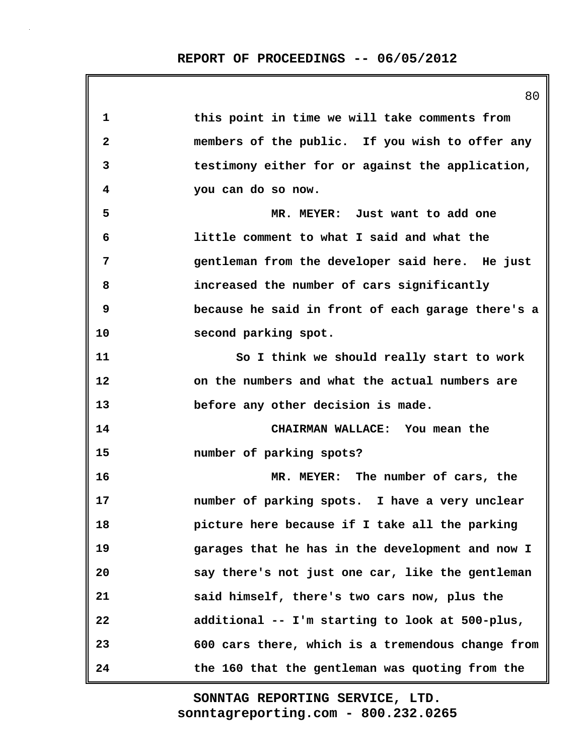| 1            | this point in time we will take comments from     |
|--------------|---------------------------------------------------|
| $\mathbf{2}$ | members of the public. If you wish to offer any   |
| 3            | testimony either for or against the application,  |
| 4            | you can do so now.                                |
| 5            | MR. MEYER: Just want to add one                   |
| 6            | little comment to what I said and what the        |
| 7            | gentleman from the developer said here. He just   |
| 8            | increased the number of cars significantly        |
| 9            | because he said in front of each garage there's a |
| 10           | second parking spot.                              |
| 11           | So I think we should really start to work         |
| 12           | on the numbers and what the actual numbers are    |
| 13           | before any other decision is made.                |
| 14           | CHAIRMAN WALLACE: You mean the                    |
| 15           | number of parking spots?                          |
| 16           | MR. MEYER: The number of cars, the                |
| 17           | number of parking spots. I have a very unclear    |
| 18           | picture here because if I take all the parking    |
| 19           | garages that he has in the development and now I  |
| 20           | say there's not just one car, like the gentleman  |
| 21           | said himself, there's two cars now, plus the      |
| 22           | additional -- I'm starting to look at 500-plus,   |
| 23           | 600 cars there, which is a tremendous change from |
| 24           | the 160 that the gentleman was quoting from the   |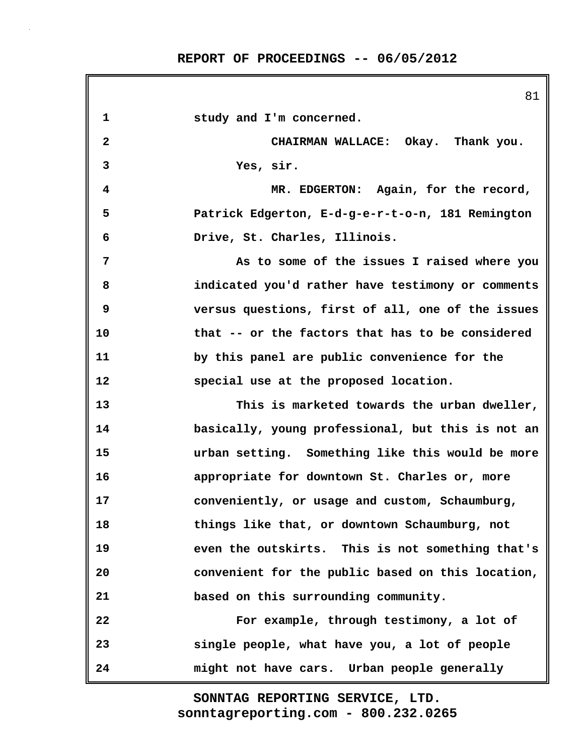**REPORT OF PROCEEDINGS -- 06/05/2012**

|                         | ◡⊥                                                |
|-------------------------|---------------------------------------------------|
| 1                       | study and I'm concerned.                          |
| $\overline{\mathbf{2}}$ | CHAIRMAN WALLACE: Okay. Thank you.                |
| 3                       | Yes, sir.                                         |
| 4                       | MR. EDGERTON: Again, for the record,              |
| 5                       | Patrick Edgerton, E-d-g-e-r-t-o-n, 181 Remington  |
| 6                       | Drive, St. Charles, Illinois.                     |
| 7                       | As to some of the issues I raised where you       |
| 8                       | indicated you'd rather have testimony or comments |
| 9                       | versus questions, first of all, one of the issues |
| 10                      | that -- or the factors that has to be considered  |
| 11                      | by this panel are public convenience for the      |
| 12                      | special use at the proposed location.             |
| 13                      | This is marketed towards the urban dweller,       |
| 14                      | basically, young professional, but this is not an |
| 15                      | urban setting. Something like this would be more  |
| 16                      | appropriate for downtown St. Charles or, more     |
| 17                      | conveniently, or usage and custom, Schaumburg,    |
| 18                      | things like that, or downtown Schaumburg, not     |
| 19                      | even the outskirts. This is not something that's  |
| 20                      | convenient for the public based on this location, |
| 21                      | based on this surrounding community.              |
| 22                      | For example, through testimony, a lot of          |
| 23                      | single people, what have you, a lot of people     |
| 24                      | might not have cars. Urban people generally       |

**sonntagreporting.com - 800.232.0265 SONNTAG REPORTING SERVICE, LTD.**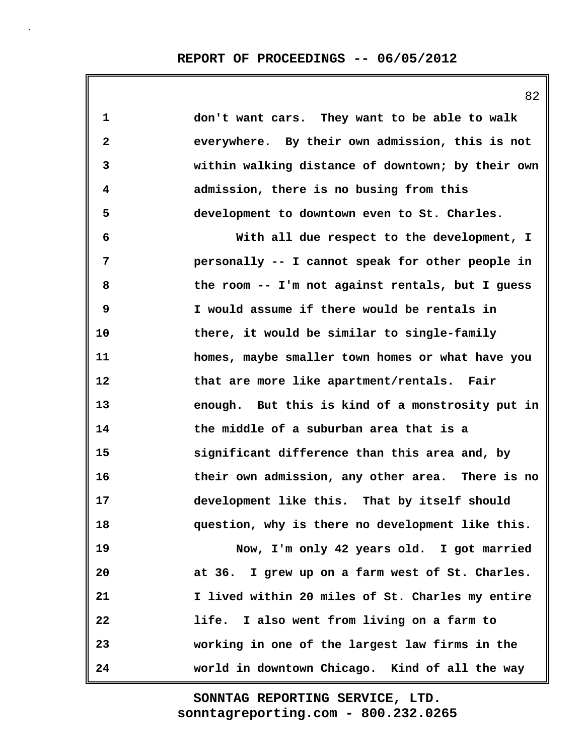| 1            | don't want cars. They want to be able to walk     |
|--------------|---------------------------------------------------|
| $\mathbf{2}$ | everywhere. By their own admission, this is not   |
| 3            | within walking distance of downtown; by their own |
| 4            | admission, there is no busing from this           |
| 5            | development to downtown even to St. Charles.      |
| 6            | With all due respect to the development, I        |
| 7            | personally -- I cannot speak for other people in  |
| 8            | the room -- I'm not against rentals, but I guess  |
| 9            | I would assume if there would be rentals in       |
| 10           | there, it would be similar to single-family       |
| 11           | homes, maybe smaller town homes or what have you  |
| 12           | that are more like apartment/rentals. Fair        |
| 13           | enough. But this is kind of a monstrosity put in  |
| 14           | the middle of a suburban area that is a           |
| 15           | significant difference than this area and, by     |
| 16           | their own admission, any other area. There is no  |
| 17           | development like this. That by itself should      |
| 18           | question, why is there no development like this.  |
| 19           | Now, I'm only 42 years old. I got married         |
| 20           | at 36. I grew up on a farm west of St. Charles.   |
| 21           | I lived within 20 miles of St. Charles my entire  |
| 22           | life. I also went from living on a farm to        |
| 23           | working in one of the largest law firms in the    |
| 24           | world in downtown Chicago. Kind of all the way    |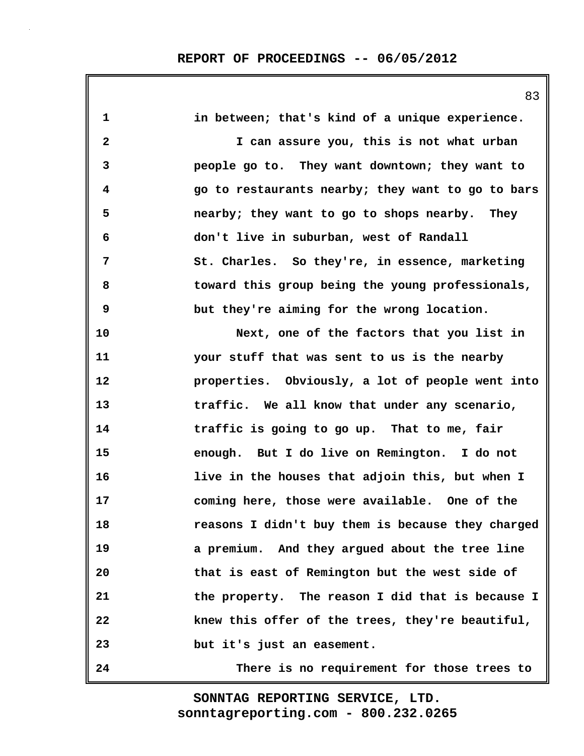**1 in between; that's kind of a unique experience. 2 I can assure you, this is not what urban 3 people go to. They want downtown; they want to 4 go to restaurants nearby; they want to go to bars 5 nearby; they want to go to shops nearby. They 6 don't live in suburban, west of Randall 7 St. Charles. So they're, in essence, marketing 8 toward this group being the young professionals, 9 but they're aiming for the wrong location. 10 Next, one of the factors that you list in 11 your stuff that was sent to us is the nearby 12 properties. Obviously, a lot of people went into 13 traffic. We all know that under any scenario, 14 traffic is going to go up. That to me, fair 15 enough. But I do live on Remington. I do not 16 live in the houses that adjoin this, but when I 17 coming here, those were available. One of the 18 reasons I didn't buy them is because they charged 19 a premium. And they argued about the tree line 20 that is east of Remington but the west side of 21 the property. The reason I did that is because I 22 knew this offer of the trees, they're beautiful, 23 but it's just an easement. 24 There is no requirement for those trees to**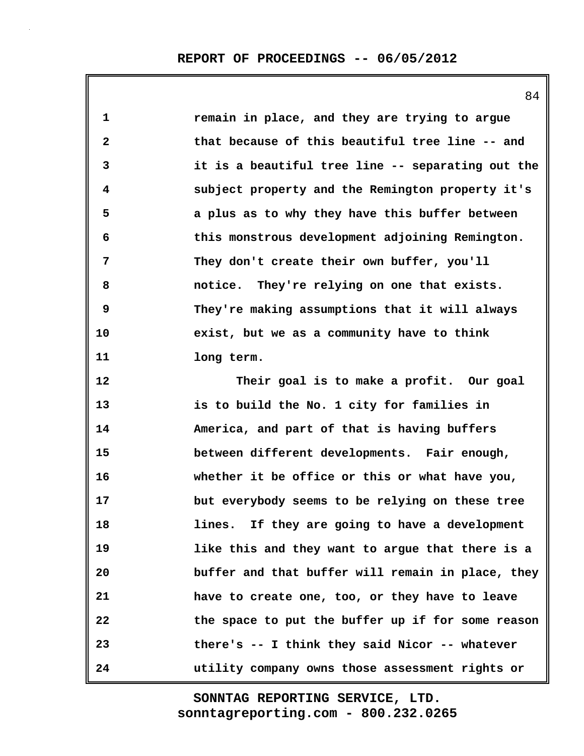**1 remain in place, and they are trying to argue 2 that because of this beautiful tree line -- and 3 it is a beautiful tree line -- separating out the 4 subject property and the Remington property it's 5 a plus as to why they have this buffer between 6 this monstrous development adjoining Remington. 7 They don't create their own buffer, you'll 8 notice. They're relying on one that exists. 9 They're making assumptions that it will always 10 exist, but we as a community have to think 11 long term. 12 Their goal is to make a profit. Our goal 13 is to build the No. 1 city for families in 14 America, and part of that is having buffers 15 between different developments. Fair enough, 16 whether it be office or this or what have you, 17 but everybody seems to be relying on these tree 18 lines. If they are going to have a development 19 like this and they want to argue that there is a 20 buffer and that buffer will remain in place, they 21 have to create one, too, or they have to leave 22 the space to put the buffer up if for some reason 23 there's -- I think they said Nicor -- whatever 24 utility company owns those assessment rights or**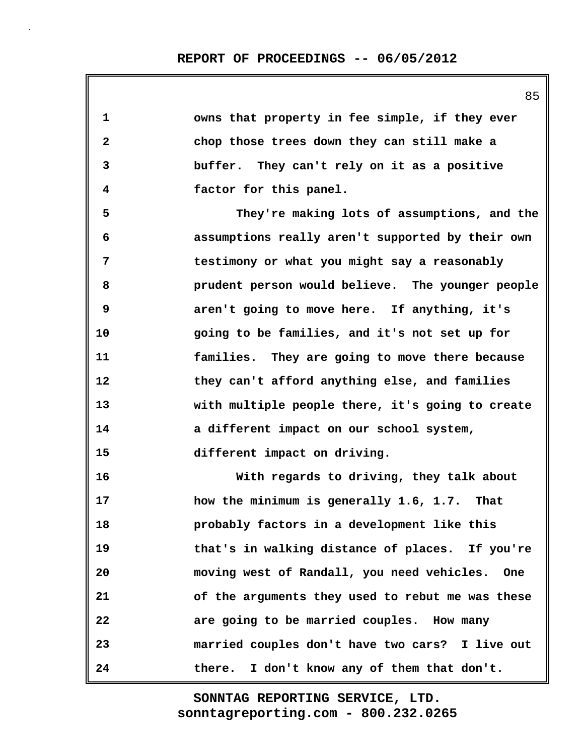| 1            | owns that property in fee simple, if they ever   |
|--------------|--------------------------------------------------|
| $\mathbf{2}$ | chop those trees down they can still make a      |
| 3            | buffer. They can't rely on it as a positive      |
| 4            | factor for this panel.                           |
| 5            | They're making lots of assumptions, and the      |
| 6            | assumptions really aren't supported by their own |
| 7            | testimony or what you might say a reasonably     |
| 8            | prudent person would believe. The younger people |
| 9            | aren't going to move here. If anything, it's     |
| 10           | going to be families, and it's not set up for    |
| 11           | families. They are going to move there because   |
| 12           | they can't afford anything else, and families    |
| 13           | with multiple people there, it's going to create |
| 14           | a different impact on our school system,         |
| 15           | different impact on driving.                     |
| 16           | With regards to driving, they talk about         |
| 17           | how the minimum is generally 1.6, 1.7. That      |
| 18           | probably factors in a development like this      |
| 19           | that's in walking distance of places. If you're  |
| 20           | moving west of Randall, you need vehicles. One   |
| 21           | of the arguments they used to rebut me was these |
| 22           | are going to be married couples. How many        |
| 23           | married couples don't have two cars? I live out  |
| 24           | I don't know any of them that don't.<br>there.   |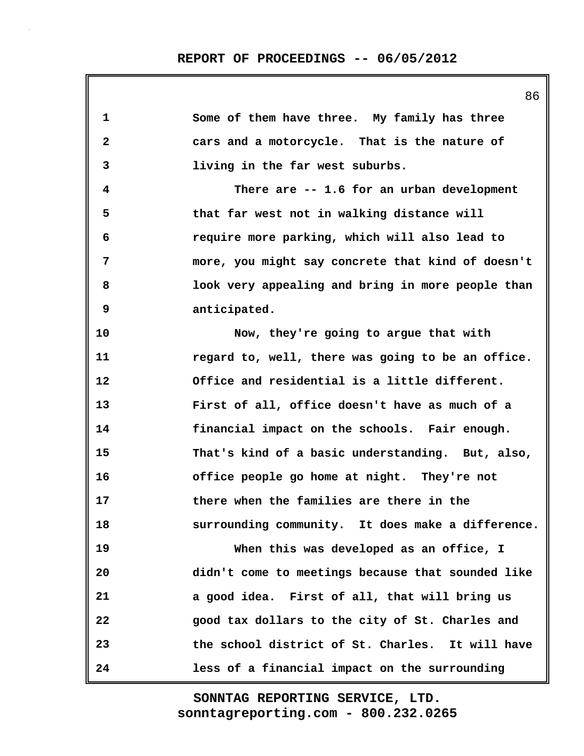| 1            | Some of them have three. My family has three      |
|--------------|---------------------------------------------------|
| $\mathbf{2}$ | cars and a motorcycle. That is the nature of      |
| 3            | living in the far west suburbs.                   |
| 4            | There are -- 1.6 for an urban development         |
| 5            | that far west not in walking distance will        |
| 6            | require more parking, which will also lead to     |
| 7            | more, you might say concrete that kind of doesn't |
| 8            | look very appealing and bring in more people than |
| 9            | anticipated.                                      |
| 10           | Now, they're going to argue that with             |
| 11           | regard to, well, there was going to be an office. |
| 12           | Office and residential is a little different.     |
| 13           | First of all, office doesn't have as much of a    |
| 14           | financial impact on the schools. Fair enough.     |
| 15           | That's kind of a basic understanding. But, also,  |
| 16           | office people go home at night. They're not       |
| 17           | there when the families are there in the          |
| 18           | surrounding community. It does make a difference. |
| 19           | When this was developed as an office, I           |
| 20           | didn't come to meetings because that sounded like |
| 21           | a good idea. First of all, that will bring us     |
| 22           | good tax dollars to the city of St. Charles and   |
| 23           | the school district of St. Charles. It will have  |
| 24           | less of a financial impact on the surrounding     |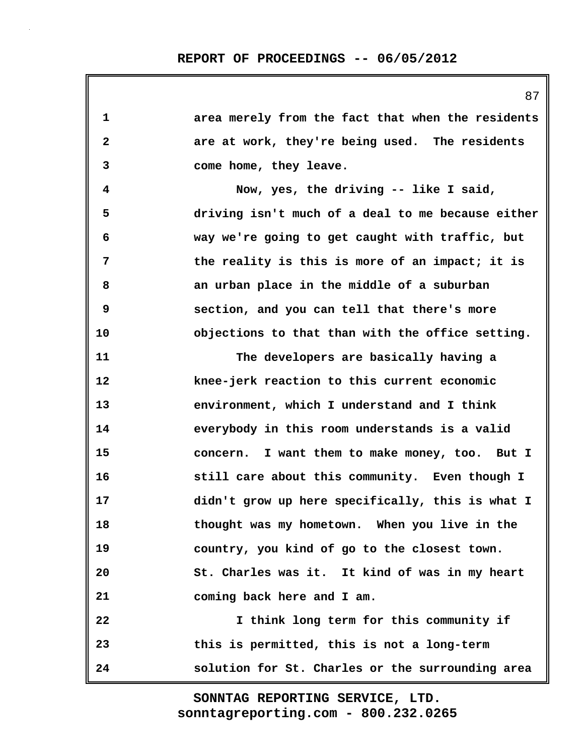| 1                       | area merely from the fact that when the residents |
|-------------------------|---------------------------------------------------|
| $\overline{\mathbf{2}}$ | are at work, they're being used. The residents    |
| 3                       | come home, they leave.                            |
| 4                       | Now, yes, the driving -- like I said,             |
| 5                       | driving isn't much of a deal to me because either |
| 6                       | way we're going to get caught with traffic, but   |
| 7                       | the reality is this is more of an impact; it is   |
| 8                       | an urban place in the middle of a suburban        |
| 9                       | section, and you can tell that there's more       |
| 10                      | objections to that than with the office setting.  |
| 11                      | The developers are basically having a             |
| 12                      | knee-jerk reaction to this current economic       |
| 13                      | environment, which I understand and I think       |
| 14                      | everybody in this room understands is a valid     |
| 15                      | concern. I want them to make money, too. But I    |
| 16                      | still care about this community. Even though I    |
| 17                      | didn't grow up here specifically, this is what I  |
| 18                      | thought was my hometown. When you live in the     |
| 19                      | country, you kind of go to the closest town.      |
| 20                      | St. Charles was it. It kind of was in my heart    |
| 21                      | coming back here and I am.                        |
| 22                      | I think long term for this community if           |
| 23                      | this is permitted, this is not a long-term        |
| 24                      | solution for St. Charles or the surrounding area  |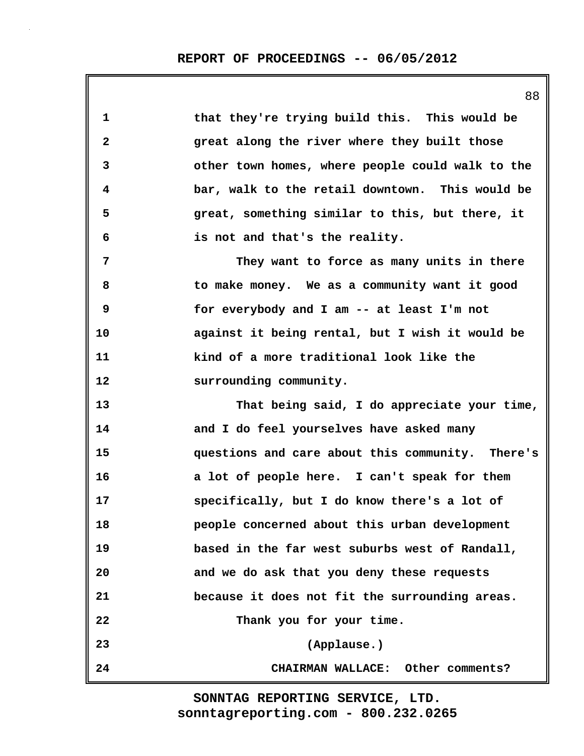| 1            | that they're trying build this. This would be    |
|--------------|--------------------------------------------------|
| $\mathbf{2}$ | great along the river where they built those     |
| 3            | other town homes, where people could walk to the |
| 4            | bar, walk to the retail downtown. This would be  |
| 5            | great, something similar to this, but there, it  |
| 6            | is not and that's the reality.                   |
| 7            | They want to force as many units in there        |
| 8            | to make money. We as a community want it good    |
| 9            | for everybody and I am -- at least I'm not       |
| 10           | against it being rental, but I wish it would be  |
| 11           | kind of a more traditional look like the         |
| 12           | surrounding community.                           |
| 13           | That being said, I do appreciate your time,      |
| 14           | and I do feel yourselves have asked many         |
| 15           | questions and care about this community. There's |
| 16           | a lot of people here. I can't speak for them     |
| 17           | specifically, but I do know there's a lot of     |
| 18           | people concerned about this urban development    |
| 19           | based in the far west suburbs west of Randall,   |
| 20           | and we do ask that you deny these requests       |
| 21           | because it does not fit the surrounding areas.   |
| 22           | Thank you for your time.                         |
| 23           | (Applause.)                                      |
| 24           | CHAIRMAN WALLACE: Other comments?                |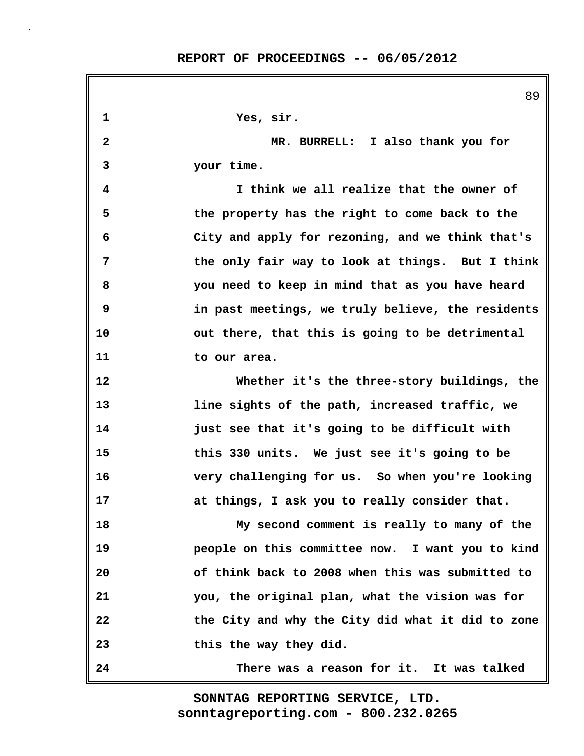**REPORT OF PROCEEDINGS -- 06/05/2012**

89 **1 Yes, sir. 2 MR. BURRELL: I also thank you for 3 your time. 4 I think we all realize that the owner of 5 the property has the right to come back to the 6 City and apply for rezoning, and we think that's 7 the only fair way to look at things. But I think 8 you need to keep in mind that as you have heard 9 in past meetings, we truly believe, the residents 10 out there, that this is going to be detrimental 11 to our area. 12 Whether it's the three-story buildings, the 13 line sights of the path, increased traffic, we 14 just see that it's going to be difficult with 15 this 330 units. We just see it's going to be 16 very challenging for us. So when you're looking 17 at things, I ask you to really consider that. 18 My second comment is really to many of the 19 people on this committee now. I want you to kind 20 of think back to 2008 when this was submitted to 21 you, the original plan, what the vision was for 22 the City and why the City did what it did to zone 23 this the way they did. 24 There was a reason for it. It was talked**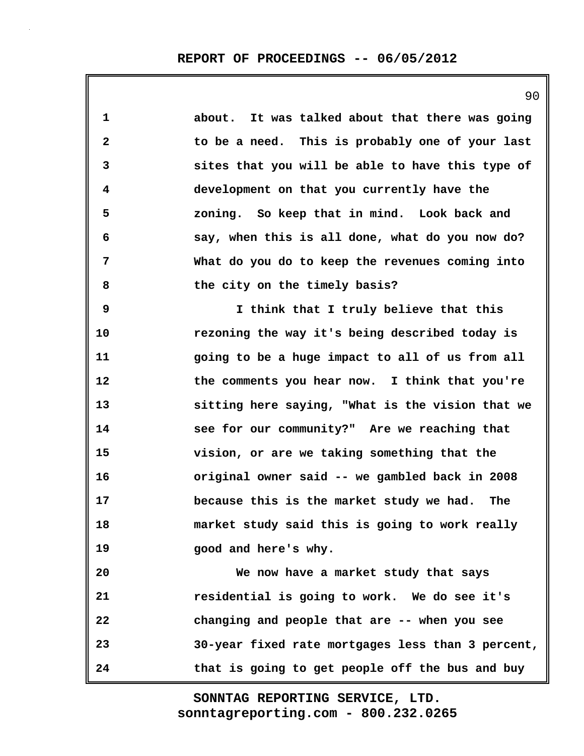**1 about. It was talked about that there was going 2 to be a need. This is probably one of your last 3 sites that you will be able to have this type of 4 development on that you currently have the 5 zoning. So keep that in mind. Look back and 6 say, when this is all done, what do you now do? 7 What do you do to keep the revenues coming into 8 the city on the timely basis? 9 I think that I truly believe that this 10 rezoning the way it's being described today is 11 going to be a huge impact to all of us from all 12 the comments you hear now. I think that you're 13 sitting here saying, "What is the vision that we 14 see for our community?" Are we reaching that 15 vision, or are we taking something that the 16 original owner said -- we gambled back in 2008 17 because this is the market study we had. The 18 market study said this is going to work really 19 good and here's why. 20 We now have a market study that says 21 residential is going to work. We do see it's 22 changing and people that are -- when you see 23 30-year fixed rate mortgages less than 3 percent, 24 that is going to get people off the bus and buy**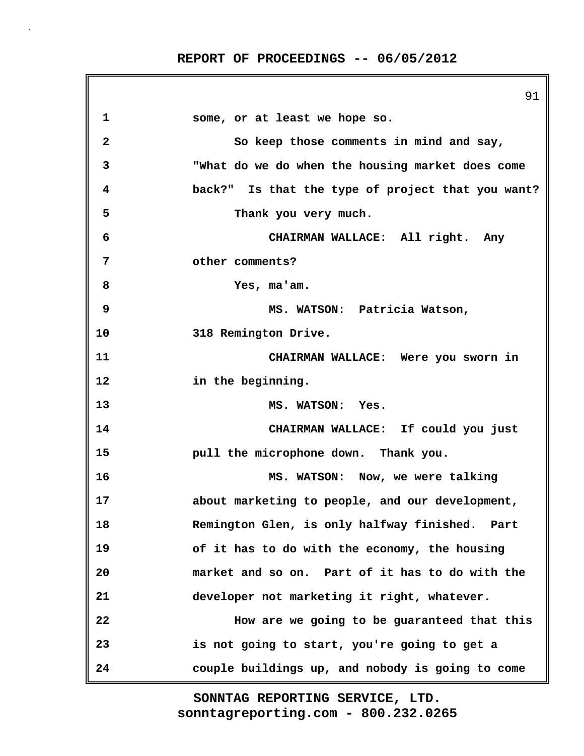**REPORT OF PROCEEDINGS -- 06/05/2012**

91 **1 some, or at least we hope so. 2 So keep those comments in mind and say, 3 "What do we do when the housing market does come 4 back?" Is that the type of project that you want? 5 Thank you very much. 6 CHAIRMAN WALLACE: All right. Any 7 other comments? 8 Yes, ma'am. 9 MS. WATSON: Patricia Watson, 10 318 Remington Drive. 11 CHAIRMAN WALLACE: Were you sworn in 12 in the beginning. 13 MS. WATSON: Yes. 14 CHAIRMAN WALLACE: If could you just 15 pull the microphone down. Thank you. 16 MS. WATSON: Now, we were talking 17 about marketing to people, and our development, 18 Remington Glen, is only halfway finished. Part 19 of it has to do with the economy, the housing 20 market and so on. Part of it has to do with the 21 developer not marketing it right, whatever. 22 How are we going to be guaranteed that this 23 is not going to start, you're going to get a 24 couple buildings up, and nobody is going to come**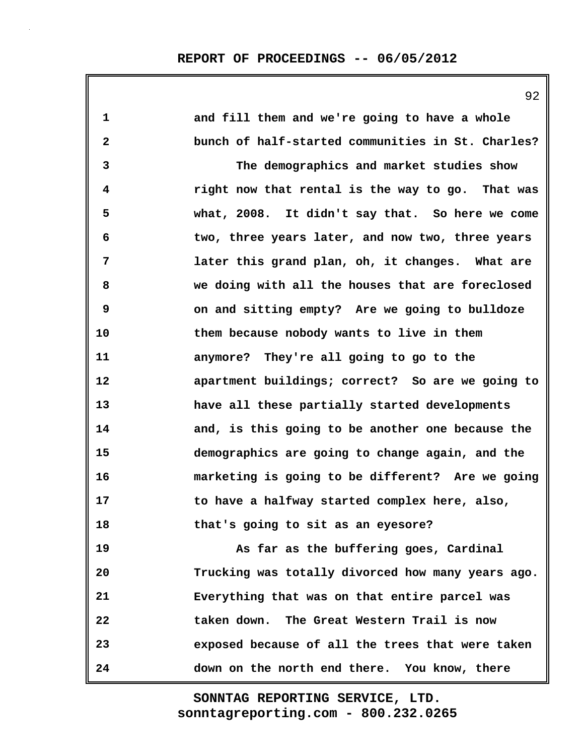| $\mathbf{1}$            | and fill them and we're going to have a whole     |
|-------------------------|---------------------------------------------------|
| $\overline{\mathbf{2}}$ | bunch of half-started communities in St. Charles? |
| $\mathbf{3}$            | The demographics and market studies show          |
| 4                       | right now that rental is the way to go. That was  |
| 5                       | what, 2008. It didn't say that. So here we come   |
| 6                       | two, three years later, and now two, three years  |
| 7                       | later this grand plan, oh, it changes. What are   |
| 8                       | we doing with all the houses that are foreclosed  |
| 9                       | on and sitting empty? Are we going to bulldoze    |
| 10                      | them because nobody wants to live in them         |
| 11                      | anymore? They're all going to go to the           |
| 12                      | apartment buildings; correct? So are we going to  |
| 13                      | have all these partially started developments     |
| 14                      | and, is this going to be another one because the  |
| 15                      | demographics are going to change again, and the   |
| 16                      | marketing is going to be different? Are we going  |
| 17                      | to have a halfway started complex here, also,     |
| 18                      | that's going to sit as an eyesore?                |
| 19                      | As far as the buffering goes, Cardinal            |
| 20                      | Trucking was totally divorced how many years ago. |
| 21                      | Everything that was on that entire parcel was     |
| 22                      | taken down. The Great Western Trail is now        |
| 23                      | exposed because of all the trees that were taken  |
| 24                      | down on the north end there. You know, there      |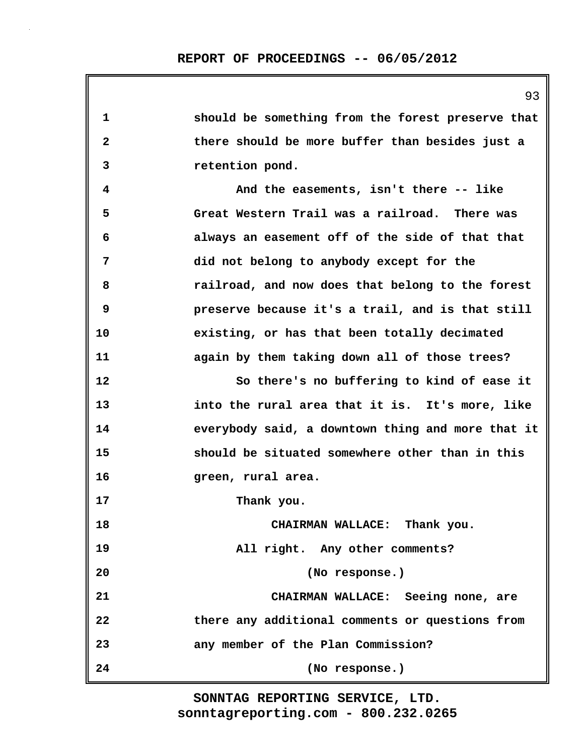| 1            | should be something from the forest preserve that |
|--------------|---------------------------------------------------|
| $\mathbf{2}$ | there should be more buffer than besides just a   |
| 3            | retention pond.                                   |
| 4            | And the easements, isn't there -- like            |
| 5            | Great Western Trail was a railroad. There was     |
| 6            | always an easement off of the side of that that   |
| 7            | did not belong to anybody except for the          |
| 8            | railroad, and now does that belong to the forest  |
| 9            | preserve because it's a trail, and is that still  |
| 10           | existing, or has that been totally decimated      |
| 11           | again by them taking down all of those trees?     |
| 12           | So there's no buffering to kind of ease it        |
| 13           | into the rural area that it is. It's more, like   |
| 14           | everybody said, a downtown thing and more that it |
| 15           | should be situated somewhere other than in this   |
| 16           | green, rural area.                                |
| 17           | Thank you.                                        |
| 18           | CHAIRMAN WALLACE: Thank you.                      |
| 19           | All right. Any other comments?                    |
| 20           | (No response.)                                    |
| 21           | CHAIRMAN WALLACE: Seeing none, are                |
| 22           | there any additional comments or questions from   |
| 23           | any member of the Plan Commission?                |
| 24           | (No response.)                                    |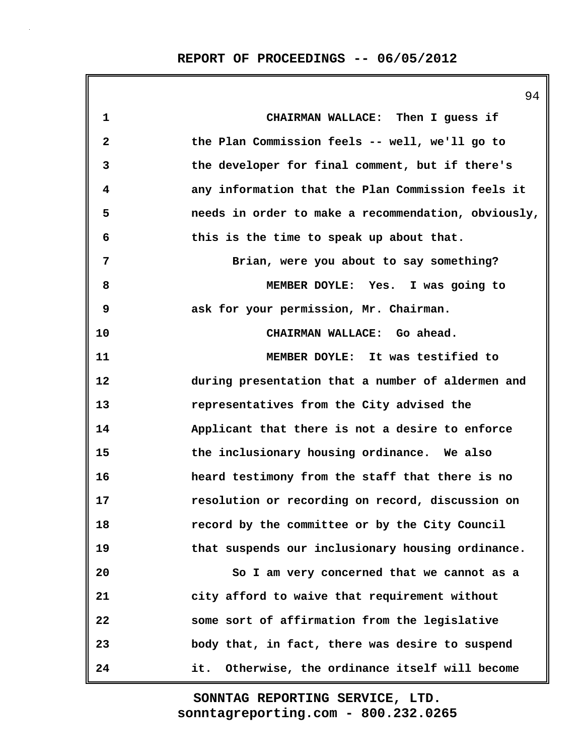|                         | 94                                                  |
|-------------------------|-----------------------------------------------------|
| 1                       | CHAIRMAN WALLACE: Then I guess if                   |
| $\overline{\mathbf{2}}$ | the Plan Commission feels -- well, we'll go to      |
| 3                       | the developer for final comment, but if there's     |
| 4                       | any information that the Plan Commission feels it   |
| 5                       | needs in order to make a recommendation, obviously, |
| 6                       | this is the time to speak up about that.            |
| 7                       | Brian, were you about to say something?             |
| 8                       | MEMBER DOYLE: Yes. I was going to                   |
| 9                       | ask for your permission, Mr. Chairman.              |
| 10                      | CHAIRMAN WALLACE: Go ahead.                         |
| 11                      | MEMBER DOYLE: It was testified to                   |
| 12                      | during presentation that a number of aldermen and   |
| 13                      | representatives from the City advised the           |
| 14                      | Applicant that there is not a desire to enforce     |
| 15                      | the inclusionary housing ordinance. We also         |
| 16                      | heard testimony from the staff that there is no     |
| 17                      | resolution or recording on record, discussion on    |
| 18                      | record by the committee or by the City Council      |
| 19                      | that suspends our inclusionary housing ordinance.   |
| 20                      | So I am very concerned that we cannot as a          |
| 21                      | city afford to waive that requirement without       |
| 22                      | some sort of affirmation from the legislative       |
| 23                      | body that, in fact, there was desire to suspend     |
| 24                      | Otherwise, the ordinance itself will become<br>it.  |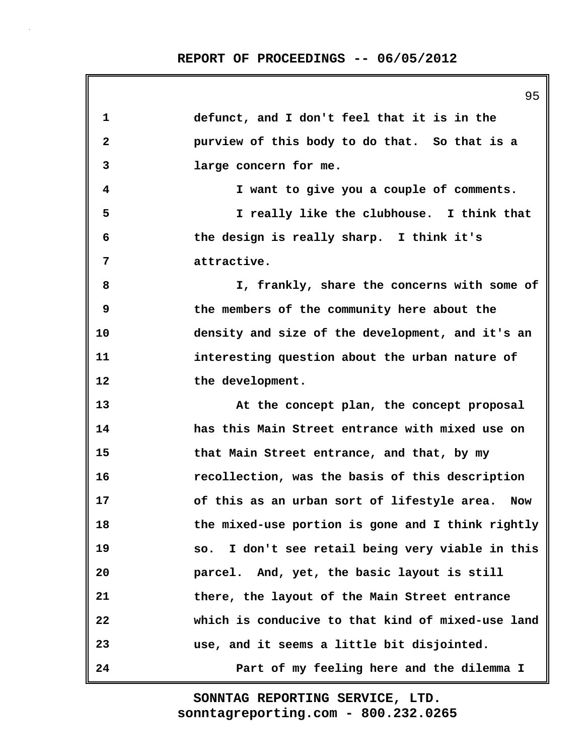**1 defunct, and I don't feel that it is in the 2 purview of this body to do that. So that is a 3 large concern for me. 4 I want to give you a couple of comments. 5 I really like the clubhouse. I think that 6 the design is really sharp. I think it's 7 attractive. 8 I, frankly, share the concerns with some of 9 the members of the community here about the 10 density and size of the development, and it's an 11 interesting question about the urban nature of 12 the development. 13 At the concept plan, the concept proposal 14 has this Main Street entrance with mixed use on 15 that Main Street entrance, and that, by my 16 recollection, was the basis of this description 17 of this as an urban sort of lifestyle area. Now 18 the mixed-use portion is gone and I think rightly 19 so. I don't see retail being very viable in this 20 parcel. And, yet, the basic layout is still 21 there, the layout of the Main Street entrance 22 which is conducive to that kind of mixed-use land 23 use, and it seems a little bit disjointed. 24 Part of my feeling here and the dilemma I**

> **sonntagreporting.com - 800.232.0265 SONNTAG REPORTING SERVICE, LTD.**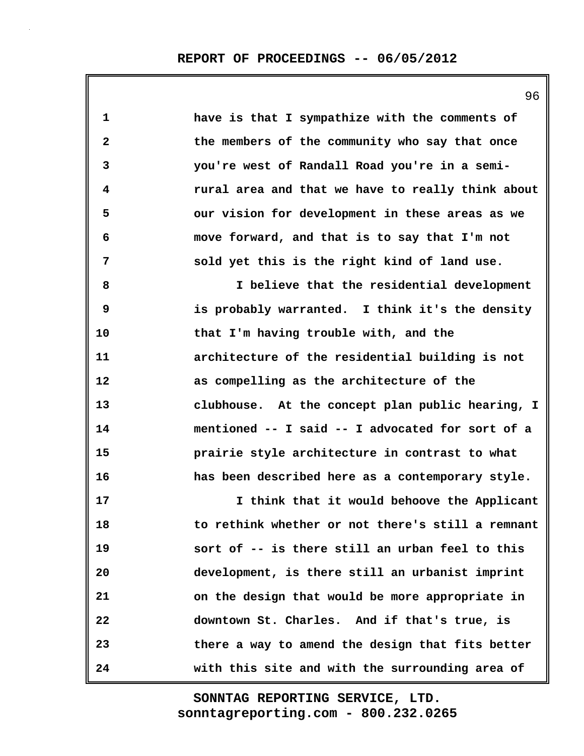**1 have is that I sympathize with the comments of 2 the members of the community who say that once 3 you're west of Randall Road you're in a semi-4 rural area and that we have to really think about 5 our vision for development in these areas as we 6 move forward, and that is to say that I'm not 7 sold yet this is the right kind of land use.**

**8 I believe that the residential development 9 is probably warranted. I think it's the density 10 that I'm having trouble with, and the 11 architecture of the residential building is not 12 as compelling as the architecture of the 13 clubhouse. At the concept plan public hearing, I 14 mentioned -- I said -- I advocated for sort of a 15 prairie style architecture in contrast to what 16 has been described here as a contemporary style.**

**17 I think that it would behoove the Applicant 18 to rethink whether or not there's still a remnant 19 sort of -- is there still an urban feel to this 20 development, is there still an urbanist imprint 21 on the design that would be more appropriate in 22 downtown St. Charles. And if that's true, is 23 there a way to amend the design that fits better 24 with this site and with the surrounding area of**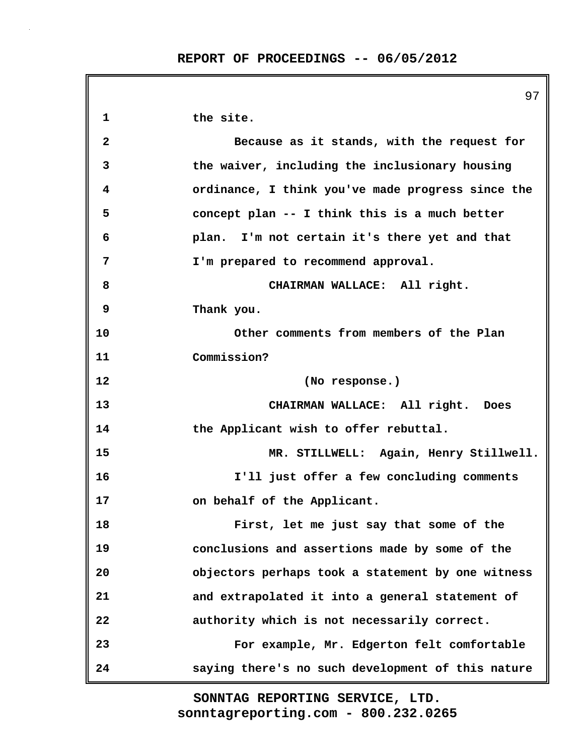|                         | 97                                                |
|-------------------------|---------------------------------------------------|
| 1                       | the site.                                         |
| $\overline{\mathbf{2}}$ | Because as it stands, with the request for        |
| 3                       | the waiver, including the inclusionary housing    |
| 4                       | ordinance, I think you've made progress since the |
| 5                       | concept plan -- I think this is a much better     |
| 6                       | plan. I'm not certain it's there yet and that     |
| 7                       | I'm prepared to recommend approval.               |
| 8                       | CHAIRMAN WALLACE: All right.                      |
| 9                       | Thank you.                                        |
| 10                      | Other comments from members of the Plan           |
| 11                      | Commission?                                       |
| 12                      | (No response.)                                    |
| 13                      | CHAIRMAN WALLACE: All right. Does                 |
| 14                      | the Applicant wish to offer rebuttal.             |
| 15                      | MR. STILLWELL: Again, Henry Stillwell.            |
| 16                      | I'll just offer a few concluding comments         |
| 17                      | on behalf of the Applicant.                       |
| 18                      | First, let me just say that some of the           |
| 19                      | conclusions and assertions made by some of the    |
| 20                      | objectors perhaps took a statement by one witness |
| 21                      | and extrapolated it into a general statement of   |
| 22                      | authority which is not necessarily correct.       |
| 23                      | For example, Mr. Edgerton felt comfortable        |
| 24                      | saying there's no such development of this nature |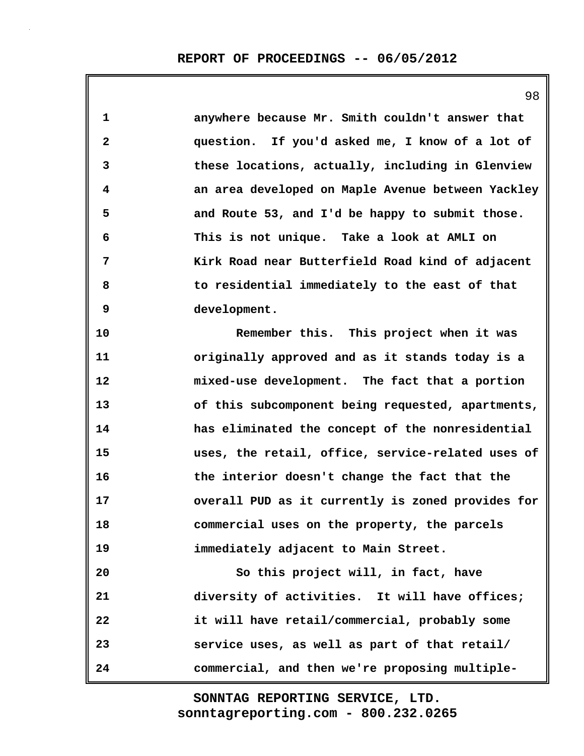| $\mathbf{1}$ | anywhere because Mr. Smith couldn't answer that   |
|--------------|---------------------------------------------------|
| $\mathbf{2}$ | question. If you'd asked me, I know of a lot of   |
| 3            | these locations, actually, including in Glenview  |
| 4            | an area developed on Maple Avenue between Yackley |
| 5            | and Route 53, and I'd be happy to submit those.   |
| 6            | This is not unique. Take a look at AMLI on        |
| 7            | Kirk Road near Butterfield Road kind of adjacent  |
| 8            | to residential immediately to the east of that    |
| 9            | development.                                      |
| 10           | Remember this. This project when it was           |
| 11           | originally approved and as it stands today is a   |
| 12           | mixed-use development. The fact that a portion    |
| 13           | of this subcomponent being requested, apartments, |
| 14           | has eliminated the concept of the nonresidential  |
| 15           | uses, the retail, office, service-related uses of |
| 16           | the interior doesn't change the fact that the     |
| 17           | overall PUD as it currently is zoned provides for |
| 18           | commercial uses on the property, the parcels      |
| 19           | immediately adjacent to Main Street.              |
| 20           | So this project will, in fact, have               |
| 21           | diversity of activities. It will have offices;    |
| 22           | it will have retail/commercial, probably some     |
| 23           | service uses, as well as part of that retail/     |
| 24           | commercial, and then we're proposing multiple-    |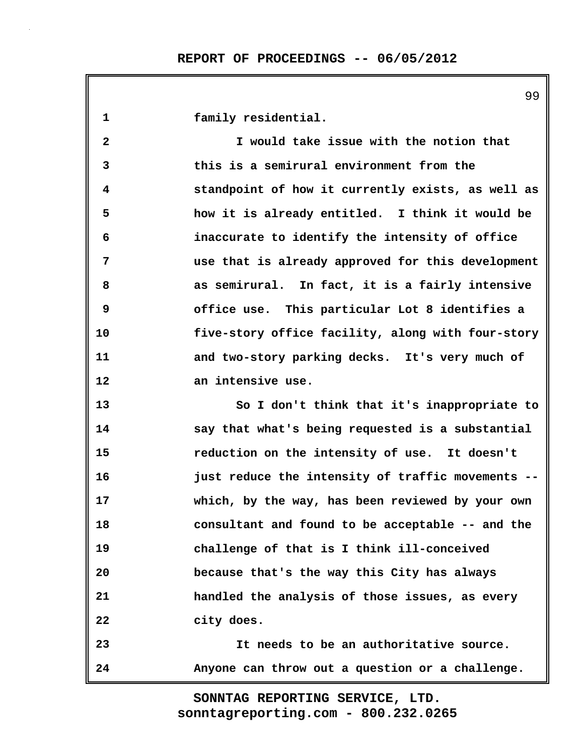**1 family residential. 2 I would take issue with the notion that 3 this is a semirural environment from the 4 standpoint of how it currently exists, as well as 5 how it is already entitled. I think it would be 6 inaccurate to identify the intensity of office 7 use that is already approved for this development 8 as semirural. In fact, it is a fairly intensive 9 office use. This particular Lot 8 identifies a 10 five-story office facility, along with four-story 11 and two-story parking decks. It's very much of 12 an intensive use. 13 So I don't think that it's inappropriate to 14 say that what's being requested is a substantial 15 reduction on the intensity of use. It doesn't 16 just reduce the intensity of traffic movements -- 17 which, by the way, has been reviewed by your own 18 consultant and found to be acceptable -- and the 19 challenge of that is I think ill-conceived 20 because that's the way this City has always 21 handled the analysis of those issues, as every 22 city does. 23 It needs to be an authoritative source. 24 Anyone can throw out a question or a challenge.**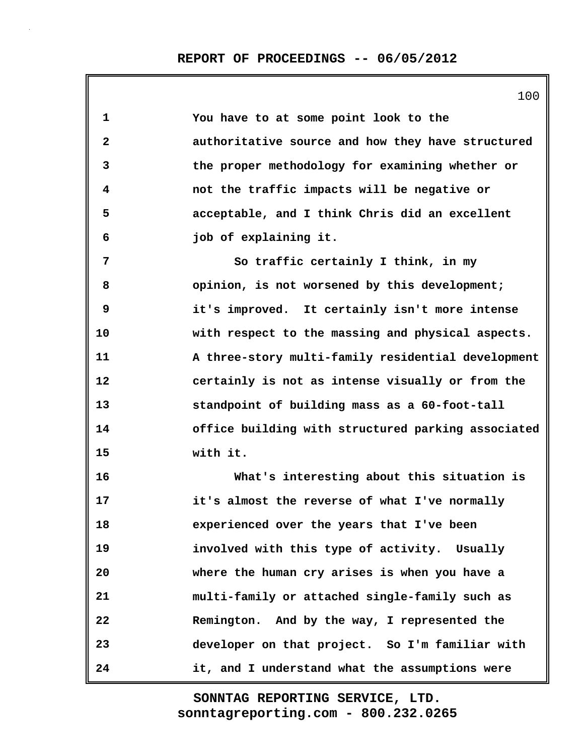| $\mathbf 1$  | You have to at some point look to the              |
|--------------|----------------------------------------------------|
| $\mathbf{2}$ | authoritative source and how they have structured  |
| 3            | the proper methodology for examining whether or    |
| 4            | not the traffic impacts will be negative or        |
| 5            | acceptable, and I think Chris did an excellent     |
| 6            | job of explaining it.                              |
| 7            | So traffic certainly I think, in my                |
| 8            | opinion, is not worsened by this development;      |
| 9            | it's improved. It certainly isn't more intense     |
| 10           | with respect to the massing and physical aspects.  |
| 11           | A three-story multi-family residential development |
| 12           | certainly is not as intense visually or from the   |
| 13           | standpoint of building mass as a 60-foot-tall      |
| 14           | office building with structured parking associated |
| 15           | with it.                                           |
| 16           | What's interesting about this situation is         |
| 17           | it's almost the reverse of what I've normally      |
| 18           | experienced over the years that I've been          |
| 19           | involved with this type of activity. Usually       |
| 20           | where the human cry arises is when you have a      |
| 21           | multi-family or attached single-family such as     |
| 22           | Remington. And by the way, I represented the       |
| 23           | developer on that project. So I'm familiar with    |
| 24           | it, and I understand what the assumptions were     |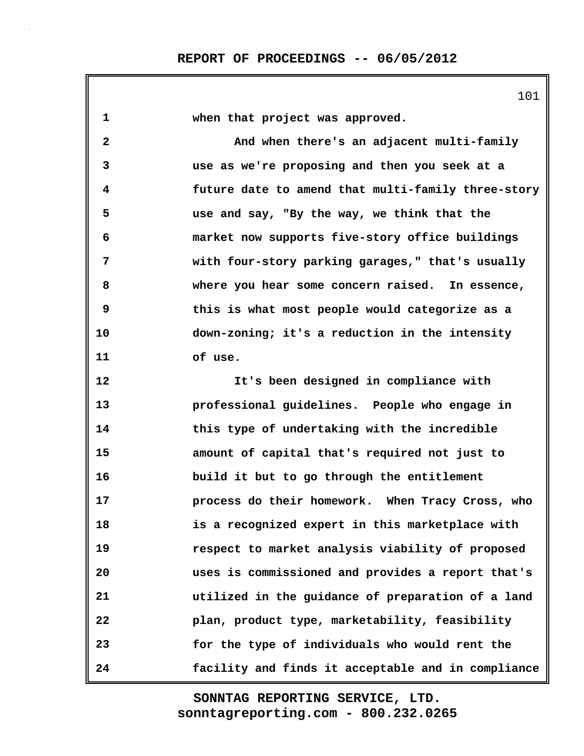**1 when that project was approved. 2 And when there's an adjacent multi-family 3 use as we're proposing and then you seek at a 4 future date to amend that multi-family three-story 5 use and say, "By the way, we think that the 6 market now supports five-story office buildings 7 with four-story parking garages," that's usually 8 where you hear some concern raised. In essence, 9 this is what most people would categorize as a 10 down-zoning; it's a reduction in the intensity 11 of use. 12 It's been designed in compliance with 13 professional guidelines. People who engage in 14 this type of undertaking with the incredible 15 amount of capital that's required not just to 16 build it but to go through the entitlement 17 process do their homework. When Tracy Cross, who 18 is a recognized expert in this marketplace with 19 respect to market analysis viability of proposed 20 uses is commissioned and provides a report that's 21 utilized in the guidance of preparation of a land 22 plan, product type, marketability, feasibility 23 for the type of individuals who would rent the 24 facility and finds it acceptable and in compliance**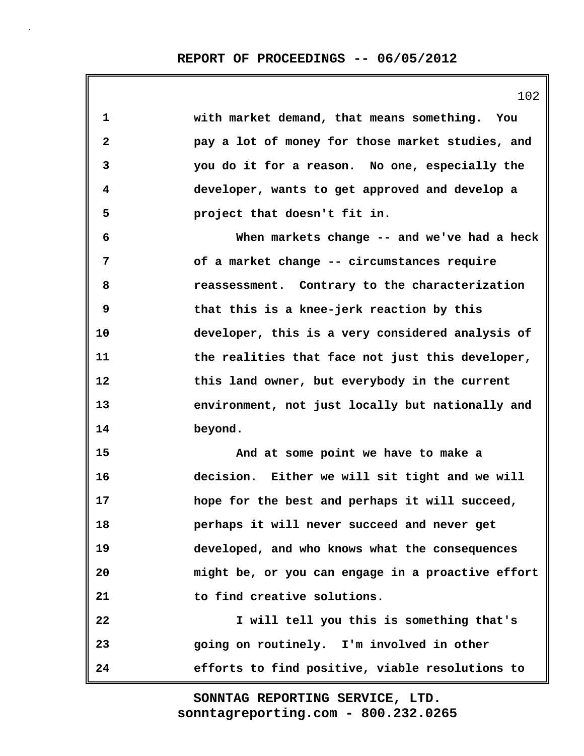**1 with market demand, that means something. You 2 pay a lot of money for those market studies, and 3 you do it for a reason. No one, especially the 4 developer, wants to get approved and develop a 5 project that doesn't fit in. 6 When markets change -- and we've had a heck 7 of a market change -- circumstances require 8 reassessment. Contrary to the characterization 9 that this is a knee-jerk reaction by this 10 developer, this is a very considered analysis of 11 the realities that face not just this developer, 12 this land owner, but everybody in the current 13 environment, not just locally but nationally and 14 beyond. 15 And at some point we have to make a 16 decision. Either we will sit tight and we will 17 hope for the best and perhaps it will succeed, 18 perhaps it will never succeed and never get 19 developed, and who knows what the consequences 20 might be, or you can engage in a proactive effort 21 to find creative solutions. 22 I will tell you this is something that's 23 going on routinely. I'm involved in other 24 efforts to find positive, viable resolutions to**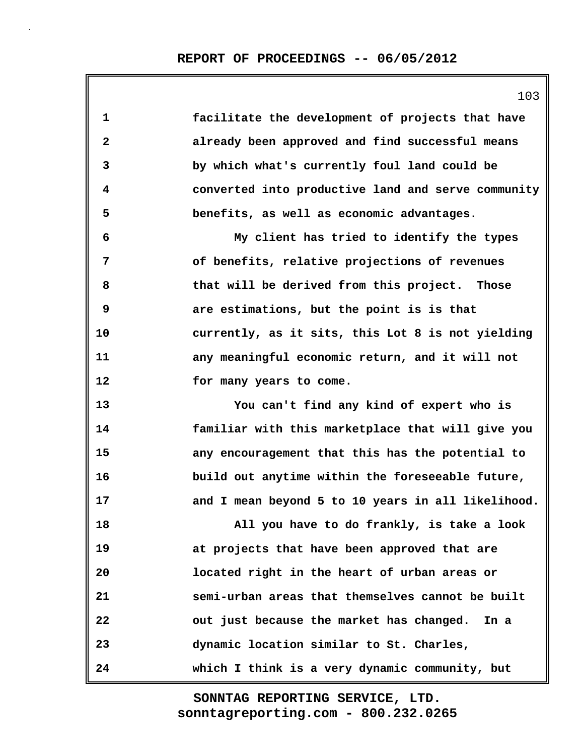|              | 103                                                |
|--------------|----------------------------------------------------|
| $\mathbf{1}$ | facilitate the development of projects that have   |
| $\mathbf{2}$ | already been approved and find successful means    |
| 3            | by which what's currently foul land could be       |
| 4            | converted into productive land and serve community |
| 5            | benefits, as well as economic advantages.          |
| 6            | My client has tried to identify the types          |
| 7            | of benefits, relative projections of revenues      |
| 8            | that will be derived from this project. Those      |
| 9            | are estimations, but the point is is that          |
| 10           | currently, as it sits, this Lot 8 is not yielding  |
| 11           | any meaningful economic return, and it will not    |
| 12           | for many years to come.                            |
| 13           | You can't find any kind of expert who is           |
| 14           | familiar with this marketplace that will give you  |
| 15           | any encouragement that this has the potential to   |
| 16           | build out anytime within the foreseeable future,   |
| 17           | and I mean beyond 5 to 10 years in all likelihood. |
| 18           | All you have to do frankly, is take a look         |
| 19           | at projects that have been approved that are       |
| 20           | located right in the heart of urban areas or       |
| 21           | semi-urban areas that themselves cannot be built   |
| 22           | out just because the market has changed. In a      |
| 23           | dynamic location similar to St. Charles,           |
| 24           | which I think is a very dynamic community, but     |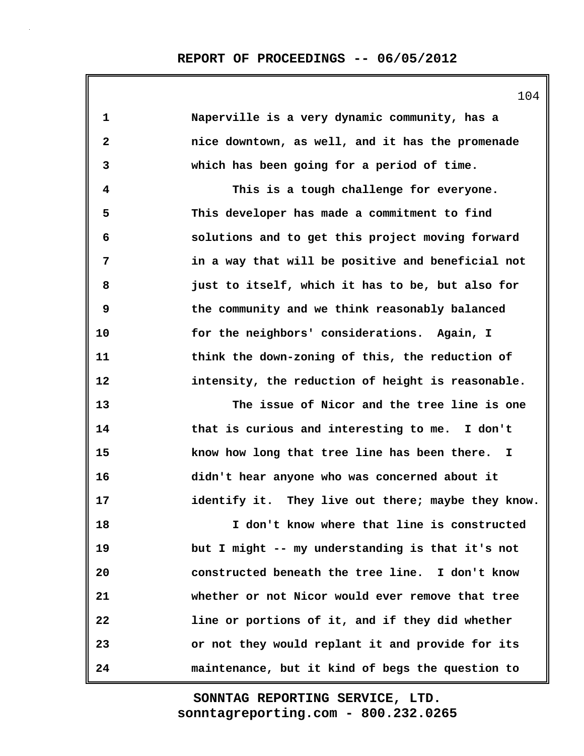| 1                       | Naperville is a very dynamic community, has a      |
|-------------------------|----------------------------------------------------|
| $\boldsymbol{2}$        | nice downtown, as well, and it has the promenade   |
| 3                       | which has been going for a period of time.         |
| $\overline{\mathbf{4}}$ | This is a tough challenge for everyone.            |
| 5                       | This developer has made a commitment to find       |
| 6                       | solutions and to get this project moving forward   |
| 7                       | in a way that will be positive and beneficial not  |
| 8                       | just to itself, which it has to be, but also for   |
| 9                       | the community and we think reasonably balanced     |
| 10                      | for the neighbors' considerations. Again, I        |
| 11                      | think the down-zoning of this, the reduction of    |
| 12                      | intensity, the reduction of height is reasonable.  |
| 13                      | The issue of Nicor and the tree line is one        |
| 14                      | that is curious and interesting to me. I don't     |
| 15                      | know how long that tree line has been there. I     |
| 16                      | didn't hear anyone who was concerned about it      |
| 17                      | identify it. They live out there; maybe they know. |
| 18                      | I don't know where that line is constructed        |
| 19                      | but I might -- my understanding is that it's not   |
| 20                      | constructed beneath the tree line. I don't know    |
| 21                      | whether or not Nicor would ever remove that tree   |
| 22                      | line or portions of it, and if they did whether    |
| 23                      | or not they would replant it and provide for its   |
| 24                      | maintenance, but it kind of begs the question to   |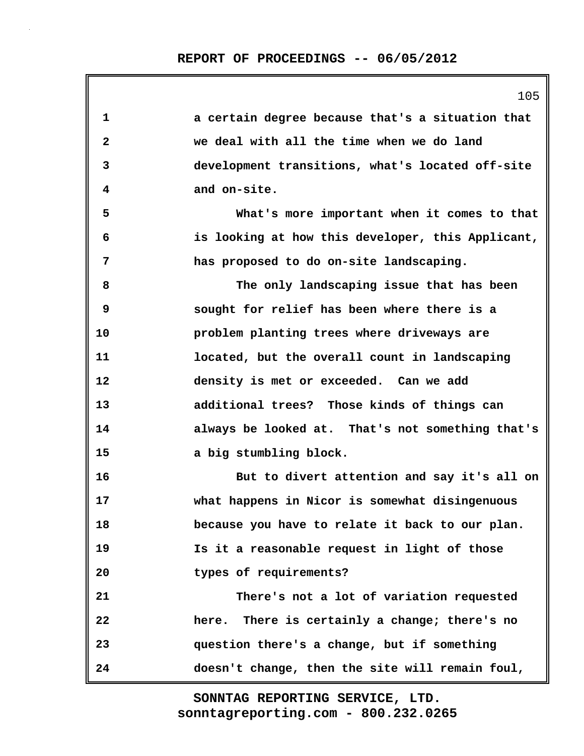| 1            | a certain degree because that's a situation that  |
|--------------|---------------------------------------------------|
| $\mathbf{2}$ | we deal with all the time when we do land         |
| 3            | development transitions, what's located off-site  |
| 4            | and on-site.                                      |
| 5            | What's more important when it comes to that       |
| 6            | is looking at how this developer, this Applicant, |
| 7            | has proposed to do on-site landscaping.           |
| 8            | The only landscaping issue that has been          |
| 9            | sought for relief has been where there is a       |
| 10           | problem planting trees where driveways are        |
| 11           | located, but the overall count in landscaping     |
| 12           | density is met or exceeded. Can we add            |
| 13           | additional trees? Those kinds of things can       |
| 14           | always be looked at. That's not something that's  |
| 15           | a big stumbling block.                            |
| 16           | But to divert attention and say it's all on       |
| 17           | what happens in Nicor is somewhat disingenuous    |
| 18           | because you have to relate it back to our plan.   |
| 19           | Is it a reasonable request in light of those      |
| 20           | types of requirements?                            |
| 21           | There's not a lot of variation requested          |
| 22           | here. There is certainly a change; there's no     |
| 23           | question there's a change, but if something       |
| 24           | doesn't change, then the site will remain foul,   |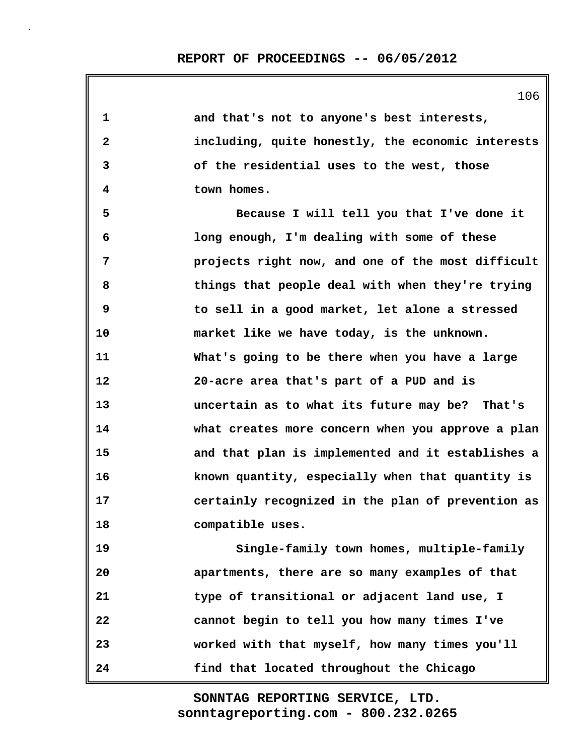| ∸∪ ∽                                              |
|---------------------------------------------------|
| and that's not to anyone's best interests,        |
| including, quite honestly, the economic interests |
| of the residential uses to the west, those        |
| town homes.                                       |
| Because I will tell you that I've done it         |
| long enough, I'm dealing with some of these       |
| projects right now, and one of the most difficult |
| things that people deal with when they're trying  |
| to sell in a good market, let alone a stressed    |
| market like we have today, is the unknown.        |
| What's going to be there when you have a large    |
| 20-acre area that's part of a PUD and is          |
| uncertain as to what its future may be? That's    |
| what creates more concern when you approve a plan |
| and that plan is implemented and it establishes a |
| known quantity, especially when that quantity is  |
| certainly recognized in the plan of prevention as |
| compatible uses.                                  |
| Single-family town homes, multiple-family         |
| apartments, there are so many examples of that    |
| type of transitional or adjacent land use, I      |
| cannot begin to tell you how many times I've      |
| worked with that myself, how many times you'll    |
|                                                   |

**24 find that located throughout the Chicago**

**sonntagreporting.com - 800.232.0265 SONNTAG REPORTING SERVICE, LTD.**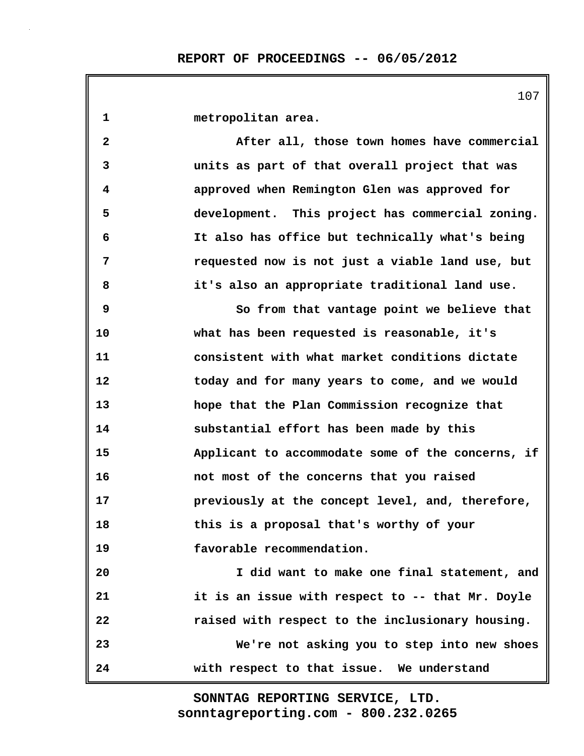**1 metropolitan area. 2 After all, those town homes have commercial 3 units as part of that overall project that was 4 approved when Remington Glen was approved for 5 development. This project has commercial zoning. 6 It also has office but technically what's being 7 requested now is not just a viable land use, but 8 it's also an appropriate traditional land use. 9 So from that vantage point we believe that 10 what has been requested is reasonable, it's 11 consistent with what market conditions dictate 12 today and for many years to come, and we would 13 hope that the Plan Commission recognize that 14 substantial effort has been made by this 15 Applicant to accommodate some of the concerns, if 16 not most of the concerns that you raised 17 previously at the concept level, and, therefore, 18 this is a proposal that's worthy of your 19 favorable recommendation. 20 I did want to make one final statement, and 21 it is an issue with respect to -- that Mr. Doyle 22 raised with respect to the inclusionary housing. 23 We're not asking you to step into new shoes 24 with respect to that issue. We understand**

> **sonntagreporting.com - 800.232.0265 SONNTAG REPORTING SERVICE, LTD.**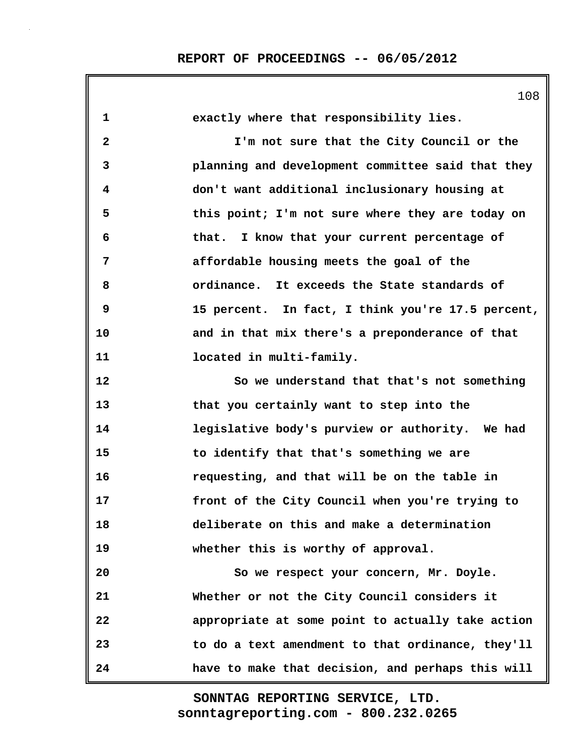| 1            | exactly where that responsibility lies.           |
|--------------|---------------------------------------------------|
| $\mathbf{2}$ | I'm not sure that the City Council or the         |
| 3            | planning and development committee said that they |
| 4            | don't want additional inclusionary housing at     |
| 5            | this point; I'm not sure where they are today on  |
| 6            | that. I know that your current percentage of      |
| 7            | affordable housing meets the goal of the          |
| 8            | ordinance. It exceeds the State standards of      |
| 9            | 15 percent. In fact, I think you're 17.5 percent, |
| 10           | and in that mix there's a preponderance of that   |
| 11           | located in multi-family.                          |
| 12           | So we understand that that's not something        |
| 13           | that you certainly want to step into the          |
| 14           | legislative body's purview or authority. We had   |
| 15           | to identify that that's something we are          |
| 16           | requesting, and that will be on the table in      |
| 17           | front of the City Council when you're trying to   |
| 18           | deliberate on this and make a determination       |
| 19           | whether this is worthy of approval.               |
| 20           | So we respect your concern, Mr. Doyle.            |
| 21           | Whether or not the City Council considers it      |
| 22           | appropriate at some point to actually take action |
| 23           | to do a text amendment to that ordinance, they'll |
| 24           | have to make that decision, and perhaps this will |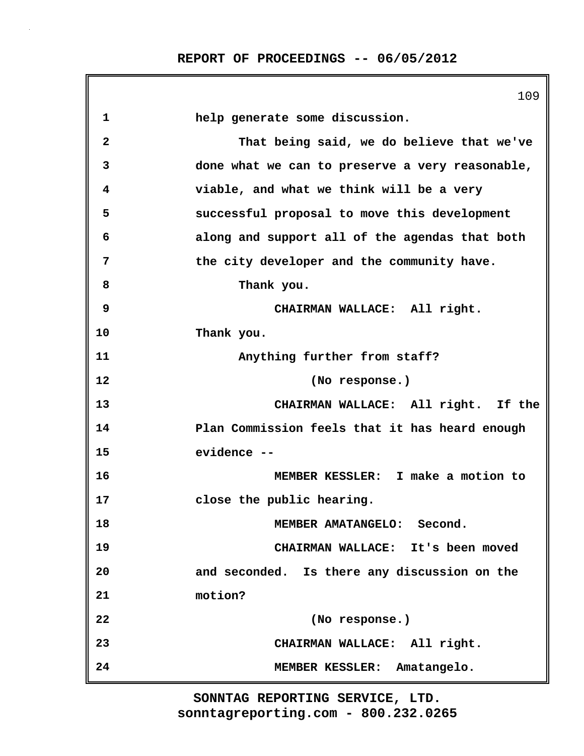|                         | 109                                             |
|-------------------------|-------------------------------------------------|
| $\mathbf{1}$            | help generate some discussion.                  |
| $\overline{\mathbf{2}}$ | That being said, we do believe that we've       |
| 3                       | done what we can to preserve a very reasonable, |
| 4                       | viable, and what we think will be a very        |
| 5                       | successful proposal to move this development    |
| 6                       | along and support all of the agendas that both  |
| 7                       | the city developer and the community have.      |
| 8                       | Thank you.                                      |
| 9                       | CHAIRMAN WALLACE: All right.                    |
| 10                      | Thank you.                                      |
| 11                      | Anything further from staff?                    |
| 12                      | (No response.)                                  |
| 13                      | CHAIRMAN WALLACE: All right. If the             |
| 14                      | Plan Commission feels that it has heard enough  |
| 15                      | evidence --                                     |
| 16                      | MEMBER KESSLER: I make a motion to              |
| 17                      | close the public hearing.                       |
| 18                      | MEMBER AMATANGELO:<br>Second.                   |
| 19                      | CHAIRMAN WALLACE: It's been moved               |
| 20                      | and seconded. Is there any discussion on the    |
| 21                      | motion?                                         |
| 22                      | (No response.)                                  |
| 23                      | CHAIRMAN WALLACE: All right.                    |
| 24                      | MEMBER KESSLER: Amatangelo.                     |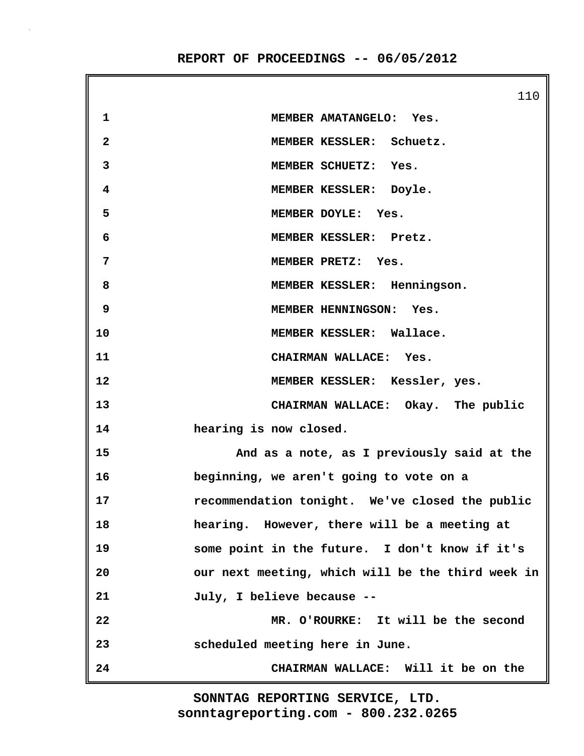110 **1 MEMBER AMATANGELO: Yes. 2 MEMBER KESSLER: Schuetz. 3 MEMBER SCHUETZ: Yes. 4 MEMBER KESSLER: Doyle. 5 MEMBER DOYLE: Yes. 6 MEMBER KESSLER: Pretz. 7 MEMBER PRETZ: Yes. 8 MEMBER KESSLER: Henningson. 9 MEMBER HENNINGSON: Yes. 10 MEMBER KESSLER: Wallace. 11 CHAIRMAN WALLACE: Yes. 12 MEMBER KESSLER: Kessler, yes. 13 CHAIRMAN WALLACE: Okay. The public 14 hearing is now closed. 15 And as a note, as I previously said at the 16 beginning, we aren't going to vote on a 17 recommendation tonight. We've closed the public 18 hearing. However, there will be a meeting at 19 some point in the future. I don't know if it's 20 our next meeting, which will be the third week in 21 July, I believe because -- 22 MR. O'ROURKE: It will be the second 23 scheduled meeting here in June. 24 CHAIRMAN WALLACE: Will it be on the**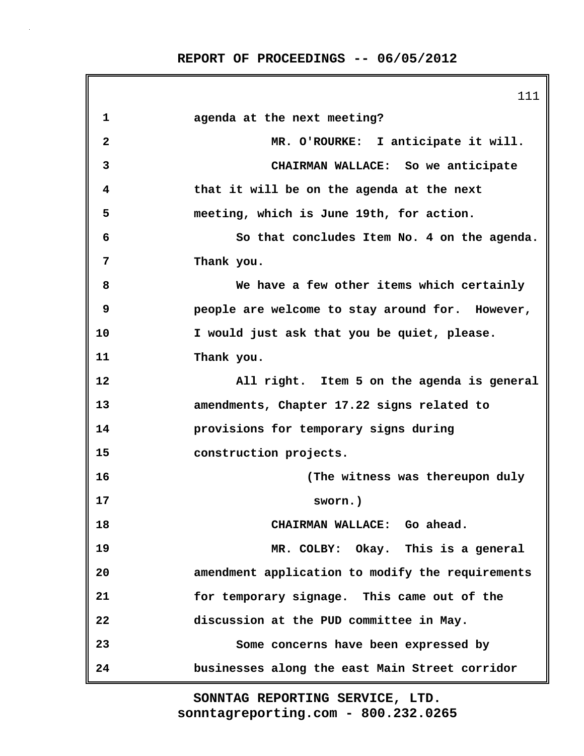|                         | 111                                              |
|-------------------------|--------------------------------------------------|
| 1                       | agenda at the next meeting?                      |
| $\overline{\mathbf{2}}$ | MR. O'ROURKE: I anticipate it will.              |
| 3                       | CHAIRMAN WALLACE: So we anticipate               |
| 4                       | that it will be on the agenda at the next        |
| 5                       | meeting, which is June 19th, for action.         |
| 6                       | So that concludes Item No. 4 on the agenda.      |
| 7                       | Thank you.                                       |
| 8                       | We have a few other items which certainly        |
| 9                       | people are welcome to stay around for. However,  |
| 10                      | I would just ask that you be quiet, please.      |
| 11                      | Thank you.                                       |
| 12                      | All right. Item 5 on the agenda is general       |
| 13                      | amendments, Chapter 17.22 signs related to       |
| 14                      | provisions for temporary signs during            |
| 15                      | construction projects.                           |
| 16                      | (The witness was thereupon duly                  |
| 17                      | sworn.)                                          |
| 18                      | CHAIRMAN WALLACE: Go ahead.                      |
| 19                      | MR. COLBY: Okay. This is a general               |
| 20                      | amendment application to modify the requirements |
| 21                      | for temporary signage. This came out of the      |
| 22                      | discussion at the PUD committee in May.          |
| 23                      | Some concerns have been expressed by             |
| 24                      | businesses along the east Main Street corridor   |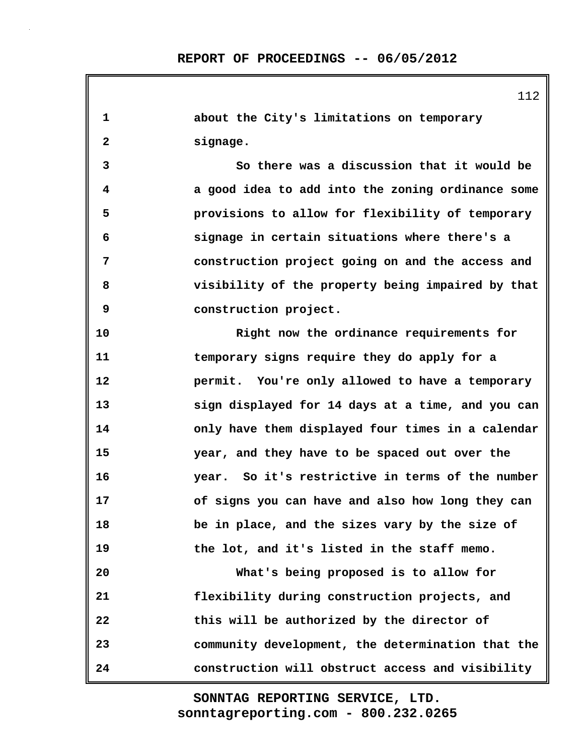**1 about the City's limitations on temporary 2 signage. 3 So there was a discussion that it would be 4 a good idea to add into the zoning ordinance some 5 provisions to allow for flexibility of temporary 6 signage in certain situations where there's a 7 construction project going on and the access and 8 visibility of the property being impaired by that 9 construction project. 10 Right now the ordinance requirements for 11 temporary signs require they do apply for a 12 permit. You're only allowed to have a temporary 13 sign displayed for 14 days at a time, and you can 14 only have them displayed four times in a calendar 15 year, and they have to be spaced out over the 16 year. So it's restrictive in terms of the number 17 of signs you can have and also how long they can 18 be in place, and the sizes vary by the size of 19 the lot, and it's listed in the staff memo. 20 What's being proposed is to allow for 21 flexibility during construction projects, and 22 this will be authorized by the director of 23 community development, the determination that the 24 construction will obstruct access and visibility**

> **sonntagreporting.com - 800.232.0265 SONNTAG REPORTING SERVICE, LTD.**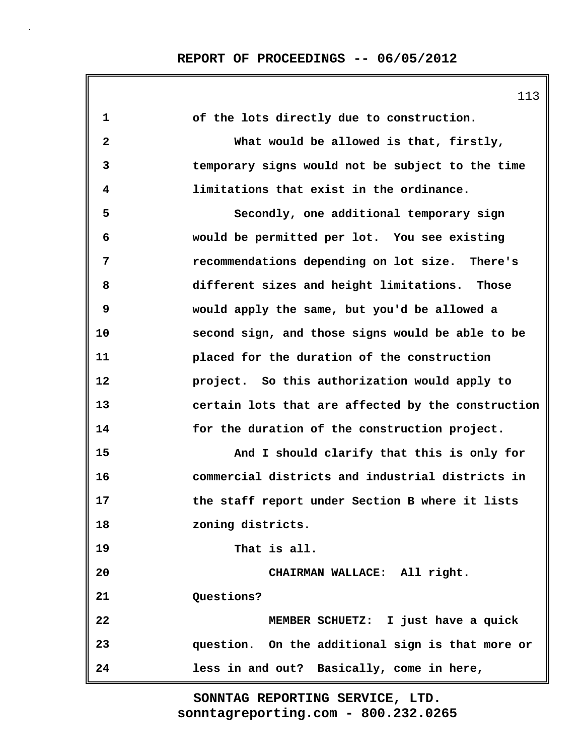| 1            | of the lots directly due to construction.          |
|--------------|----------------------------------------------------|
| $\mathbf{2}$ | What would be allowed is that, firstly,            |
| 3            | temporary signs would not be subject to the time   |
| 4            | limitations that exist in the ordinance.           |
| 5            | Secondly, one additional temporary sign            |
| 6            | would be permitted per lot. You see existing       |
| 7            | recommendations depending on lot size. There's     |
| 8            | different sizes and height limitations. Those      |
| 9            | would apply the same, but you'd be allowed a       |
| 10           | second sign, and those signs would be able to be   |
| 11           | placed for the duration of the construction        |
| 12           | project. So this authorization would apply to      |
| 13           | certain lots that are affected by the construction |
| 14           | for the duration of the construction project.      |
| 15           | And I should clarify that this is only for         |
| 16           | commercial districts and industrial districts in   |
| 17           | the staff report under Section B where it lists    |
| 18           | zoning districts.                                  |
| 19           | That is all.                                       |
| 20           | CHAIRMAN WALLACE: All right.                       |
| 21           | Questions?                                         |
| 22           | MEMBER SCHUETZ: I just have a quick                |
| 23           | question. On the additional sign is that more or   |
| 24           | less in and out? Basically, come in here,          |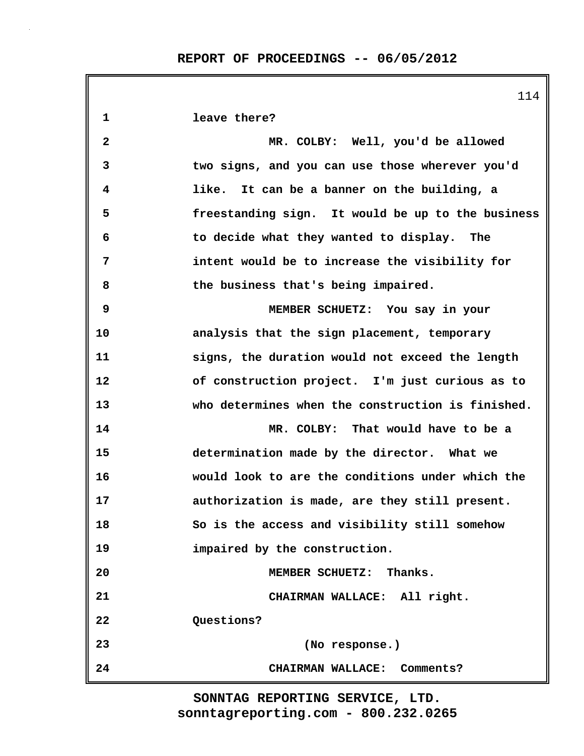|              | 114                                               |
|--------------|---------------------------------------------------|
| 1            | leave there?                                      |
| $\mathbf{2}$ | MR. COLBY: Well, you'd be allowed                 |
| 3            | two signs, and you can use those wherever you'd   |
| 4            | like. It can be a banner on the building, a       |
| 5            | freestanding sign. It would be up to the business |
| 6            | to decide what they wanted to display. The        |
| 7            | intent would be to increase the visibility for    |
| 8            | the business that's being impaired.               |
| 9            | MEMBER SCHUETZ: You say in your                   |
| 10           | analysis that the sign placement, temporary       |
| 11           | signs, the duration would not exceed the length   |
| 12           | of construction project. I'm just curious as to   |
| 13           | who determines when the construction is finished. |
| 14           | MR. COLBY: That would have to be a                |
| 15           | determination made by the director. What we       |
| 16           | would look to are the conditions under which the  |
| 17           | authorization is made, are they still present.    |
| 18           | So is the access and visibility still somehow     |
| 19           | impaired by the construction.                     |
| 20           | MEMBER SCHUETZ: Thanks.                           |
| 21           | CHAIRMAN WALLACE: All right.                      |
| 22           | Questions?                                        |
| 23           | (No response.)                                    |
| 24           | CHAIRMAN WALLACE: Comments?                       |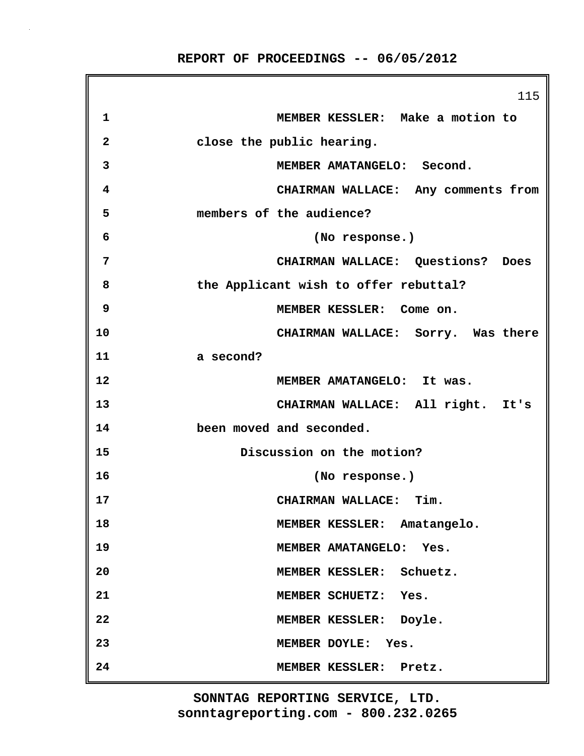|                         | 115                                   |
|-------------------------|---------------------------------------|
| 1                       | MEMBER KESSLER: Make a motion to      |
| $\overline{\mathbf{2}}$ | close the public hearing.             |
| 3                       | MEMBER AMATANGELO: Second.            |
| 4                       | CHAIRMAN WALLACE: Any comments from   |
| 5                       | members of the audience?              |
| 6                       | (No response.)                        |
| 7                       | CHAIRMAN WALLACE: Questions? Does     |
| 8                       | the Applicant wish to offer rebuttal? |
| 9                       | MEMBER KESSLER: Come on.              |
| 10                      | CHAIRMAN WALLACE: Sorry. Was there    |
| 11                      | a second?                             |
| 12                      | MEMBER AMATANGELO: It was.            |
| 13                      | CHAIRMAN WALLACE: All right. It's     |
| 14                      | been moved and seconded.              |
| 15                      | Discussion on the motion?             |
| 16                      | (No response.)                        |
| 17                      | CHAIRMAN WALLACE: Tim.                |
| 18                      | MEMBER KESSLER: Amatangelo.           |
| 19                      | MEMBER AMATANGELO: Yes.               |
| 20                      | MEMBER KESSLER: Schuetz.              |
| 21                      | MEMBER SCHUETZ: Yes.                  |
| 22                      | MEMBER KESSLER: Doyle.                |
| 23                      | MEMBER DOYLE: Yes.                    |
| 24                      | MEMBER KESSLER: Pretz.                |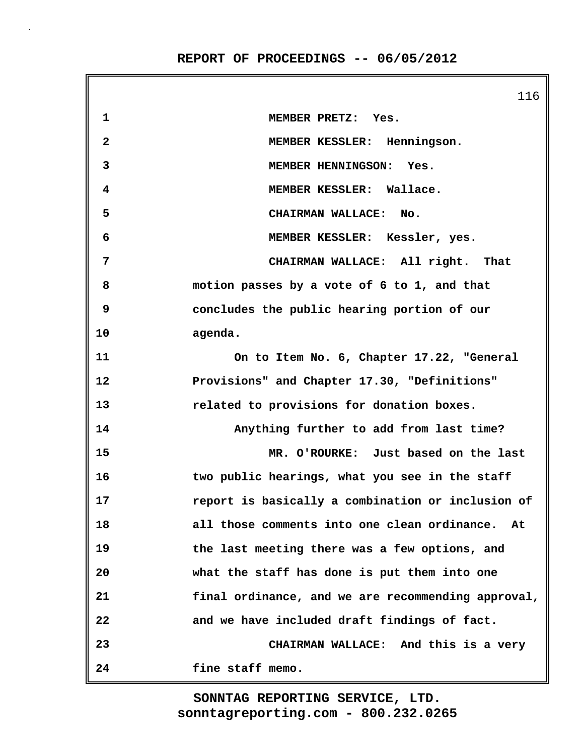116 **1 MEMBER PRETZ: Yes. 2 MEMBER KESSLER: Henningson. 3 MEMBER HENNINGSON: Yes. 4 MEMBER KESSLER: Wallace. 5 CHAIRMAN WALLACE: No. 6 MEMBER KESSLER: Kessler, yes. 7 CHAIRMAN WALLACE: All right. That 8 motion passes by a vote of 6 to 1, and that 9 concludes the public hearing portion of our 10 agenda. 11 On to Item No. 6, Chapter 17.22, "General 12 Provisions" and Chapter 17.30, "Definitions" 13 related to provisions for donation boxes. 14 Anything further to add from last time? 15 MR. O'ROURKE: Just based on the last 16 two public hearings, what you see in the staff 17 report is basically a combination or inclusion of 18 all those comments into one clean ordinance. At 19 the last meeting there was a few options, and 20 what the staff has done is put them into one 21 final ordinance, and we are recommending approval, 22 and we have included draft findings of fact. 23 CHAIRMAN WALLACE: And this is a very 24 fine staff memo.**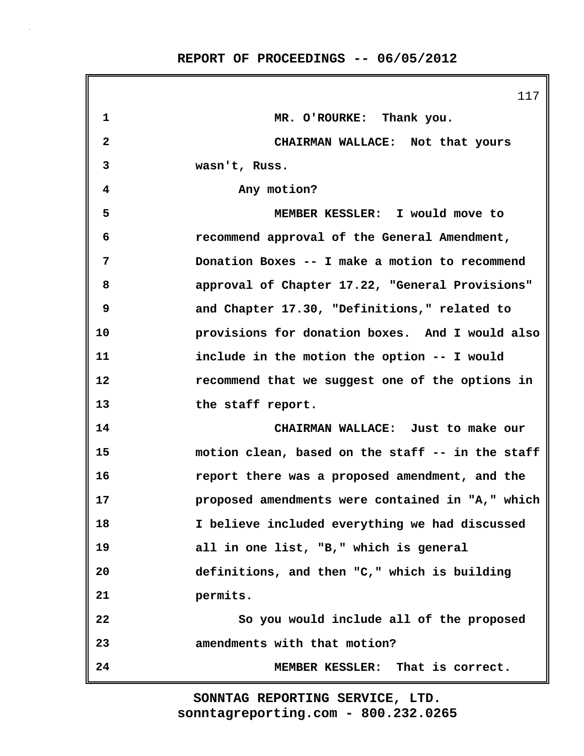|              | 117                                              |
|--------------|--------------------------------------------------|
| 1            | MR. O'ROURKE: Thank you.                         |
| $\mathbf{2}$ | CHAIRMAN WALLACE: Not that yours                 |
| 3            | wasn't, Russ.                                    |
| 4            | Any motion?                                      |
| 5            | MEMBER KESSLER: I would move to                  |
| 6            | recommend approval of the General Amendment,     |
| 7            | Donation Boxes -- I make a motion to recommend   |
| 8            | approval of Chapter 17.22, "General Provisions"  |
| 9            | and Chapter 17.30, "Definitions," related to     |
| 10           | provisions for donation boxes. And I would also  |
| 11           | include in the motion the option -- I would      |
| 12           | recommend that we suggest one of the options in  |
| 13           | the staff report.                                |
| 14           | CHAIRMAN WALLACE: Just to make our               |
| 15           | motion clean, based on the staff -- in the staff |
| 16           | report there was a proposed amendment, and the   |
| 17           | proposed amendments were contained in "A," which |
| 18           | I believe included everything we had discussed   |
| 19           | all in one list, "B," which is general           |
| 20           | definitions, and then "C," which is building     |
| 21           | permits.                                         |
| 22           | So you would include all of the proposed         |
| 23           | amendments with that motion?                     |
| 24           | MEMBER KESSLER: That is correct.                 |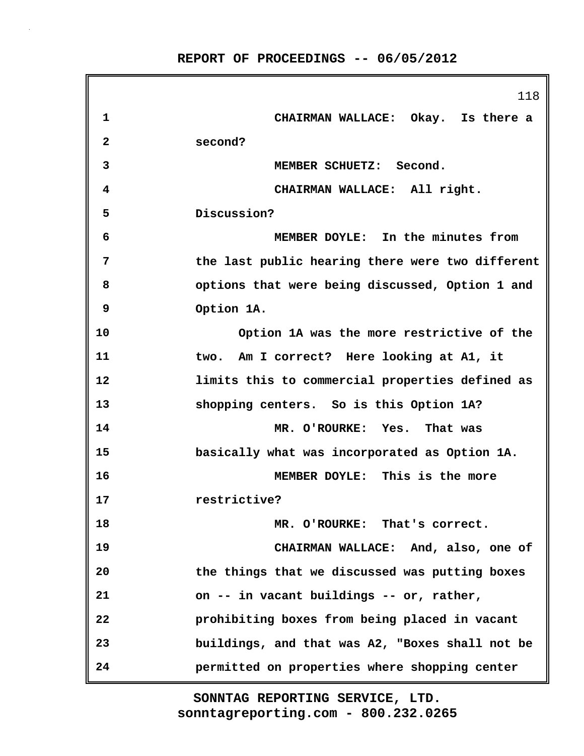|              | 118                                              |
|--------------|--------------------------------------------------|
| 1            | CHAIRMAN WALLACE: Okay. Is there a               |
| $\mathbf{2}$ | second?                                          |
| 3            | MEMBER SCHUETZ: Second.                          |
| 4            | CHAIRMAN WALLACE: All right.                     |
| 5            | Discussion?                                      |
| 6            | MEMBER DOYLE: In the minutes from                |
| 7            | the last public hearing there were two different |
| 8            | options that were being discussed, Option 1 and  |
| 9            | Option 1A.                                       |
| 10           | Option 1A was the more restrictive of the        |
| 11           | two. Am I correct? Here looking at A1, it        |
| 12           | limits this to commercial properties defined as  |
| 13           | shopping centers. So is this Option 1A?          |
| 14           | MR. O'ROURKE: Yes. That was                      |
| 15           | basically what was incorporated as Option 1A.    |
| 16           | MEMBER DOYLE: This is the more                   |
| 17           | restrictive?                                     |
| 18           | MR. O'ROURKE: That's correct.                    |
| 19           | CHAIRMAN WALLACE: And, also, one of              |
| 20           | the things that we discussed was putting boxes   |
| 21           | on -- in vacant buildings -- or, rather,         |
| 22           | prohibiting boxes from being placed in vacant    |
| 23           | buildings, and that was A2, "Boxes shall not be  |
| 24           | permitted on properties where shopping center    |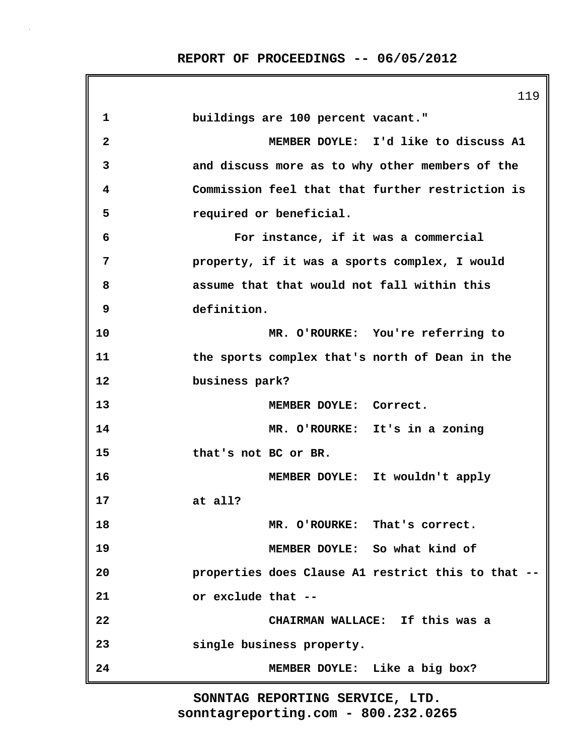|              | 119                                                |
|--------------|----------------------------------------------------|
| 1            | buildings are 100 percent vacant."                 |
| $\mathbf{2}$ | MEMBER DOYLE: I'd like to discuss A1               |
| 3            | and discuss more as to why other members of the    |
| 4            | Commission feel that that further restriction is   |
| 5            | required or beneficial.                            |
| 6            | For instance, if it was a commercial               |
| 7            | property, if it was a sports complex, I would      |
| 8            | assume that that would not fall within this        |
| 9            | definition.                                        |
| 10           | MR. O'ROURKE: You're referring to                  |
| 11           | the sports complex that's north of Dean in the     |
| 12           | business park?                                     |
| 13           | MEMBER DOYLE: Correct.                             |
| 14           | MR. O'ROURKE: It's in a zoning                     |
| 15           | that's not BC or BR.                               |
| 16           | MEMBER DOYLE: It wouldn't apply                    |
| 17           | at all?                                            |
| 18           | MR. O'ROURKE: That's correct.                      |
| 19           | MEMBER DOYLE: So what kind of                      |
| 20           | properties does Clause A1 restrict this to that -- |
| 21           | or exclude that --                                 |
| 22           | CHAIRMAN WALLACE: If this was a                    |
| 23           | single business property.                          |
| 24           | MEMBER DOYLE: Like a big box?                      |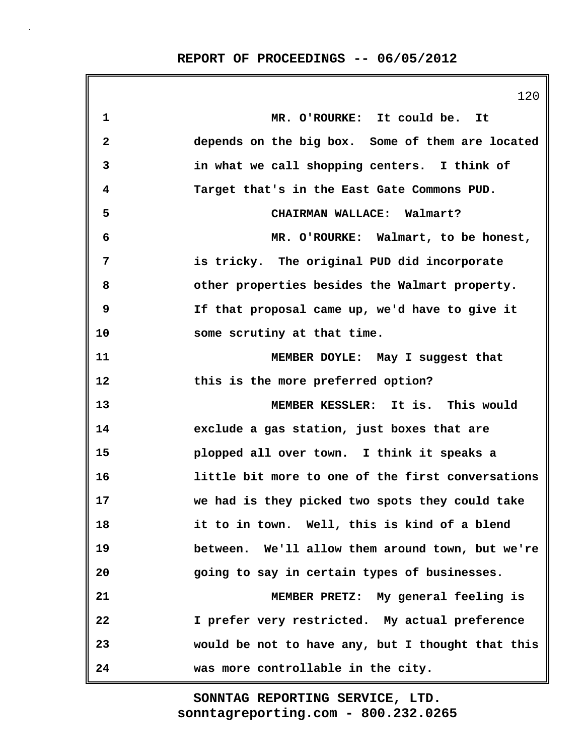120 **1 MR. O'ROURKE: It could be. It 2 depends on the big box. Some of them are located 3 in what we call shopping centers. I think of 4 Target that's in the East Gate Commons PUD. 5 CHAIRMAN WALLACE: Walmart? 6 MR. O'ROURKE: Walmart, to be honest, 7 is tricky. The original PUD did incorporate 8 other properties besides the Walmart property. 9 If that proposal came up, we'd have to give it 10 some scrutiny at that time. 11 MEMBER DOYLE: May I suggest that 12 this is the more preferred option? 13 MEMBER KESSLER: It is. This would 14 exclude a gas station, just boxes that are 15 plopped all over town. I think it speaks a 16 little bit more to one of the first conversations 17 we had is they picked two spots they could take 18 it to in town. Well, this is kind of a blend 19 between. We'll allow them around town, but we're 20 going to say in certain types of businesses. 21 MEMBER PRETZ: My general feeling is 22 I prefer very restricted. My actual preference 23 would be not to have any, but I thought that this 24 was more controllable in the city.**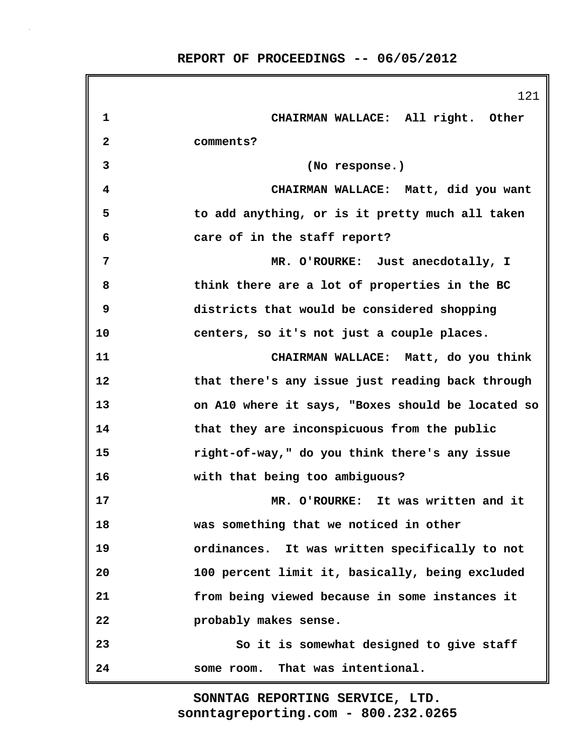|    | 121                                               |
|----|---------------------------------------------------|
| 1  | CHAIRMAN WALLACE: All right. Other                |
| 2  | comments?                                         |
| 3  | (No response.)                                    |
| 4  | CHAIRMAN WALLACE: Matt, did you want              |
| 5  | to add anything, or is it pretty much all taken   |
| 6  | care of in the staff report?                      |
| 7  | MR. O'ROURKE: Just anecdotally, I                 |
| 8  | think there are a lot of properties in the BC     |
| 9  | districts that would be considered shopping       |
| 10 | centers, so it's not just a couple places.        |
| 11 | CHAIRMAN WALLACE: Matt, do you think              |
| 12 | that there's any issue just reading back through  |
| 13 | on A10 where it says, "Boxes should be located so |
| 14 | that they are inconspicuous from the public       |
| 15 | right-of-way," do you think there's any issue     |
| 16 | with that being too ambiguous?                    |
| 17 | MR. O'ROURKE: It was written and it               |
| 18 | was something that we noticed in other            |
| 19 | ordinances. It was written specifically to not    |
| 20 | 100 percent limit it, basically, being excluded   |
| 21 | from being viewed because in some instances it    |
| 22 | probably makes sense.                             |
| 23 | So it is somewhat designed to give staff          |
| 24 | some room. That was intentional.                  |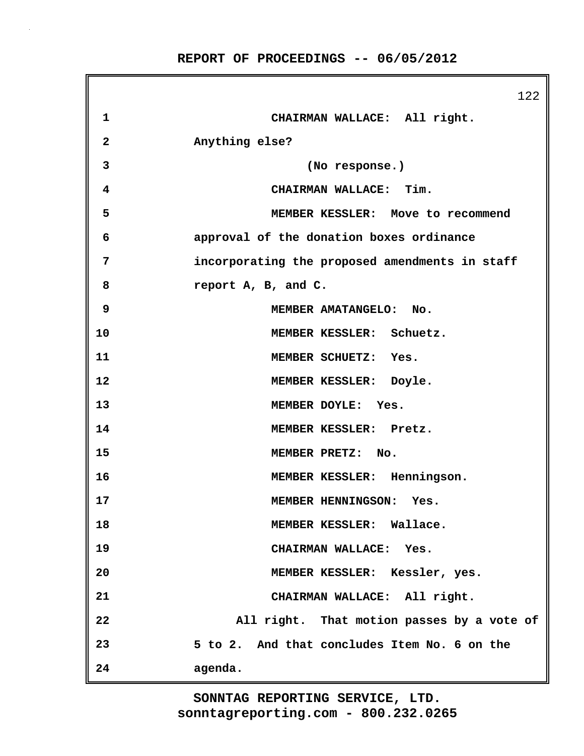|              | 122                                            |
|--------------|------------------------------------------------|
| $\mathbf 1$  | CHAIRMAN WALLACE: All right.                   |
| $\mathbf{2}$ | Anything else?                                 |
| 3            | (No response.)                                 |
| 4            | CHAIRMAN WALLACE: Tim.                         |
| 5            | MEMBER KESSLER: Move to recommend              |
| 6            | approval of the donation boxes ordinance       |
| 7            | incorporating the proposed amendments in staff |
| 8            | report A, B, and C.                            |
| 9            | MEMBER AMATANGELO: No.                         |
| 10           | MEMBER KESSLER: Schuetz.                       |
| 11           | MEMBER SCHUETZ: Yes.                           |
| 12           | MEMBER KESSLER: Doyle.                         |
| 13           | MEMBER DOYLE: Yes.                             |
| 14           | MEMBER KESSLER: Pretz.                         |
| 15           | MEMBER PRETZ: No.                              |
| 16           | MEMBER KESSLER: Henningson.                    |
| 17           | MEMBER HENNINGSON: Yes.                        |
| 18           | MEMBER KESSLER: Wallace.                       |
| 19           | CHAIRMAN WALLACE: Yes.                         |
| 20           | MEMBER KESSLER: Kessler, yes.                  |
| 21           | CHAIRMAN WALLACE: All right.                   |
| 22           | All right. That motion passes by a vote of     |
| 23           | 5 to 2. And that concludes Item No. 6 on the   |
| 24           | agenda.                                        |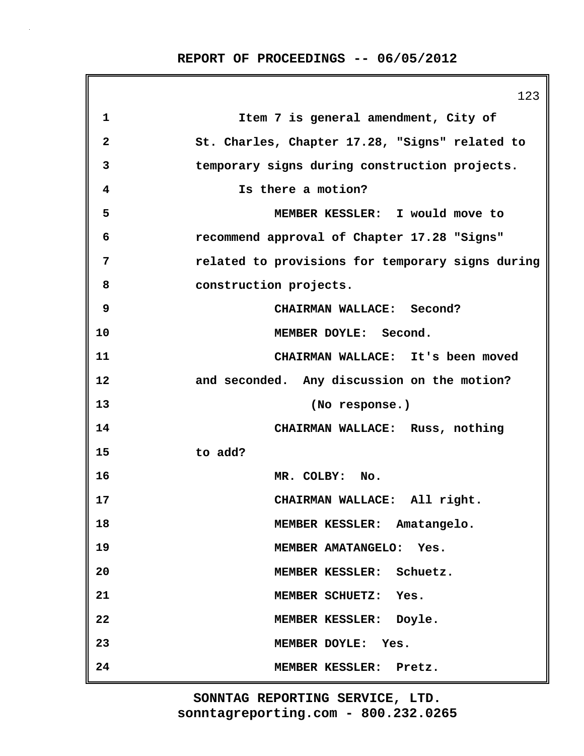|              | 123                                              |
|--------------|--------------------------------------------------|
| $\mathbf{1}$ | Item 7 is general amendment, City of             |
| $\mathbf{2}$ | St. Charles, Chapter 17.28, "Signs" related to   |
| 3            | temporary signs during construction projects.    |
| 4            | Is there a motion?                               |
| 5            | MEMBER KESSLER: I would move to                  |
| 6            | recommend approval of Chapter 17.28 "Signs"      |
| 7            | related to provisions for temporary signs during |
| 8            | construction projects.                           |
| 9            | CHAIRMAN WALLACE: Second?                        |
| 10           | MEMBER DOYLE: Second.                            |
| 11           | CHAIRMAN WALLACE: It's been moved                |
| 12           | and seconded. Any discussion on the motion?      |
| 13           | (No response.)                                   |
| 14           | CHAIRMAN WALLACE: Russ, nothing                  |
| 15           | to add?                                          |
| 16           | MR. COLBY: No.                                   |
| 17           | CHAIRMAN WALLACE: All right.                     |
| 18           | MEMBER KESSLER: Amatangelo.                      |
| 19           | MEMBER AMATANGELO: Yes.                          |
| 20           | MEMBER KESSLER: Schuetz.                         |
| 21           | MEMBER SCHUETZ: Yes.                             |
| 22           | MEMBER KESSLER: Doyle.                           |
| 23           | MEMBER DOYLE: Yes.                               |
| 24           | MEMBER KESSLER: Pretz.                           |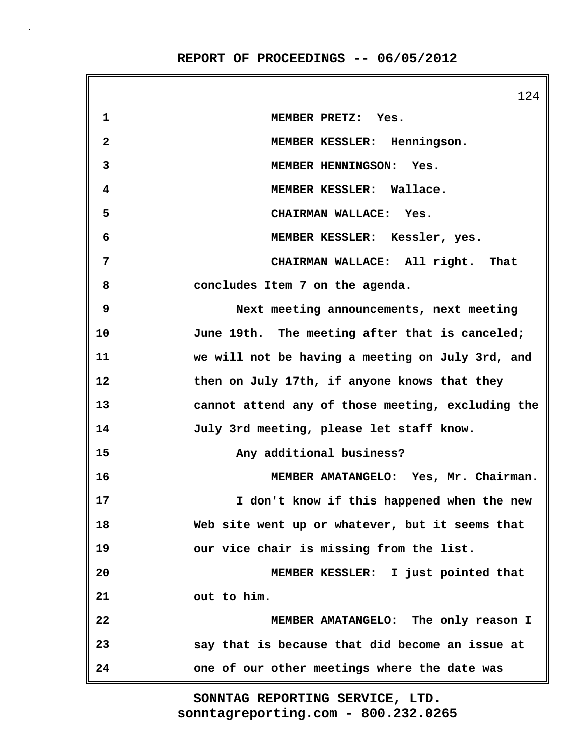|              | 124                                               |
|--------------|---------------------------------------------------|
| 1            | MEMBER PRETZ: Yes.                                |
| $\mathbf{2}$ | MEMBER KESSLER: Henningson.                       |
| 3            | MEMBER HENNINGSON: Yes.                           |
| 4            | MEMBER KESSLER: Wallace.                          |
| 5            | CHAIRMAN WALLACE: Yes.                            |
| 6            | MEMBER KESSLER: Kessler, yes.                     |
| 7            | CHAIRMAN WALLACE: All right. That                 |
| 8            | concludes Item 7 on the agenda.                   |
| 9            | Next meeting announcements, next meeting          |
| 10           | June 19th. The meeting after that is canceled;    |
| 11           | we will not be having a meeting on July 3rd, and  |
| 12           | then on July 17th, if anyone knows that they      |
| 13           | cannot attend any of those meeting, excluding the |
| 14           | July 3rd meeting, please let staff know.          |
| 15           | Any additional business?                          |
| 16           | MEMBER AMATANGELO: Yes, Mr. Chairman.             |
| 17           | I don't know if this happened when the new        |
| 18           | Web site went up or whatever, but it seems that   |
| 19           | our vice chair is missing from the list.          |
| 20           | MEMBER KESSLER: I just pointed that               |
| 21           | out to him.                                       |
| 22           | MEMBER AMATANGELO: The only reason I              |
| 23           | say that is because that did become an issue at   |
| 24           | one of our other meetings where the date was      |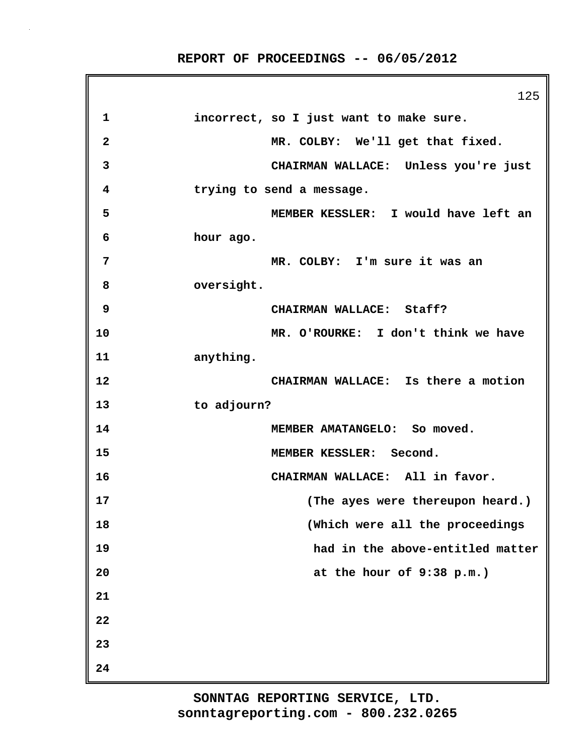125 **1 incorrect, so I just want to make sure. 2 MR. COLBY: We'll get that fixed. 3 CHAIRMAN WALLACE: Unless you're just 4 trying to send a message. 5 MEMBER KESSLER: I would have left an 6 hour ago. 7 MR. COLBY: I'm sure it was an 8 oversight. 9 CHAIRMAN WALLACE: Staff? 10 MR. O'ROURKE: I don't think we have 11 anything. 12 CHAIRMAN WALLACE: Is there a motion 13 to adjourn? 14 MEMBER AMATANGELO: So moved. 15 MEMBER KESSLER: Second. 16 CHAIRMAN WALLACE: All in favor. 17 (The ayes were thereupon heard.) 18 (Which were all the proceedings 19 had in the above-entitled matter 20 at the hour of 9:38 p.m.) 21 22 23 24**